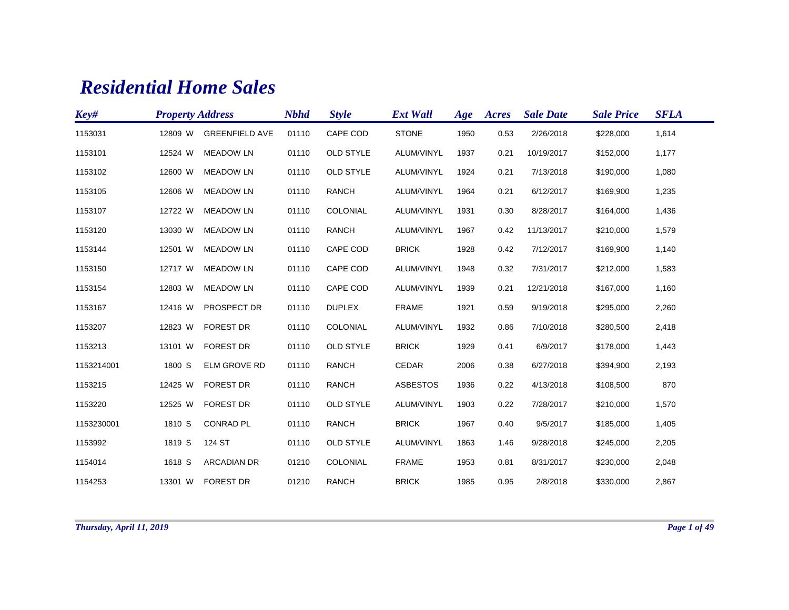## *Residential Home Sales*

| Key#       | <b>Property Address</b> |                       | <b>Nbhd</b> | <b>Style</b>     | <b>Ext Wall</b> | Age  | Acres | <b>Sale Date</b> | <b>Sale Price</b> | <b>SFLA</b> |
|------------|-------------------------|-----------------------|-------------|------------------|-----------------|------|-------|------------------|-------------------|-------------|
| 1153031    | 12809 W                 | <b>GREENFIELD AVE</b> | 01110       | CAPE COD         | <b>STONE</b>    | 1950 | 0.53  | 2/26/2018        | \$228,000         | 1,614       |
| 1153101    | 12524 W                 | <b>MEADOW LN</b>      | 01110       | <b>OLD STYLE</b> | ALUM/VINYL      | 1937 | 0.21  | 10/19/2017       | \$152,000         | 1,177       |
| 1153102    | 12600 W                 | <b>MEADOW LN</b>      | 01110       | <b>OLD STYLE</b> | ALUM/VINYL      | 1924 | 0.21  | 7/13/2018        | \$190,000         | 1,080       |
| 1153105    | 12606 W                 | <b>MEADOW LN</b>      | 01110       | <b>RANCH</b>     | ALUM/VINYL      | 1964 | 0.21  | 6/12/2017        | \$169,900         | 1,235       |
| 1153107    | 12722 W                 | <b>MEADOW LN</b>      | 01110       | COLONIAL         | ALUM/VINYL      | 1931 | 0.30  | 8/28/2017        | \$164,000         | 1,436       |
| 1153120    | 13030 W                 | <b>MEADOW LN</b>      | 01110       | <b>RANCH</b>     | ALUM/VINYL      | 1967 | 0.42  | 11/13/2017       | \$210,000         | 1,579       |
| 1153144    | 12501 W                 | <b>MEADOW LN</b>      | 01110       | CAPE COD         | <b>BRICK</b>    | 1928 | 0.42  | 7/12/2017        | \$169,900         | 1,140       |
| 1153150    | 12717 W                 | <b>MEADOW LN</b>      | 01110       | CAPE COD         | ALUM/VINYL      | 1948 | 0.32  | 7/31/2017        | \$212,000         | 1,583       |
| 1153154    | 12803 W                 | <b>MEADOW LN</b>      | 01110       | CAPE COD         | ALUM/VINYL      | 1939 | 0.21  | 12/21/2018       | \$167,000         | 1,160       |
| 1153167    | 12416 W                 | PROSPECT DR           | 01110       | <b>DUPLEX</b>    | <b>FRAME</b>    | 1921 | 0.59  | 9/19/2018        | \$295,000         | 2,260       |
| 1153207    | 12823 W                 | <b>FOREST DR</b>      | 01110       | COLONIAL         | ALUM/VINYL      | 1932 | 0.86  | 7/10/2018        | \$280,500         | 2,418       |
| 1153213    | 13101 W                 | <b>FOREST DR</b>      | 01110       | <b>OLD STYLE</b> | <b>BRICK</b>    | 1929 | 0.41  | 6/9/2017         | \$178,000         | 1,443       |
| 1153214001 | 1800 S                  | <b>ELM GROVE RD</b>   | 01110       | <b>RANCH</b>     | CEDAR           | 2006 | 0.38  | 6/27/2018        | \$394,900         | 2,193       |
| 1153215    | 12425 W                 | <b>FOREST DR</b>      | 01110       | <b>RANCH</b>     | <b>ASBESTOS</b> | 1936 | 0.22  | 4/13/2018        | \$108,500         | 870         |
| 1153220    | 12525 W                 | <b>FOREST DR</b>      | 01110       | <b>OLD STYLE</b> | ALUM/VINYL      | 1903 | 0.22  | 7/28/2017        | \$210,000         | 1,570       |
| 1153230001 | 1810 S                  | <b>CONRAD PL</b>      | 01110       | <b>RANCH</b>     | <b>BRICK</b>    | 1967 | 0.40  | 9/5/2017         | \$185,000         | 1,405       |
| 1153992    | 1819 S                  | 124 ST                | 01110       | <b>OLD STYLE</b> | ALUM/VINYL      | 1863 | 1.46  | 9/28/2018        | \$245,000         | 2,205       |
| 1154014    | 1618 S                  | <b>ARCADIAN DR</b>    | 01210       | COLONIAL         | <b>FRAME</b>    | 1953 | 0.81  | 8/31/2017        | \$230,000         | 2,048       |
| 1154253    | 13301 W                 | <b>FOREST DR</b>      | 01210       | <b>RANCH</b>     | <b>BRICK</b>    | 1985 | 0.95  | 2/8/2018         | \$330,000         | 2,867       |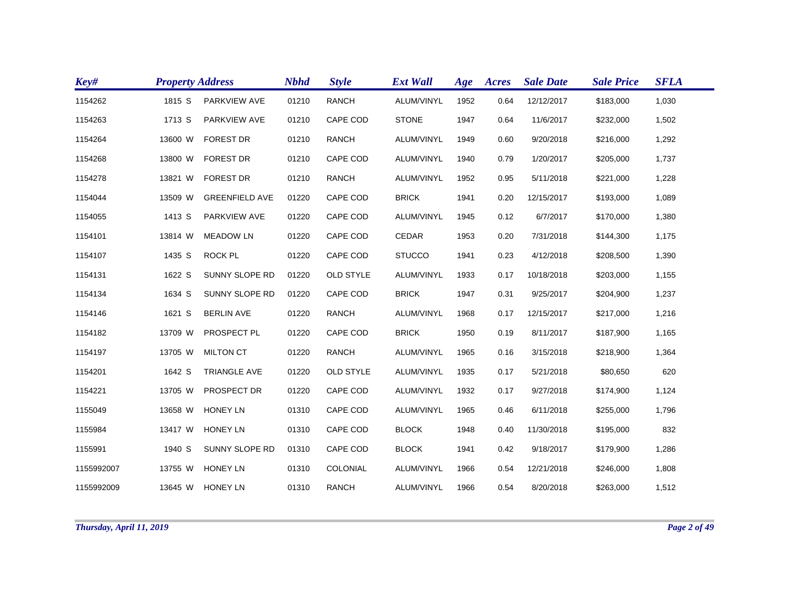| Key#       | <b>Property Address</b> |                       | <b>Nbhd</b> | <b>Style</b>     | <b>Ext Wall</b> | Age  | Acres | <b>Sale Date</b> | <b>Sale Price</b> | <b>SFLA</b> |
|------------|-------------------------|-----------------------|-------------|------------------|-----------------|------|-------|------------------|-------------------|-------------|
| 1154262    | 1815 S                  | PARKVIEW AVE          | 01210       | <b>RANCH</b>     | ALUM/VINYL      | 1952 | 0.64  | 12/12/2017       | \$183,000         | 1,030       |
| 1154263    | 1713 S                  | PARKVIEW AVE          | 01210       | CAPE COD         | <b>STONE</b>    | 1947 | 0.64  | 11/6/2017        | \$232,000         | 1,502       |
| 1154264    | 13600 W                 | <b>FOREST DR</b>      | 01210       | <b>RANCH</b>     | ALUM/VINYL      | 1949 | 0.60  | 9/20/2018        | \$216,000         | 1,292       |
| 1154268    | 13800 W                 | <b>FOREST DR</b>      | 01210       | CAPE COD         | ALUM/VINYL      | 1940 | 0.79  | 1/20/2017        | \$205,000         | 1,737       |
| 1154278    | 13821 W                 | <b>FOREST DR</b>      | 01210       | <b>RANCH</b>     | ALUM/VINYL      | 1952 | 0.95  | 5/11/2018        | \$221,000         | 1,228       |
| 1154044    | 13509 W                 | <b>GREENFIELD AVE</b> | 01220       | CAPE COD         | <b>BRICK</b>    | 1941 | 0.20  | 12/15/2017       | \$193,000         | 1,089       |
| 1154055    | 1413 S                  | PARKVIEW AVE          | 01220       | CAPE COD         | ALUM/VINYL      | 1945 | 0.12  | 6/7/2017         | \$170,000         | 1,380       |
| 1154101    | 13814 W                 | <b>MEADOW LN</b>      | 01220       | CAPE COD         | CEDAR           | 1953 | 0.20  | 7/31/2018        | \$144,300         | 1,175       |
| 1154107    | 1435 S                  | ROCK PL               | 01220       | CAPE COD         | <b>STUCCO</b>   | 1941 | 0.23  | 4/12/2018        | \$208,500         | 1,390       |
| 1154131    | 1622 S                  | SUNNY SLOPE RD        | 01220       | <b>OLD STYLE</b> | ALUM/VINYL      | 1933 | 0.17  | 10/18/2018       | \$203,000         | 1,155       |
| 1154134    | 1634 S                  | SUNNY SLOPE RD        | 01220       | CAPE COD         | <b>BRICK</b>    | 1947 | 0.31  | 9/25/2017        | \$204,900         | 1,237       |
| 1154146    | 1621 S                  | <b>BERLIN AVE</b>     | 01220       | <b>RANCH</b>     | ALUM/VINYL      | 1968 | 0.17  | 12/15/2017       | \$217,000         | 1,216       |
| 1154182    | 13709 W                 | PROSPECT PL           | 01220       | CAPE COD         | <b>BRICK</b>    | 1950 | 0.19  | 8/11/2017        | \$187,900         | 1,165       |
| 1154197    | 13705 W                 | <b>MILTON CT</b>      | 01220       | <b>RANCH</b>     | ALUM/VINYL      | 1965 | 0.16  | 3/15/2018        | \$218,900         | 1,364       |
| 1154201    | 1642 S                  | <b>TRIANGLE AVE</b>   | 01220       | <b>OLD STYLE</b> | ALUM/VINYL      | 1935 | 0.17  | 5/21/2018        | \$80,650          | 620         |
| 1154221    | 13705 W                 | PROSPECT DR           | 01220       | CAPE COD         | ALUM/VINYL      | 1932 | 0.17  | 9/27/2018        | \$174,900         | 1,124       |
| 1155049    | 13658 W                 | <b>HONEY LN</b>       | 01310       | CAPE COD         | ALUM/VINYL      | 1965 | 0.46  | 6/11/2018        | \$255,000         | 1,796       |
| 1155984    | 13417 W                 | <b>HONEY LN</b>       | 01310       | CAPE COD         | <b>BLOCK</b>    | 1948 | 0.40  | 11/30/2018       | \$195,000         | 832         |
| 1155991    | 1940 S                  | SUNNY SLOPE RD        | 01310       | CAPE COD         | <b>BLOCK</b>    | 1941 | 0.42  | 9/18/2017        | \$179,900         | 1,286       |
| 1155992007 | 13755 W                 | <b>HONEY LN</b>       | 01310       | COLONIAL         | ALUM/VINYL      | 1966 | 0.54  | 12/21/2018       | \$246,000         | 1,808       |
| 1155992009 | 13645 W                 | <b>HONEY LN</b>       | 01310       | <b>RANCH</b>     | ALUM/VINYL      | 1966 | 0.54  | 8/20/2018        | \$263,000         | 1,512       |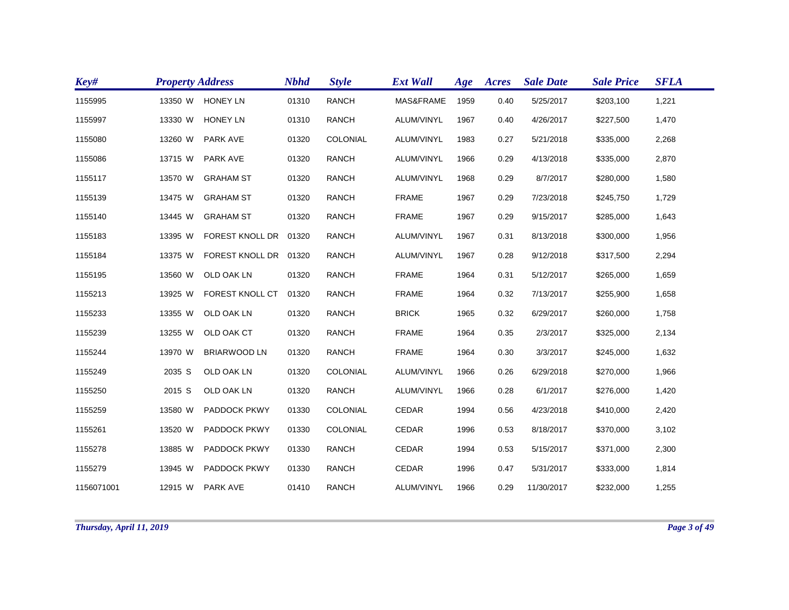| Key#       | <b>Property Address</b> |                        | <b>Nbhd</b> | <b>Style</b> | <b>Ext Wall</b> | Age  | Acres | <b>Sale Date</b> | <b>Sale Price</b> | <b>SFLA</b> |
|------------|-------------------------|------------------------|-------------|--------------|-----------------|------|-------|------------------|-------------------|-------------|
| 1155995    | 13350 W                 | <b>HONEY LN</b>        | 01310       | <b>RANCH</b> | MAS&FRAME       | 1959 | 0.40  | 5/25/2017        | \$203,100         | 1,221       |
| 1155997    | 13330 W                 | <b>HONEY LN</b>        | 01310       | <b>RANCH</b> | ALUM/VINYL      | 1967 | 0.40  | 4/26/2017        | \$227,500         | 1,470       |
| 1155080    | 13260 W                 | <b>PARK AVE</b>        | 01320       | COLONIAL     | ALUM/VINYL      | 1983 | 0.27  | 5/21/2018        | \$335,000         | 2,268       |
| 1155086    | 13715 W                 | <b>PARK AVE</b>        | 01320       | <b>RANCH</b> | ALUM/VINYL      | 1966 | 0.29  | 4/13/2018        | \$335,000         | 2,870       |
| 1155117    | 13570 W                 | <b>GRAHAM ST</b>       | 01320       | <b>RANCH</b> | ALUM/VINYL      | 1968 | 0.29  | 8/7/2017         | \$280,000         | 1,580       |
| 1155139    | 13475 W                 | <b>GRAHAM ST</b>       | 01320       | <b>RANCH</b> | <b>FRAME</b>    | 1967 | 0.29  | 7/23/2018        | \$245,750         | 1,729       |
| 1155140    | 13445 W                 | <b>GRAHAM ST</b>       | 01320       | <b>RANCH</b> | <b>FRAME</b>    | 1967 | 0.29  | 9/15/2017        | \$285,000         | 1,643       |
| 1155183    | 13395 W                 | <b>FOREST KNOLL DR</b> | 01320       | <b>RANCH</b> | ALUM/VINYL      | 1967 | 0.31  | 8/13/2018        | \$300,000         | 1,956       |
| 1155184    | 13375 W                 | FOREST KNOLL DR 01320  |             | <b>RANCH</b> | ALUM/VINYL      | 1967 | 0.28  | 9/12/2018        | \$317,500         | 2,294       |
| 1155195    | 13560 W                 | OLD OAK LN             | 01320       | <b>RANCH</b> | <b>FRAME</b>    | 1964 | 0.31  | 5/12/2017        | \$265,000         | 1,659       |
| 1155213    | 13925 W                 | FOREST KNOLL CT        | 01320       | <b>RANCH</b> | <b>FRAME</b>    | 1964 | 0.32  | 7/13/2017        | \$255,900         | 1,658       |
| 1155233    | 13355 W                 | OLD OAK LN             | 01320       | <b>RANCH</b> | <b>BRICK</b>    | 1965 | 0.32  | 6/29/2017        | \$260,000         | 1,758       |
| 1155239    | 13255 W                 | OLD OAK CT             | 01320       | <b>RANCH</b> | <b>FRAME</b>    | 1964 | 0.35  | 2/3/2017         | \$325,000         | 2,134       |
| 1155244    | 13970 W                 | <b>BRIARWOOD LN</b>    | 01320       | <b>RANCH</b> | <b>FRAME</b>    | 1964 | 0.30  | 3/3/2017         | \$245,000         | 1,632       |
| 1155249    | 2035 S                  | OLD OAK LN             | 01320       | COLONIAL     | ALUM/VINYL      | 1966 | 0.26  | 6/29/2018        | \$270,000         | 1,966       |
| 1155250    | 2015 S                  | OLD OAK LN             | 01320       | <b>RANCH</b> | ALUM/VINYL      | 1966 | 0.28  | 6/1/2017         | \$276,000         | 1,420       |
| 1155259    | 13580 W                 | PADDOCK PKWY           | 01330       | COLONIAL     | <b>CEDAR</b>    | 1994 | 0.56  | 4/23/2018        | \$410,000         | 2,420       |
| 1155261    | 13520 W                 | <b>PADDOCK PKWY</b>    | 01330       | COLONIAL     | <b>CEDAR</b>    | 1996 | 0.53  | 8/18/2017        | \$370,000         | 3,102       |
| 1155278    | 13885 W                 | <b>PADDOCK PKWY</b>    | 01330       | <b>RANCH</b> | <b>CEDAR</b>    | 1994 | 0.53  | 5/15/2017        | \$371,000         | 2,300       |
| 1155279    | 13945 W                 | PADDOCK PKWY           | 01330       | <b>RANCH</b> | <b>CEDAR</b>    | 1996 | 0.47  | 5/31/2017        | \$333,000         | 1,814       |
| 1156071001 | 12915 W                 | <b>PARK AVE</b>        | 01410       | <b>RANCH</b> | ALUM/VINYL      | 1966 | 0.29  | 11/30/2017       | \$232,000         | 1,255       |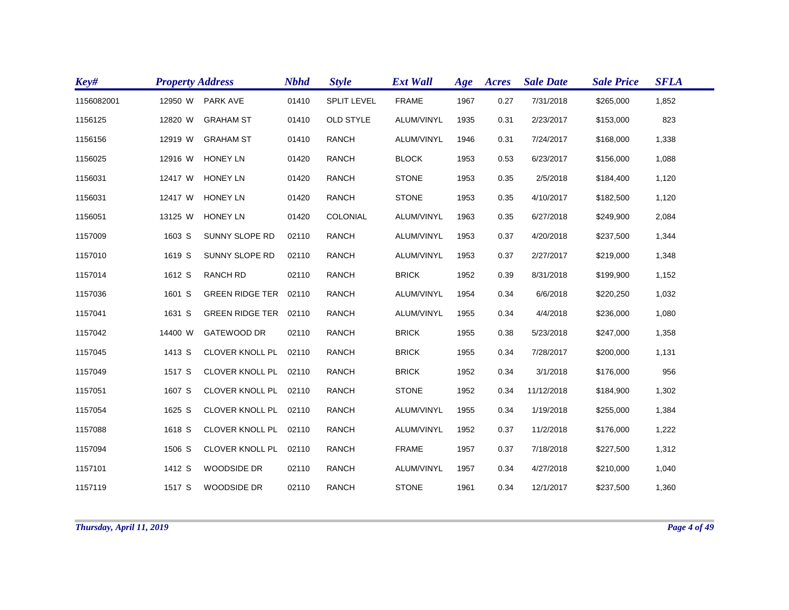| Key#       | <b>Property Address</b> |                        | <b>Nbhd</b> | <b>Style</b>       | <b>Ext Wall</b> | Age  | Acres | <b>Sale Date</b> | <b>Sale Price</b> | <b>SFLA</b> |
|------------|-------------------------|------------------------|-------------|--------------------|-----------------|------|-------|------------------|-------------------|-------------|
| 1156082001 | 12950 W                 | <b>PARK AVE</b>        | 01410       | <b>SPLIT LEVEL</b> | <b>FRAME</b>    | 1967 | 0.27  | 7/31/2018        | \$265,000         | 1,852       |
| 1156125    | 12820 W                 | <b>GRAHAM ST</b>       | 01410       | <b>OLD STYLE</b>   | ALUM/VINYL      | 1935 | 0.31  | 2/23/2017        | \$153,000         | 823         |
| 1156156    | 12919 W                 | <b>GRAHAM ST</b>       | 01410       | <b>RANCH</b>       | ALUM/VINYL      | 1946 | 0.31  | 7/24/2017        | \$168,000         | 1,338       |
| 1156025    | 12916 W                 | <b>HONEY LN</b>        | 01420       | <b>RANCH</b>       | <b>BLOCK</b>    | 1953 | 0.53  | 6/23/2017        | \$156,000         | 1,088       |
| 1156031    | 12417 W                 | <b>HONEY LN</b>        | 01420       | <b>RANCH</b>       | <b>STONE</b>    | 1953 | 0.35  | 2/5/2018         | \$184,400         | 1,120       |
| 1156031    | 12417 W                 | <b>HONEY LN</b>        | 01420       | RANCH              | <b>STONE</b>    | 1953 | 0.35  | 4/10/2017        | \$182,500         | 1,120       |
| 1156051    | 13125 W                 | <b>HONEY LN</b>        | 01420       | COLONIAL           | ALUM/VINYL      | 1963 | 0.35  | 6/27/2018        | \$249,900         | 2,084       |
| 1157009    | 1603 S                  | SUNNY SLOPE RD         | 02110       | <b>RANCH</b>       | ALUM/VINYL      | 1953 | 0.37  | 4/20/2018        | \$237,500         | 1,344       |
| 1157010    | 1619 S                  | <b>SUNNY SLOPE RD</b>  | 02110       | <b>RANCH</b>       | ALUM/VINYL      | 1953 | 0.37  | 2/27/2017        | \$219,000         | 1,348       |
| 1157014    | 1612 S                  | <b>RANCH RD</b>        | 02110       | <b>RANCH</b>       | <b>BRICK</b>    | 1952 | 0.39  | 8/31/2018        | \$199,900         | 1,152       |
| 1157036    | 1601 S                  | GREEN RIDGE TER 02110  |             | <b>RANCH</b>       | ALUM/VINYL      | 1954 | 0.34  | 6/6/2018         | \$220,250         | 1,032       |
| 1157041    | 1631 S                  | <b>GREEN RIDGE TER</b> | 02110       | <b>RANCH</b>       | ALUM/VINYL      | 1955 | 0.34  | 4/4/2018         | \$236,000         | 1,080       |
| 1157042    | 14400 W                 | <b>GATEWOOD DR</b>     | 02110       | <b>RANCH</b>       | <b>BRICK</b>    | 1955 | 0.38  | 5/23/2018        | \$247,000         | 1,358       |
| 1157045    | 1413 S                  | CLOVER KNOLL PL 02110  |             | <b>RANCH</b>       | <b>BRICK</b>    | 1955 | 0.34  | 7/28/2017        | \$200,000         | 1,131       |
| 1157049    | 1517 S                  | CLOVER KNOLL PL 02110  |             | RANCH              | <b>BRICK</b>    | 1952 | 0.34  | 3/1/2018         | \$176,000         | 956         |
| 1157051    | 1607 S                  | CLOVER KNOLL PL 02110  |             | <b>RANCH</b>       | <b>STONE</b>    | 1952 | 0.34  | 11/12/2018       | \$184,900         | 1,302       |
| 1157054    | 1625 S                  | CLOVER KNOLL PL 02110  |             | <b>RANCH</b>       | ALUM/VINYL      | 1955 | 0.34  | 1/19/2018        | \$255,000         | 1,384       |
| 1157088    | 1618 S                  | CLOVER KNOLL PL 02110  |             | <b>RANCH</b>       | ALUM/VINYL      | 1952 | 0.37  | 11/2/2018        | \$176,000         | 1,222       |
| 1157094    | 1506 S                  | CLOVER KNOLL PL 02110  |             | <b>RANCH</b>       | <b>FRAME</b>    | 1957 | 0.37  | 7/18/2018        | \$227,500         | 1,312       |
| 1157101    | 1412 S                  | WOODSIDE DR            | 02110       | <b>RANCH</b>       | ALUM/VINYL      | 1957 | 0.34  | 4/27/2018        | \$210,000         | 1,040       |
| 1157119    | 1517 S                  | <b>WOODSIDE DR</b>     | 02110       | <b>RANCH</b>       | <b>STONE</b>    | 1961 | 0.34  | 12/1/2017        | \$237,500         | 1,360       |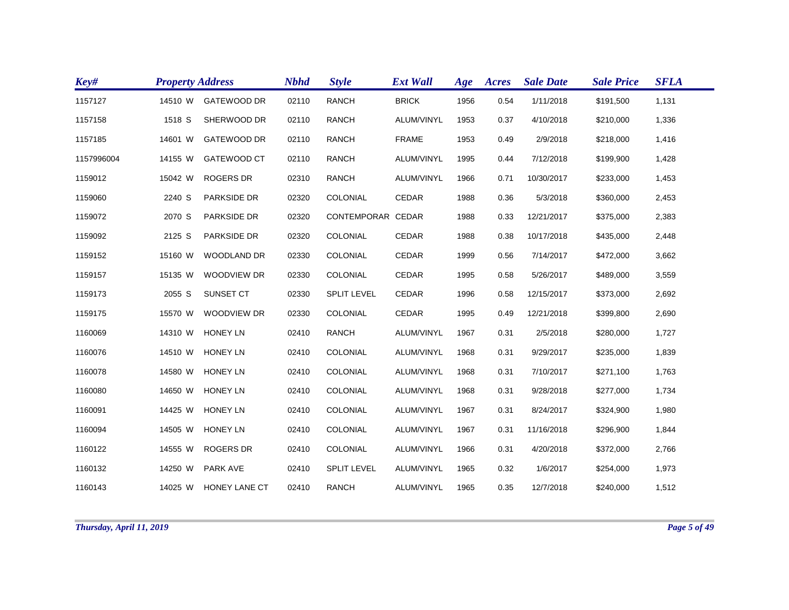| Key#       | <b>Property Address</b> |                      | <b>Nbhd</b> | <b>Style</b>       | <b>Ext Wall</b> | Age  | Acres | <b>Sale Date</b> | <b>Sale Price</b> | <b>SFLA</b> |
|------------|-------------------------|----------------------|-------------|--------------------|-----------------|------|-------|------------------|-------------------|-------------|
| 1157127    | 14510 W                 | <b>GATEWOOD DR</b>   | 02110       | <b>RANCH</b>       | <b>BRICK</b>    | 1956 | 0.54  | 1/11/2018        | \$191,500         | 1,131       |
| 1157158    | 1518 S                  | SHERWOOD DR          | 02110       | <b>RANCH</b>       | ALUM/VINYL      | 1953 | 0.37  | 4/10/2018        | \$210,000         | 1,336       |
| 1157185    | 14601 W                 | <b>GATEWOOD DR</b>   | 02110       | <b>RANCH</b>       | <b>FRAME</b>    | 1953 | 0.49  | 2/9/2018         | \$218,000         | 1,416       |
| 1157996004 | 14155 W                 | GATEWOOD CT          | 02110       | <b>RANCH</b>       | ALUM/VINYL      | 1995 | 0.44  | 7/12/2018        | \$199,900         | 1,428       |
| 1159012    | 15042 W                 | <b>ROGERS DR</b>     | 02310       | <b>RANCH</b>       | ALUM/VINYL      | 1966 | 0.71  | 10/30/2017       | \$233,000         | 1,453       |
| 1159060    | 2240 S                  | PARKSIDE DR          | 02320       | COLONIAL           | <b>CEDAR</b>    | 1988 | 0.36  | 5/3/2018         | \$360,000         | 2,453       |
| 1159072    | 2070 S                  | PARKSIDE DR          | 02320       | CONTEMPORAR CEDAR  |                 | 1988 | 0.33  | 12/21/2017       | \$375,000         | 2,383       |
| 1159092    | 2125 S                  | PARKSIDE DR          | 02320       | COLONIAL           | <b>CEDAR</b>    | 1988 | 0.38  | 10/17/2018       | \$435,000         | 2,448       |
| 1159152    | 15160 W                 | WOODLAND DR          | 02330       | COLONIAL           | CEDAR           | 1999 | 0.56  | 7/14/2017        | \$472,000         | 3,662       |
| 1159157    | 15135 W                 | WOODVIEW DR          | 02330       | COLONIAL           | CEDAR           | 1995 | 0.58  | 5/26/2017        | \$489,000         | 3,559       |
| 1159173    | 2055 S                  | SUNSET CT            | 02330       | <b>SPLIT LEVEL</b> | <b>CEDAR</b>    | 1996 | 0.58  | 12/15/2017       | \$373,000         | 2,692       |
| 1159175    | 15570 W                 | <b>WOODVIEW DR</b>   | 02330       | COLONIAL           | <b>CEDAR</b>    | 1995 | 0.49  | 12/21/2018       | \$399,800         | 2,690       |
| 1160069    | 14310 W                 | <b>HONEY LN</b>      | 02410       | <b>RANCH</b>       | ALUM/VINYL      | 1967 | 0.31  | 2/5/2018         | \$280,000         | 1,727       |
| 1160076    | 14510 W                 | <b>HONEY LN</b>      | 02410       | COLONIAL           | ALUM/VINYL      | 1968 | 0.31  | 9/29/2017        | \$235,000         | 1,839       |
| 1160078    | 14580 W                 | <b>HONEY LN</b>      | 02410       | COLONIAL           | ALUM/VINYL      | 1968 | 0.31  | 7/10/2017        | \$271,100         | 1,763       |
| 1160080    | 14650 W                 | <b>HONEY LN</b>      | 02410       | COLONIAL           | ALUM/VINYL      | 1968 | 0.31  | 9/28/2018        | \$277,000         | 1,734       |
| 1160091    | 14425 W                 | <b>HONEY LN</b>      | 02410       | COLONIAL           | ALUM/VINYL      | 1967 | 0.31  | 8/24/2017        | \$324,900         | 1,980       |
| 1160094    | 14505 W                 | <b>HONEY LN</b>      | 02410       | COLONIAL           | ALUM/VINYL      | 1967 | 0.31  | 11/16/2018       | \$296,900         | 1,844       |
| 1160122    | 14555 W                 | <b>ROGERS DR</b>     | 02410       | COLONIAL           | ALUM/VINYL      | 1966 | 0.31  | 4/20/2018        | \$372,000         | 2,766       |
| 1160132    | 14250 W                 | PARK AVE             | 02410       | <b>SPLIT LEVEL</b> | ALUM/VINYL      | 1965 | 0.32  | 1/6/2017         | \$254,000         | 1,973       |
| 1160143    | 14025 W                 | <b>HONEY LANE CT</b> | 02410       | <b>RANCH</b>       | ALUM/VINYL      | 1965 | 0.35  | 12/7/2018        | \$240,000         | 1,512       |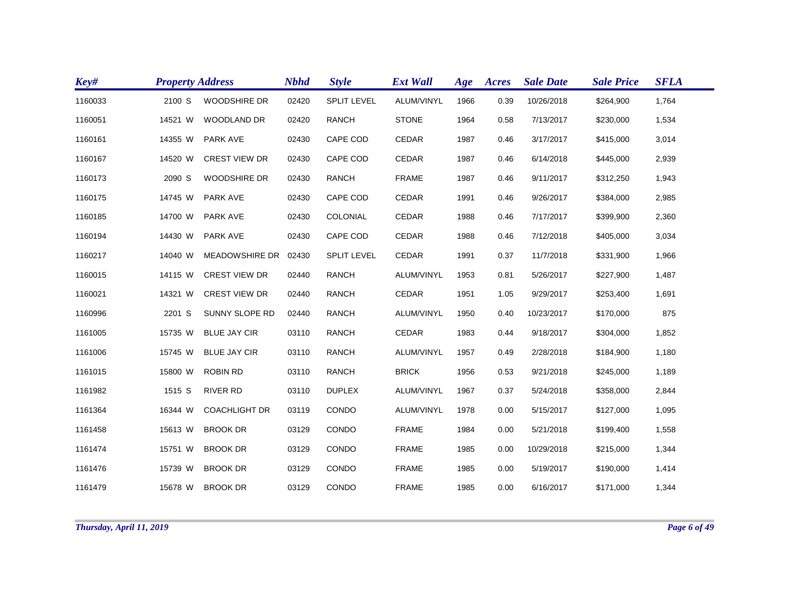| Key#    | <b>Property Address</b> |                       | <b>Nbhd</b> | <b>Style</b>       | <b>Ext Wall</b> | Age  | Acres | <b>Sale Date</b> | <b>Sale Price</b> | <b>SFLA</b> |
|---------|-------------------------|-----------------------|-------------|--------------------|-----------------|------|-------|------------------|-------------------|-------------|
| 1160033 | 2100 S                  | <b>WOODSHIRE DR</b>   | 02420       | <b>SPLIT LEVEL</b> | ALUM/VINYL      | 1966 | 0.39  | 10/26/2018       | \$264,900         | 1,764       |
| 1160051 | 14521 W                 | <b>WOODLAND DR</b>    | 02420       | <b>RANCH</b>       | <b>STONE</b>    | 1964 | 0.58  | 7/13/2017        | \$230,000         | 1,534       |
| 1160161 | 14355 W                 | PARK AVE              | 02430       | CAPE COD           | CEDAR           | 1987 | 0.46  | 3/17/2017        | \$415,000         | 3,014       |
| 1160167 | 14520 W                 | <b>CREST VIEW DR</b>  | 02430       | CAPE COD           | CEDAR           | 1987 | 0.46  | 6/14/2018        | \$445,000         | 2,939       |
| 1160173 | 2090 S                  | <b>WOODSHIRE DR</b>   | 02430       | <b>RANCH</b>       | <b>FRAME</b>    | 1987 | 0.46  | 9/11/2017        | \$312,250         | 1,943       |
| 1160175 | 14745 W                 | PARK AVE              | 02430       | CAPE COD           | CEDAR           | 1991 | 0.46  | 9/26/2017        | \$384,000         | 2,985       |
| 1160185 | 14700 W                 | <b>PARK AVE</b>       | 02430       | COLONIAL           | CEDAR           | 1988 | 0.46  | 7/17/2017        | \$399,900         | 2,360       |
| 1160194 | 14430 W                 | <b>PARK AVE</b>       | 02430       | CAPE COD           | CEDAR           | 1988 | 0.46  | 7/12/2018        | \$405,000         | 3,034       |
| 1160217 | 14040 W                 | <b>MEADOWSHIRE DR</b> | 02430       | <b>SPLIT LEVEL</b> | <b>CEDAR</b>    | 1991 | 0.37  | 11/7/2018        | \$331,900         | 1,966       |
| 1160015 | 14115 W                 | <b>CREST VIEW DR</b>  | 02440       | <b>RANCH</b>       | ALUM/VINYL      | 1953 | 0.81  | 5/26/2017        | \$227,900         | 1,487       |
| 1160021 | 14321 W                 | <b>CREST VIEW DR</b>  | 02440       | <b>RANCH</b>       | CEDAR           | 1951 | 1.05  | 9/29/2017        | \$253,400         | 1,691       |
| 1160996 | 2201 S                  | SUNNY SLOPE RD        | 02440       | <b>RANCH</b>       | ALUM/VINYL      | 1950 | 0.40  | 10/23/2017       | \$170,000         | 875         |
| 1161005 | 15735 W                 | <b>BLUE JAY CIR</b>   | 03110       | <b>RANCH</b>       | <b>CEDAR</b>    | 1983 | 0.44  | 9/18/2017        | \$304,000         | 1,852       |
| 1161006 | 15745 W                 | <b>BLUE JAY CIR</b>   | 03110       | <b>RANCH</b>       | ALUM/VINYL      | 1957 | 0.49  | 2/28/2018        | \$184,900         | 1,180       |
| 1161015 | 15800 W                 | <b>ROBIN RD</b>       | 03110       | <b>RANCH</b>       | <b>BRICK</b>    | 1956 | 0.53  | 9/21/2018        | \$245,000         | 1,189       |
| 1161982 | 1515 S                  | <b>RIVER RD</b>       | 03110       | <b>DUPLEX</b>      | ALUM/VINYL      | 1967 | 0.37  | 5/24/2018        | \$358,000         | 2,844       |
| 1161364 | 16344 W                 | <b>COACHLIGHT DR</b>  | 03119       | CONDO              | ALUM/VINYL      | 1978 | 0.00  | 5/15/2017        | \$127,000         | 1,095       |
| 1161458 | 15613 W                 | <b>BROOK DR</b>       | 03129       | CONDO              | <b>FRAME</b>    | 1984 | 0.00  | 5/21/2018        | \$199,400         | 1,558       |
| 1161474 | 15751 W                 | <b>BROOK DR</b>       | 03129       | CONDO              | <b>FRAME</b>    | 1985 | 0.00  | 10/29/2018       | \$215,000         | 1,344       |
| 1161476 | 15739 W                 | <b>BROOK DR</b>       | 03129       | CONDO              | <b>FRAME</b>    | 1985 | 0.00  | 5/19/2017        | \$190,000         | 1,414       |
| 1161479 | 15678 W                 | <b>BROOK DR</b>       | 03129       | CONDO              | <b>FRAME</b>    | 1985 | 0.00  | 6/16/2017        | \$171,000         | 1,344       |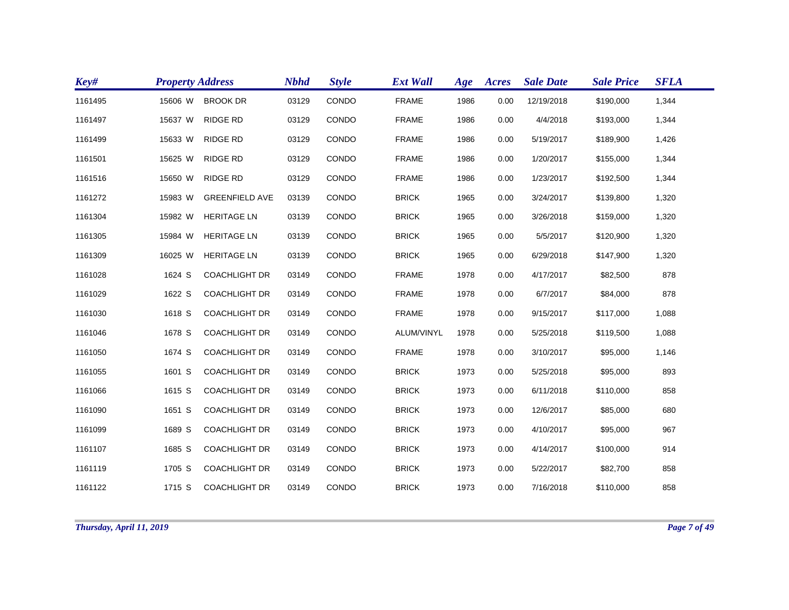| Key#    | <b>Property Address</b> |                       | <b>Nbhd</b> | <b>Style</b> | <b>Ext Wall</b> | Age  | Acres | <b>Sale Date</b> | <b>Sale Price</b> | <b>SFLA</b> |
|---------|-------------------------|-----------------------|-------------|--------------|-----------------|------|-------|------------------|-------------------|-------------|
| 1161495 | 15606 W                 | <b>BROOK DR</b>       | 03129       | CONDO        | <b>FRAME</b>    | 1986 | 0.00  | 12/19/2018       | \$190,000         | 1,344       |
| 1161497 | 15637 W                 | <b>RIDGE RD</b>       | 03129       | CONDO        | <b>FRAME</b>    | 1986 | 0.00  | 4/4/2018         | \$193,000         | 1,344       |
| 1161499 | 15633 W                 | <b>RIDGE RD</b>       | 03129       | CONDO        | <b>FRAME</b>    | 1986 | 0.00  | 5/19/2017        | \$189,900         | 1,426       |
| 1161501 | 15625 W                 | <b>RIDGE RD</b>       | 03129       | CONDO        | <b>FRAME</b>    | 1986 | 0.00  | 1/20/2017        | \$155,000         | 1,344       |
| 1161516 | 15650 W                 | <b>RIDGE RD</b>       | 03129       | CONDO        | <b>FRAME</b>    | 1986 | 0.00  | 1/23/2017        | \$192,500         | 1,344       |
| 1161272 | 15983 W                 | <b>GREENFIELD AVE</b> | 03139       | CONDO        | <b>BRICK</b>    | 1965 | 0.00  | 3/24/2017        | \$139,800         | 1,320       |
| 1161304 | 15982 W                 | <b>HERITAGE LN</b>    | 03139       | CONDO        | <b>BRICK</b>    | 1965 | 0.00  | 3/26/2018        | \$159,000         | 1,320       |
| 1161305 | 15984 W                 | <b>HERITAGE LN</b>    | 03139       | CONDO        | <b>BRICK</b>    | 1965 | 0.00  | 5/5/2017         | \$120,900         | 1,320       |
| 1161309 | 16025 W                 | <b>HERITAGE LN</b>    | 03139       | CONDO        | <b>BRICK</b>    | 1965 | 0.00  | 6/29/2018        | \$147,900         | 1,320       |
| 1161028 | 1624 S                  | <b>COACHLIGHT DR</b>  | 03149       | CONDO        | <b>FRAME</b>    | 1978 | 0.00  | 4/17/2017        | \$82,500          | 878         |
| 1161029 | 1622 S                  | <b>COACHLIGHT DR</b>  | 03149       | CONDO        | <b>FRAME</b>    | 1978 | 0.00  | 6/7/2017         | \$84,000          | 878         |
| 1161030 | 1618 S                  | <b>COACHLIGHT DR</b>  | 03149       | CONDO        | <b>FRAME</b>    | 1978 | 0.00  | 9/15/2017        | \$117,000         | 1,088       |
| 1161046 | 1678 S                  | <b>COACHLIGHT DR</b>  | 03149       | CONDO        | ALUM/VINYL      | 1978 | 0.00  | 5/25/2018        | \$119,500         | 1,088       |
| 1161050 | 1674 S                  | <b>COACHLIGHT DR</b>  | 03149       | CONDO        | <b>FRAME</b>    | 1978 | 0.00  | 3/10/2017        | \$95,000          | 1,146       |
| 1161055 | 1601 S                  | <b>COACHLIGHT DR</b>  | 03149       | CONDO        | <b>BRICK</b>    | 1973 | 0.00  | 5/25/2018        | \$95,000          | 893         |
| 1161066 | 1615 S                  | <b>COACHLIGHT DR</b>  | 03149       | CONDO        | <b>BRICK</b>    | 1973 | 0.00  | 6/11/2018        | \$110,000         | 858         |
| 1161090 | 1651 S                  | <b>COACHLIGHT DR</b>  | 03149       | CONDO        | <b>BRICK</b>    | 1973 | 0.00  | 12/6/2017        | \$85,000          | 680         |
| 1161099 | 1689 S                  | <b>COACHLIGHT DR</b>  | 03149       | CONDO        | <b>BRICK</b>    | 1973 | 0.00  | 4/10/2017        | \$95,000          | 967         |
| 1161107 | 1685 S                  | <b>COACHLIGHT DR</b>  | 03149       | CONDO        | <b>BRICK</b>    | 1973 | 0.00  | 4/14/2017        | \$100,000         | 914         |
| 1161119 | 1705 S                  | <b>COACHLIGHT DR</b>  | 03149       | CONDO        | <b>BRICK</b>    | 1973 | 0.00  | 5/22/2017        | \$82,700          | 858         |
| 1161122 | 1715 S                  | <b>COACHLIGHT DR</b>  | 03149       | CONDO        | <b>BRICK</b>    | 1973 | 0.00  | 7/16/2018        | \$110,000         | 858         |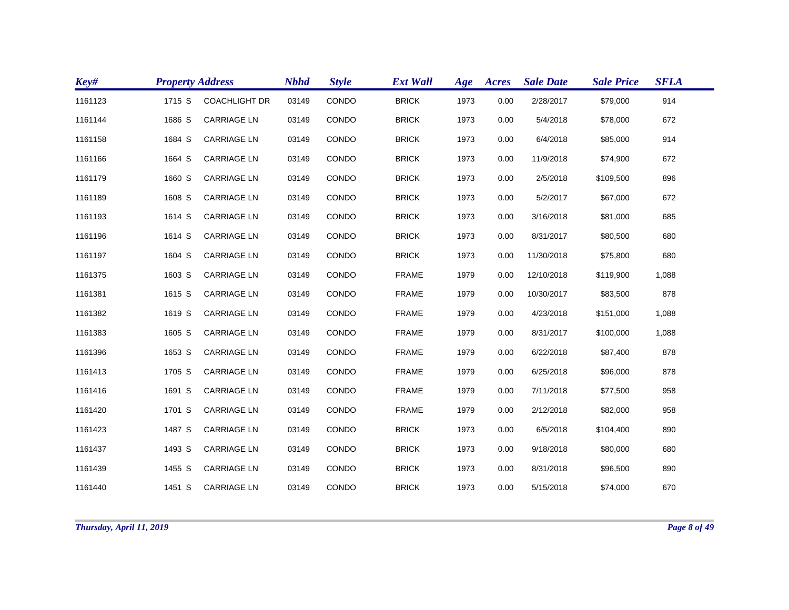| Key#    | <b>Property Address</b> |                      | <b>Nbhd</b> | <b>Style</b> | <b>Ext Wall</b> | Age  | Acres | <b>Sale Date</b> | <b>Sale Price</b> | <b>SFLA</b> |  |
|---------|-------------------------|----------------------|-------------|--------------|-----------------|------|-------|------------------|-------------------|-------------|--|
| 1161123 | 1715 S                  | <b>COACHLIGHT DR</b> | 03149       | CONDO        | <b>BRICK</b>    | 1973 | 0.00  | 2/28/2017        | \$79,000          | 914         |  |
| 1161144 | 1686 S                  | <b>CARRIAGE LN</b>   | 03149       | CONDO        | <b>BRICK</b>    | 1973 | 0.00  | 5/4/2018         | \$78,000          | 672         |  |
| 1161158 | 1684 S                  | <b>CARRIAGE LN</b>   | 03149       | CONDO        | <b>BRICK</b>    | 1973 | 0.00  | 6/4/2018         | \$85,000          | 914         |  |
| 1161166 | 1664 S                  | <b>CARRIAGE LN</b>   | 03149       | CONDO        | <b>BRICK</b>    | 1973 | 0.00  | 11/9/2018        | \$74,900          | 672         |  |
| 1161179 | 1660 S                  | <b>CARRIAGE LN</b>   | 03149       | CONDO        | <b>BRICK</b>    | 1973 | 0.00  | 2/5/2018         | \$109,500         | 896         |  |
| 1161189 | 1608 S                  | <b>CARRIAGE LN</b>   | 03149       | CONDO        | <b>BRICK</b>    | 1973 | 0.00  | 5/2/2017         | \$67,000          | 672         |  |
| 1161193 | 1614 S                  | <b>CARRIAGE LN</b>   | 03149       | CONDO        | <b>BRICK</b>    | 1973 | 0.00  | 3/16/2018        | \$81,000          | 685         |  |
| 1161196 | 1614 S                  | <b>CARRIAGE LN</b>   | 03149       | CONDO        | <b>BRICK</b>    | 1973 | 0.00  | 8/31/2017        | \$80,500          | 680         |  |
| 1161197 | 1604 S                  | <b>CARRIAGE LN</b>   | 03149       | CONDO        | <b>BRICK</b>    | 1973 | 0.00  | 11/30/2018       | \$75,800          | 680         |  |
| 1161375 | 1603 S                  | <b>CARRIAGE LN</b>   | 03149       | CONDO        | <b>FRAME</b>    | 1979 | 0.00  | 12/10/2018       | \$119,900         | 1,088       |  |
| 1161381 | 1615 S                  | <b>CARRIAGE LN</b>   | 03149       | CONDO        | <b>FRAME</b>    | 1979 | 0.00  | 10/30/2017       | \$83,500          | 878         |  |
| 1161382 | 1619 S                  | <b>CARRIAGE LN</b>   | 03149       | CONDO        | <b>FRAME</b>    | 1979 | 0.00  | 4/23/2018        | \$151,000         | 1,088       |  |
| 1161383 | 1605 S                  | <b>CARRIAGE LN</b>   | 03149       | CONDO        | <b>FRAME</b>    | 1979 | 0.00  | 8/31/2017        | \$100,000         | 1,088       |  |
| 1161396 | 1653 S                  | <b>CARRIAGE LN</b>   | 03149       | CONDO        | <b>FRAME</b>    | 1979 | 0.00  | 6/22/2018        | \$87,400          | 878         |  |
| 1161413 | 1705 S                  | <b>CARRIAGE LN</b>   | 03149       | CONDO        | <b>FRAME</b>    | 1979 | 0.00  | 6/25/2018        | \$96,000          | 878         |  |
| 1161416 | 1691 S                  | <b>CARRIAGE LN</b>   | 03149       | CONDO        | <b>FRAME</b>    | 1979 | 0.00  | 7/11/2018        | \$77,500          | 958         |  |
| 1161420 | 1701 S                  | <b>CARRIAGE LN</b>   | 03149       | CONDO        | <b>FRAME</b>    | 1979 | 0.00  | 2/12/2018        | \$82,000          | 958         |  |
| 1161423 | 1487 S                  | <b>CARRIAGE LN</b>   | 03149       | CONDO        | <b>BRICK</b>    | 1973 | 0.00  | 6/5/2018         | \$104,400         | 890         |  |
| 1161437 | 1493 S                  | <b>CARRIAGE LN</b>   | 03149       | CONDO        | <b>BRICK</b>    | 1973 | 0.00  | 9/18/2018        | \$80,000          | 680         |  |
| 1161439 | 1455 S                  | <b>CARRIAGE LN</b>   | 03149       | <b>CONDO</b> | <b>BRICK</b>    | 1973 | 0.00  | 8/31/2018        | \$96,500          | 890         |  |
| 1161440 | 1451 S                  | <b>CARRIAGE LN</b>   | 03149       | CONDO        | <b>BRICK</b>    | 1973 | 0.00  | 5/15/2018        | \$74,000          | 670         |  |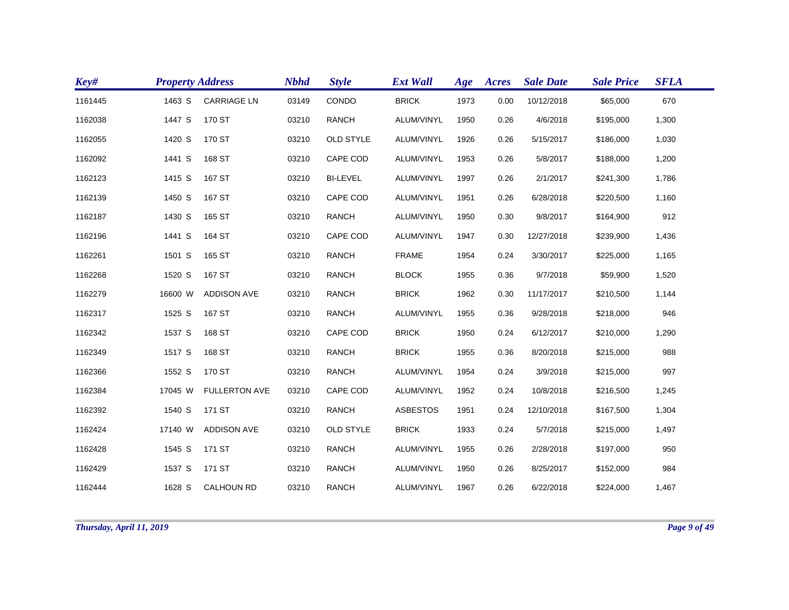| Key#    | <b>Property Address</b> |                      | <b>Nbhd</b> | <b>Style</b>     | <b>Ext Wall</b> | Age  | Acres | <b>Sale Date</b> | <b>Sale Price</b> | <b>SFLA</b> |
|---------|-------------------------|----------------------|-------------|------------------|-----------------|------|-------|------------------|-------------------|-------------|
| 1161445 | 1463 S                  | <b>CARRIAGE LN</b>   | 03149       | CONDO            | <b>BRICK</b>    | 1973 | 0.00  | 10/12/2018       | \$65,000          | 670         |
| 1162038 | 1447 S                  | 170 ST               | 03210       | <b>RANCH</b>     | ALUM/VINYL      | 1950 | 0.26  | 4/6/2018         | \$195,000         | 1,300       |
| 1162055 | 1420 S                  | 170 ST               | 03210       | <b>OLD STYLE</b> | ALUM/VINYL      | 1926 | 0.26  | 5/15/2017        | \$186,000         | 1,030       |
| 1162092 | 1441 S                  | 168 ST               | 03210       | CAPE COD         | ALUM/VINYL      | 1953 | 0.26  | 5/8/2017         | \$188,000         | 1,200       |
| 1162123 | 1415 S                  | 167 ST               | 03210       | <b>BI-LEVEL</b>  | ALUM/VINYL      | 1997 | 0.26  | 2/1/2017         | \$241,300         | 1,786       |
| 1162139 | 1450 S                  | 167 ST               | 03210       | CAPE COD         | ALUM/VINYL      | 1951 | 0.26  | 6/28/2018        | \$220,500         | 1,160       |
| 1162187 | 1430 S                  | 165 ST               | 03210       | <b>RANCH</b>     | ALUM/VINYL      | 1950 | 0.30  | 9/8/2017         | \$164,900         | 912         |
| 1162196 | 1441 S                  | 164 ST               | 03210       | CAPE COD         | ALUM/VINYL      | 1947 | 0.30  | 12/27/2018       | \$239,900         | 1,436       |
| 1162261 | 1501 S                  | 165 ST               | 03210       | <b>RANCH</b>     | <b>FRAME</b>    | 1954 | 0.24  | 3/30/2017        | \$225,000         | 1,165       |
| 1162268 | 1520 S                  | 167 ST               | 03210       | <b>RANCH</b>     | <b>BLOCK</b>    | 1955 | 0.36  | 9/7/2018         | \$59,900          | 1,520       |
| 1162279 | 16600 W                 | <b>ADDISON AVE</b>   | 03210       | <b>RANCH</b>     | <b>BRICK</b>    | 1962 | 0.30  | 11/17/2017       | \$210,500         | 1,144       |
| 1162317 | 1525 S                  | 167 ST               | 03210       | <b>RANCH</b>     | ALUM/VINYL      | 1955 | 0.36  | 9/28/2018        | \$218,000         | 946         |
| 1162342 | 1537 S                  | 168 ST               | 03210       | CAPE COD         | <b>BRICK</b>    | 1950 | 0.24  | 6/12/2017        | \$210,000         | 1,290       |
| 1162349 | 1517 S                  | 168 ST               | 03210       | <b>RANCH</b>     | <b>BRICK</b>    | 1955 | 0.36  | 8/20/2018        | \$215,000         | 988         |
| 1162366 | 1552 S                  | 170 ST               | 03210       | <b>RANCH</b>     | ALUM/VINYL      | 1954 | 0.24  | 3/9/2018         | \$215,000         | 997         |
| 1162384 | 17045 W                 | <b>FULLERTON AVE</b> | 03210       | CAPE COD         | ALUM/VINYL      | 1952 | 0.24  | 10/8/2018        | \$216,500         | 1,245       |
| 1162392 | 1540 S                  | 171 ST               | 03210       | <b>RANCH</b>     | <b>ASBESTOS</b> | 1951 | 0.24  | 12/10/2018       | \$167,500         | 1,304       |
| 1162424 | 17140 W                 | <b>ADDISON AVE</b>   | 03210       | <b>OLD STYLE</b> | <b>BRICK</b>    | 1933 | 0.24  | 5/7/2018         | \$215,000         | 1,497       |
| 1162428 | 1545 S                  | 171 ST               | 03210       | <b>RANCH</b>     | ALUM/VINYL      | 1955 | 0.26  | 2/28/2018        | \$197,000         | 950         |
| 1162429 | 1537 S                  | 171 ST               | 03210       | <b>RANCH</b>     | ALUM/VINYL      | 1950 | 0.26  | 8/25/2017        | \$152,000         | 984         |
| 1162444 | 1628 S                  | <b>CALHOUN RD</b>    | 03210       | <b>RANCH</b>     | ALUM/VINYL      | 1967 | 0.26  | 6/22/2018        | \$224,000         | 1,467       |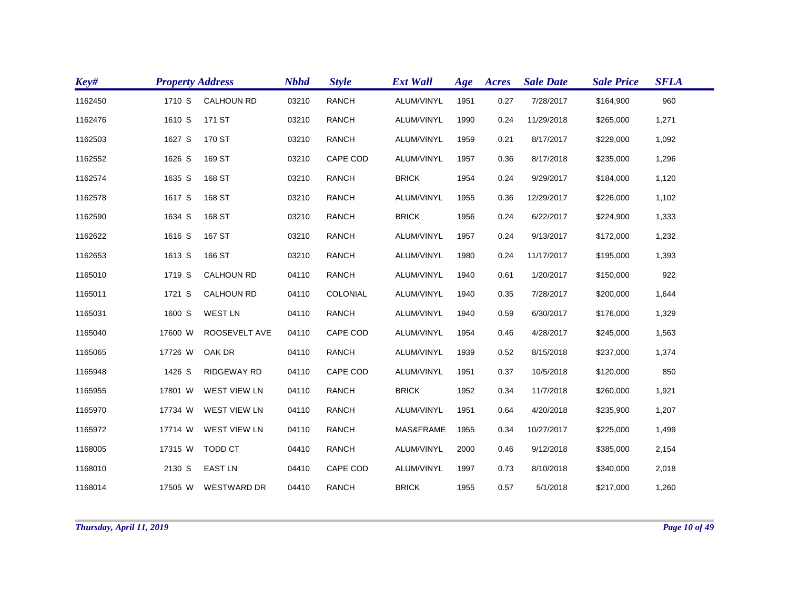| Key#    | <b>Property Address</b> |                     | <b>Nbhd</b> | <b>Style</b> | <b>Ext Wall</b> | Age  | Acres | <b>Sale Date</b> | <b>Sale Price</b> | <b>SFLA</b> |
|---------|-------------------------|---------------------|-------------|--------------|-----------------|------|-------|------------------|-------------------|-------------|
| 1162450 | 1710 S                  | <b>CALHOUN RD</b>   | 03210       | <b>RANCH</b> | ALUM/VINYL      | 1951 | 0.27  | 7/28/2017        | \$164,900         | 960         |
| 1162476 | 1610 S                  | 171 ST              | 03210       | <b>RANCH</b> | ALUM/VINYL      | 1990 | 0.24  | 11/29/2018       | \$265,000         | 1,271       |
| 1162503 | 1627 S                  | 170 ST              | 03210       | <b>RANCH</b> | ALUM/VINYL      | 1959 | 0.21  | 8/17/2017        | \$229,000         | 1,092       |
| 1162552 | 1626 S                  | 169 ST              | 03210       | CAPE COD     | ALUM/VINYL      | 1957 | 0.36  | 8/17/2018        | \$235,000         | 1,296       |
| 1162574 | 1635 S                  | 168 ST              | 03210       | <b>RANCH</b> | <b>BRICK</b>    | 1954 | 0.24  | 9/29/2017        | \$184,000         | 1,120       |
| 1162578 | 1617 S                  | 168 ST              | 03210       | <b>RANCH</b> | ALUM/VINYL      | 1955 | 0.36  | 12/29/2017       | \$226,000         | 1,102       |
| 1162590 | 1634 S                  | 168 ST              | 03210       | <b>RANCH</b> | <b>BRICK</b>    | 1956 | 0.24  | 6/22/2017        | \$224,900         | 1,333       |
| 1162622 | 1616 S                  | 167 ST              | 03210       | <b>RANCH</b> | ALUM/VINYL      | 1957 | 0.24  | 9/13/2017        | \$172,000         | 1,232       |
| 1162653 | 1613 S                  | 166 ST              | 03210       | <b>RANCH</b> | ALUM/VINYL      | 1980 | 0.24  | 11/17/2017       | \$195,000         | 1,393       |
| 1165010 | 1719 S                  | <b>CALHOUN RD</b>   | 04110       | <b>RANCH</b> | ALUM/VINYL      | 1940 | 0.61  | 1/20/2017        | \$150,000         | 922         |
| 1165011 | 1721 S                  | <b>CALHOUN RD</b>   | 04110       | COLONIAL     | ALUM/VINYL      | 1940 | 0.35  | 7/28/2017        | \$200,000         | 1,644       |
| 1165031 | 1600 S                  | <b>WEST LN</b>      | 04110       | <b>RANCH</b> | ALUM/VINYL      | 1940 | 0.59  | 6/30/2017        | \$176,000         | 1,329       |
| 1165040 | 17600 W                 | ROOSEVELT AVE       | 04110       | CAPE COD     | ALUM/VINYL      | 1954 | 0.46  | 4/28/2017        | \$245,000         | 1,563       |
| 1165065 | 17726 W                 | OAK DR              | 04110       | <b>RANCH</b> | ALUM/VINYL      | 1939 | 0.52  | 8/15/2018        | \$237,000         | 1,374       |
| 1165948 | 1426 S                  | RIDGEWAY RD         | 04110       | CAPE COD     | ALUM/VINYL      | 1951 | 0.37  | 10/5/2018        | \$120,000         | 850         |
| 1165955 | 17801 W                 | <b>WEST VIEW LN</b> | 04110       | <b>RANCH</b> | <b>BRICK</b>    | 1952 | 0.34  | 11/7/2018        | \$260,000         | 1,921       |
| 1165970 | 17734 W                 | <b>WEST VIEW LN</b> | 04110       | <b>RANCH</b> | ALUM/VINYL      | 1951 | 0.64  | 4/20/2018        | \$235,900         | 1,207       |
| 1165972 | 17714 W                 | <b>WEST VIEW LN</b> | 04110       | <b>RANCH</b> | MAS&FRAME       | 1955 | 0.34  | 10/27/2017       | \$225,000         | 1,499       |
| 1168005 | 17315 W                 | TODD CT             | 04410       | <b>RANCH</b> | ALUM/VINYL      | 2000 | 0.46  | 9/12/2018        | \$385,000         | 2,154       |
| 1168010 | 2130 S                  | <b>EAST LN</b>      | 04410       | CAPE COD     | ALUM/VINYL      | 1997 | 0.73  | 8/10/2018        | \$340,000         | 2,018       |
| 1168014 | 17505 W                 | <b>WESTWARD DR</b>  | 04410       | <b>RANCH</b> | <b>BRICK</b>    | 1955 | 0.57  | 5/1/2018         | \$217,000         | 1,260       |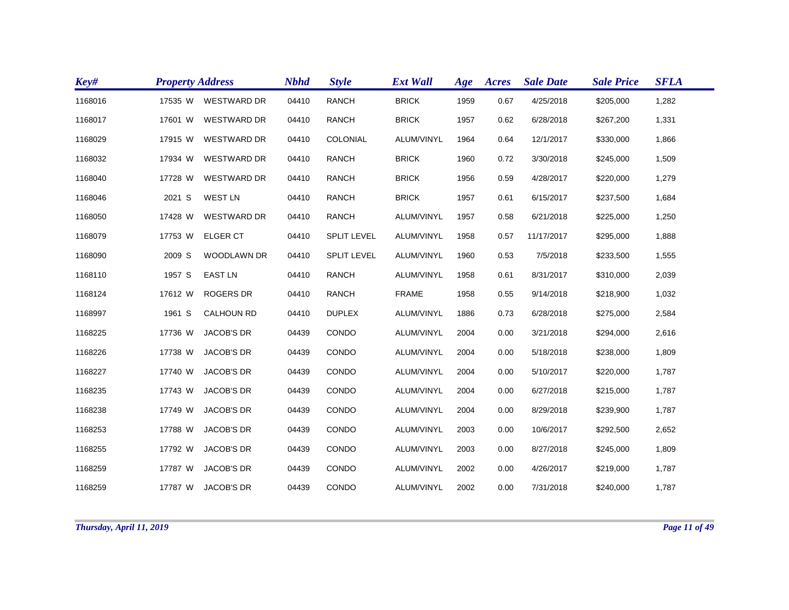| Key#    | <b>Property Address</b> |                    | <b>Nbhd</b> | <b>Style</b>       | <b>Ext Wall</b> | Age  | Acres | <b>Sale Date</b> | <b>Sale Price</b> | <b>SFLA</b> |
|---------|-------------------------|--------------------|-------------|--------------------|-----------------|------|-------|------------------|-------------------|-------------|
| 1168016 | 17535 W                 | <b>WESTWARD DR</b> | 04410       | <b>RANCH</b>       | <b>BRICK</b>    | 1959 | 0.67  | 4/25/2018        | \$205,000         | 1,282       |
| 1168017 | 17601 W                 | <b>WESTWARD DR</b> | 04410       | <b>RANCH</b>       | <b>BRICK</b>    | 1957 | 0.62  | 6/28/2018        | \$267,200         | 1,331       |
| 1168029 | 17915 W                 | <b>WESTWARD DR</b> | 04410       | COLONIAL           | ALUM/VINYL      | 1964 | 0.64  | 12/1/2017        | \$330,000         | 1,866       |
| 1168032 | 17934 W                 | <b>WESTWARD DR</b> | 04410       | <b>RANCH</b>       | <b>BRICK</b>    | 1960 | 0.72  | 3/30/2018        | \$245,000         | 1,509       |
| 1168040 | 17728 W                 | <b>WESTWARD DR</b> | 04410       | <b>RANCH</b>       | <b>BRICK</b>    | 1956 | 0.59  | 4/28/2017        | \$220,000         | 1,279       |
| 1168046 | 2021 S                  | <b>WEST LN</b>     | 04410       | <b>RANCH</b>       | <b>BRICK</b>    | 1957 | 0.61  | 6/15/2017        | \$237,500         | 1,684       |
| 1168050 | 17428 W                 | <b>WESTWARD DR</b> | 04410       | <b>RANCH</b>       | ALUM/VINYL      | 1957 | 0.58  | 6/21/2018        | \$225,000         | 1,250       |
| 1168079 | 17753 W                 | <b>ELGER CT</b>    | 04410       | <b>SPLIT LEVEL</b> | ALUM/VINYL      | 1958 | 0.57  | 11/17/2017       | \$295,000         | 1,888       |
| 1168090 | 2009 S                  | <b>WOODLAWN DR</b> | 04410       | <b>SPLIT LEVEL</b> | ALUM/VINYL      | 1960 | 0.53  | 7/5/2018         | \$233,500         | 1,555       |
| 1168110 | 1957 S                  | <b>EAST LN</b>     | 04410       | <b>RANCH</b>       | ALUM/VINYL      | 1958 | 0.61  | 8/31/2017        | \$310,000         | 2,039       |
| 1168124 | 17612 W                 | <b>ROGERS DR</b>   | 04410       | <b>RANCH</b>       | <b>FRAME</b>    | 1958 | 0.55  | 9/14/2018        | \$218,900         | 1,032       |
| 1168997 | 1961 S                  | <b>CALHOUN RD</b>  | 04410       | <b>DUPLEX</b>      | ALUM/VINYL      | 1886 | 0.73  | 6/28/2018        | \$275,000         | 2,584       |
| 1168225 | 17736 W                 | <b>JACOB'S DR</b>  | 04439       | CONDO              | ALUM/VINYL      | 2004 | 0.00  | 3/21/2018        | \$294,000         | 2,616       |
| 1168226 | 17738 W                 | <b>JACOB'S DR</b>  | 04439       | CONDO              | ALUM/VINYL      | 2004 | 0.00  | 5/18/2018        | \$238,000         | 1,809       |
| 1168227 | 17740 W                 | <b>JACOB'S DR</b>  | 04439       | CONDO              | ALUM/VINYL      | 2004 | 0.00  | 5/10/2017        | \$220,000         | 1,787       |
| 1168235 | 17743 W                 | <b>JACOB'S DR</b>  | 04439       | CONDO              | ALUM/VINYL      | 2004 | 0.00  | 6/27/2018        | \$215,000         | 1,787       |
| 1168238 | 17749 W                 | <b>JACOB'S DR</b>  | 04439       | CONDO              | ALUM/VINYL      | 2004 | 0.00  | 8/29/2018        | \$239,900         | 1,787       |
| 1168253 | 17788 W                 | <b>JACOB'S DR</b>  | 04439       | CONDO              | ALUM/VINYL      | 2003 | 0.00  | 10/6/2017        | \$292,500         | 2,652       |
| 1168255 | 17792 W                 | <b>JACOB'S DR</b>  | 04439       | CONDO              | ALUM/VINYL      | 2003 | 0.00  | 8/27/2018        | \$245,000         | 1,809       |
| 1168259 | 17787 W                 | <b>JACOB'S DR</b>  | 04439       | CONDO              | ALUM/VINYL      | 2002 | 0.00  | 4/26/2017        | \$219,000         | 1,787       |
| 1168259 | 17787 W                 | <b>JACOB'S DR</b>  | 04439       | CONDO              | ALUM/VINYL      | 2002 | 0.00  | 7/31/2018        | \$240,000         | 1,787       |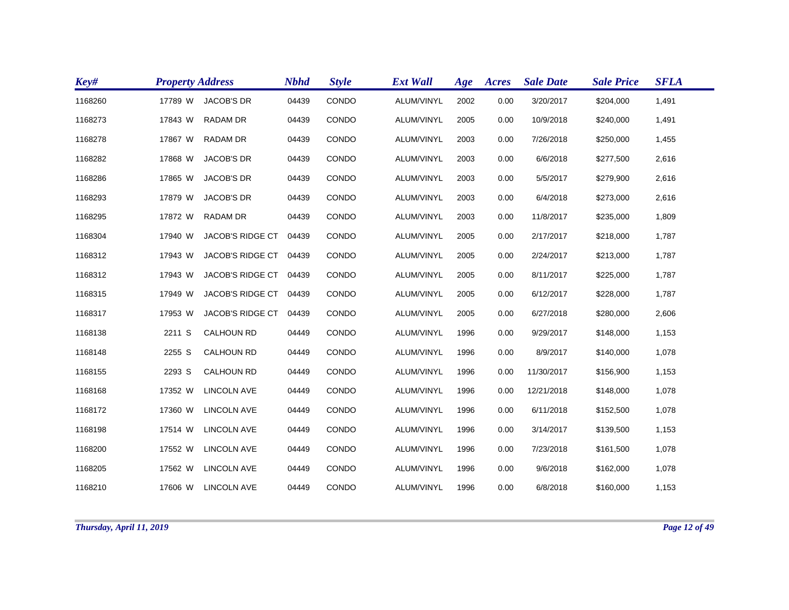| Key#    | <b>Property Address</b> |                         | <b>Nbhd</b> | <b>Style</b> | <b>Ext Wall</b> | Age  | Acres | <b>Sale Date</b> | <b>Sale Price</b> | <b>SFLA</b> |
|---------|-------------------------|-------------------------|-------------|--------------|-----------------|------|-------|------------------|-------------------|-------------|
| 1168260 | 17789 W                 | <b>JACOB'S DR</b>       | 04439       | CONDO        | ALUM/VINYL      | 2002 | 0.00  | 3/20/2017        | \$204,000         | 1,491       |
| 1168273 | 17843 W                 | <b>RADAM DR</b>         | 04439       | CONDO        | ALUM/VINYL      | 2005 | 0.00  | 10/9/2018        | \$240,000         | 1,491       |
| 1168278 | 17867 W                 | <b>RADAM DR</b>         | 04439       | <b>CONDO</b> | ALUM/VINYL      | 2003 | 0.00  | 7/26/2018        | \$250,000         | 1,455       |
| 1168282 | 17868 W                 | <b>JACOB'S DR</b>       | 04439       | CONDO        | ALUM/VINYL      | 2003 | 0.00  | 6/6/2018         | \$277,500         | 2,616       |
| 1168286 | 17865 W                 | <b>JACOB'S DR</b>       | 04439       | CONDO        | ALUM/VINYL      | 2003 | 0.00  | 5/5/2017         | \$279,900         | 2,616       |
| 1168293 | 17879 W                 | <b>JACOB'S DR</b>       | 04439       | CONDO        | ALUM/VINYL      | 2003 | 0.00  | 6/4/2018         | \$273,000         | 2,616       |
| 1168295 | 17872 W                 | <b>RADAM DR</b>         | 04439       | CONDO        | ALUM/VINYL      | 2003 | 0.00  | 11/8/2017        | \$235,000         | 1,809       |
| 1168304 | 17940 W                 | <b>JACOB'S RIDGE CT</b> | 04439       | CONDO        | ALUM/VINYL      | 2005 | 0.00  | 2/17/2017        | \$218,000         | 1,787       |
| 1168312 | 17943 W                 | JACOB'S RIDGE CT        | 04439       | CONDO        | ALUM/VINYL      | 2005 | 0.00  | 2/24/2017        | \$213,000         | 1,787       |
| 1168312 | 17943 W                 | JACOB'S RIDGE CT        | 04439       | CONDO        | ALUM/VINYL      | 2005 | 0.00  | 8/11/2017        | \$225,000         | 1,787       |
| 1168315 | 17949 W                 | JACOB'S RIDGE CT        | 04439       | CONDO        | ALUM/VINYL      | 2005 | 0.00  | 6/12/2017        | \$228,000         | 1,787       |
| 1168317 | 17953 W                 | <b>JACOB'S RIDGE CT</b> | 04439       | CONDO        | ALUM/VINYL      | 2005 | 0.00  | 6/27/2018        | \$280,000         | 2,606       |
| 1168138 | 2211 S                  | <b>CALHOUN RD</b>       | 04449       | CONDO        | ALUM/VINYL      | 1996 | 0.00  | 9/29/2017        | \$148,000         | 1,153       |
| 1168148 | 2255 S                  | <b>CALHOUN RD</b>       | 04449       | CONDO        | ALUM/VINYL      | 1996 | 0.00  | 8/9/2017         | \$140,000         | 1,078       |
| 1168155 | 2293 S                  | <b>CALHOUN RD</b>       | 04449       | CONDO        | ALUM/VINYL      | 1996 | 0.00  | 11/30/2017       | \$156,900         | 1,153       |
| 1168168 | 17352 W                 | <b>LINCOLN AVE</b>      | 04449       | CONDO        | ALUM/VINYL      | 1996 | 0.00  | 12/21/2018       | \$148,000         | 1,078       |
| 1168172 | 17360 W                 | <b>LINCOLN AVE</b>      | 04449       | CONDO        | ALUM/VINYL      | 1996 | 0.00  | 6/11/2018        | \$152,500         | 1,078       |
| 1168198 | 17514 W                 | <b>LINCOLN AVE</b>      | 04449       | CONDO        | ALUM/VINYL      | 1996 | 0.00  | 3/14/2017        | \$139,500         | 1,153       |
| 1168200 | 17552 W                 | <b>LINCOLN AVE</b>      | 04449       | CONDO        | ALUM/VINYL      | 1996 | 0.00  | 7/23/2018        | \$161,500         | 1,078       |
| 1168205 | 17562 W                 | <b>LINCOLN AVE</b>      | 04449       | CONDO        | ALUM/VINYL      | 1996 | 0.00  | 9/6/2018         | \$162,000         | 1,078       |
| 1168210 | 17606 W                 | <b>LINCOLN AVE</b>      | 04449       | CONDO        | ALUM/VINYL      | 1996 | 0.00  | 6/8/2018         | \$160,000         | 1,153       |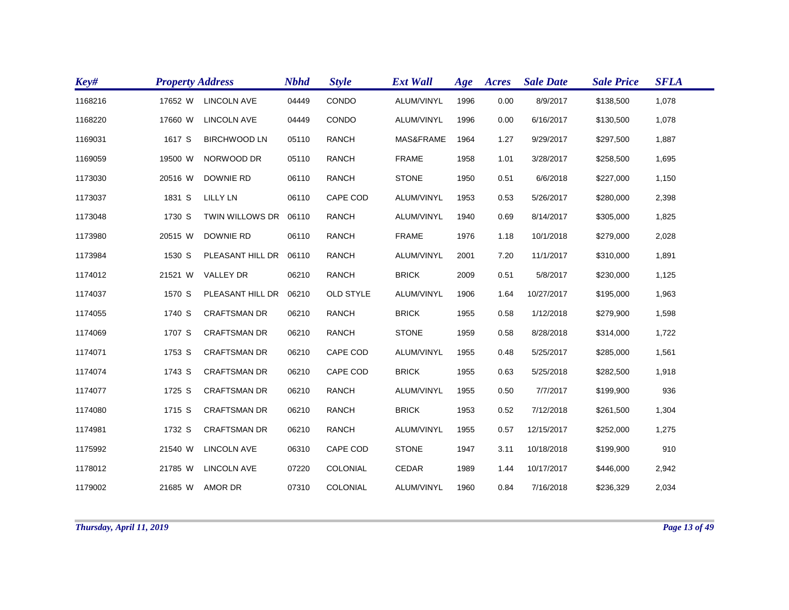| Key#    | <b>Property Address</b> |                        | <b>Nbhd</b> | <b>Style</b>     | <b>Ext Wall</b> | Age  | Acres | <b>Sale Date</b> | <b>Sale Price</b> | <b>SFLA</b> |
|---------|-------------------------|------------------------|-------------|------------------|-----------------|------|-------|------------------|-------------------|-------------|
| 1168216 | 17652 W                 | <b>LINCOLN AVE</b>     | 04449       | CONDO            | ALUM/VINYL      | 1996 | 0.00  | 8/9/2017         | \$138,500         | 1,078       |
| 1168220 | 17660 W                 | <b>LINCOLN AVE</b>     | 04449       | CONDO            | ALUM/VINYL      | 1996 | 0.00  | 6/16/2017        | \$130,500         | 1,078       |
| 1169031 | 1617 S                  | <b>BIRCHWOOD LN</b>    | 05110       | <b>RANCH</b>     | MAS&FRAME       | 1964 | 1.27  | 9/29/2017        | \$297,500         | 1,887       |
| 1169059 | 19500 W                 | NORWOOD DR             | 05110       | <b>RANCH</b>     | <b>FRAME</b>    | 1958 | 1.01  | 3/28/2017        | \$258,500         | 1,695       |
| 1173030 | 20516 W                 | <b>DOWNIE RD</b>       | 06110       | <b>RANCH</b>     | <b>STONE</b>    | 1950 | 0.51  | 6/6/2018         | \$227,000         | 1,150       |
| 1173037 | 1831 S                  | <b>LILLY LN</b>        | 06110       | CAPE COD         | ALUM/VINYL      | 1953 | 0.53  | 5/26/2017        | \$280,000         | 2,398       |
| 1173048 | 1730 S                  | TWIN WILLOWS DR 06110  |             | <b>RANCH</b>     | ALUM/VINYL      | 1940 | 0.69  | 8/14/2017        | \$305,000         | 1,825       |
| 1173980 | 20515 W                 | <b>DOWNIE RD</b>       | 06110       | <b>RANCH</b>     | <b>FRAME</b>    | 1976 | 1.18  | 10/1/2018        | \$279,000         | 2,028       |
| 1173984 | 1530 S                  | PLEASANT HILL DR 06110 |             | <b>RANCH</b>     | ALUM/VINYL      | 2001 | 7.20  | 11/1/2017        | \$310,000         | 1,891       |
| 1174012 | 21521 W                 | <b>VALLEY DR</b>       | 06210       | <b>RANCH</b>     | <b>BRICK</b>    | 2009 | 0.51  | 5/8/2017         | \$230,000         | 1,125       |
| 1174037 | 1570 S                  | PLEASANT HILL DR 06210 |             | <b>OLD STYLE</b> | ALUM/VINYL      | 1906 | 1.64  | 10/27/2017       | \$195,000         | 1,963       |
| 1174055 | 1740 S                  | <b>CRAFTSMAN DR</b>    | 06210       | <b>RANCH</b>     | <b>BRICK</b>    | 1955 | 0.58  | 1/12/2018        | \$279,900         | 1,598       |
| 1174069 | 1707 S                  | <b>CRAFTSMAN DR</b>    | 06210       | <b>RANCH</b>     | <b>STONE</b>    | 1959 | 0.58  | 8/28/2018        | \$314,000         | 1,722       |
| 1174071 | 1753 S                  | <b>CRAFTSMAN DR</b>    | 06210       | CAPE COD         | ALUM/VINYL      | 1955 | 0.48  | 5/25/2017        | \$285,000         | 1,561       |
| 1174074 | 1743 S                  | <b>CRAFTSMAN DR</b>    | 06210       | CAPE COD         | <b>BRICK</b>    | 1955 | 0.63  | 5/25/2018        | \$282,500         | 1,918       |
| 1174077 | 1725 S                  | <b>CRAFTSMAN DR</b>    | 06210       | <b>RANCH</b>     | ALUM/VINYL      | 1955 | 0.50  | 7/7/2017         | \$199,900         | 936         |
| 1174080 | 1715 S                  | <b>CRAFTSMAN DR</b>    | 06210       | <b>RANCH</b>     | <b>BRICK</b>    | 1953 | 0.52  | 7/12/2018        | \$261,500         | 1,304       |
| 1174981 | 1732 S                  | <b>CRAFTSMAN DR</b>    | 06210       | <b>RANCH</b>     | ALUM/VINYL      | 1955 | 0.57  | 12/15/2017       | \$252,000         | 1,275       |
| 1175992 | 21540 W                 | <b>LINCOLN AVE</b>     | 06310       | CAPE COD         | <b>STONE</b>    | 1947 | 3.11  | 10/18/2018       | \$199,900         | 910         |
| 1178012 | 21785 W                 | <b>LINCOLN AVE</b>     | 07220       | COLONIAL         | CEDAR           | 1989 | 1.44  | 10/17/2017       | \$446,000         | 2,942       |
| 1179002 | 21685 W                 | <b>AMOR DR</b>         | 07310       | COLONIAL         | ALUM/VINYL      | 1960 | 0.84  | 7/16/2018        | \$236,329         | 2,034       |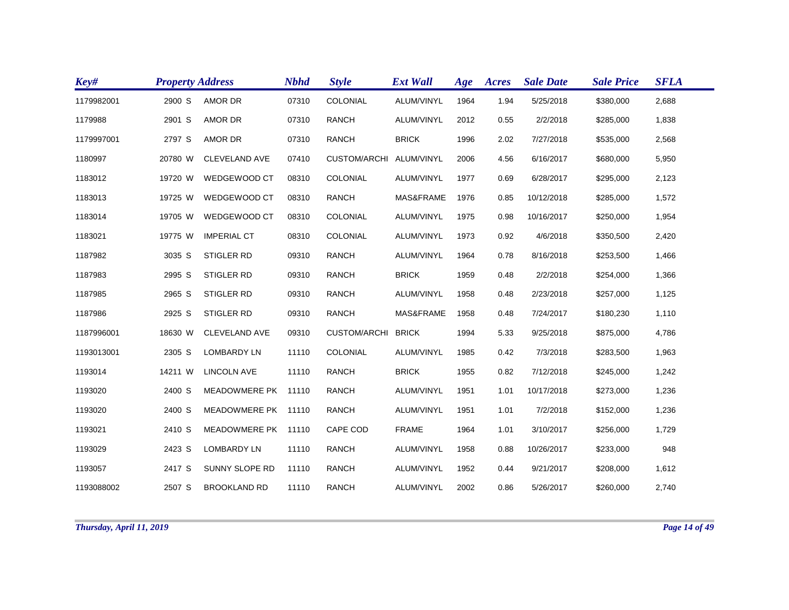| Key#       | <b>Property Address</b> |                      | <b>Nbhd</b> | <b>Style</b>        | <b>Ext Wall</b> | Age  | Acres | <b>Sale Date</b> | <b>Sale Price</b> | <b>SFLA</b> |
|------------|-------------------------|----------------------|-------------|---------------------|-----------------|------|-------|------------------|-------------------|-------------|
| 1179982001 | 2900 S                  | AMOR DR              | 07310       | COLONIAL            | ALUM/VINYL      | 1964 | 1.94  | 5/25/2018        | \$380,000         | 2,688       |
| 1179988    | 2901 S                  | AMOR DR              | 07310       | <b>RANCH</b>        | ALUM/VINYL      | 2012 | 0.55  | 2/2/2018         | \$285,000         | 1,838       |
| 1179997001 | 2797 S                  | <b>AMOR DR</b>       | 07310       | <b>RANCH</b>        | <b>BRICK</b>    | 1996 | 2.02  | 7/27/2018        | \$535,000         | 2,568       |
| 1180997    | 20780 W                 | <b>CLEVELAND AVE</b> | 07410       | <b>CUSTOM/ARCHI</b> | ALUM/VINYL      | 2006 | 4.56  | 6/16/2017        | \$680,000         | 5,950       |
| 1183012    | 19720 W                 | WEDGEWOOD CT         | 08310       | COLONIAL            | ALUM/VINYL      | 1977 | 0.69  | 6/28/2017        | \$295,000         | 2,123       |
| 1183013    | 19725 W                 | WEDGEWOOD CT         | 08310       | RANCH               | MAS&FRAME       | 1976 | 0.85  | 10/12/2018       | \$285,000         | 1,572       |
| 1183014    | 19705 W                 | WEDGEWOOD CT         | 08310       | COLONIAL            | ALUM/VINYL      | 1975 | 0.98  | 10/16/2017       | \$250,000         | 1,954       |
| 1183021    | 19775 W                 | <b>IMPERIAL CT</b>   | 08310       | COLONIAL            | ALUM/VINYL      | 1973 | 0.92  | 4/6/2018         | \$350,500         | 2,420       |
| 1187982    | 3035 S                  | STIGLER RD           | 09310       | <b>RANCH</b>        | ALUM/VINYL      | 1964 | 0.78  | 8/16/2018        | \$253,500         | 1,466       |
| 1187983    | 2995 S                  | <b>STIGLER RD</b>    | 09310       | <b>RANCH</b>        | <b>BRICK</b>    | 1959 | 0.48  | 2/2/2018         | \$254,000         | 1,366       |
| 1187985    | 2965 S                  | STIGLER RD           | 09310       | <b>RANCH</b>        | ALUM/VINYL      | 1958 | 0.48  | 2/23/2018        | \$257,000         | 1,125       |
| 1187986    | 2925 S                  | STIGLER RD           | 09310       | <b>RANCH</b>        | MAS&FRAME       | 1958 | 0.48  | 7/24/2017        | \$180,230         | 1,110       |
| 1187996001 | 18630 W                 | <b>CLEVELAND AVE</b> | 09310       | <b>CUSTOM/ARCHI</b> | <b>BRICK</b>    | 1994 | 5.33  | 9/25/2018        | \$875,000         | 4,786       |
| 1193013001 | 2305 S                  | <b>LOMBARDY LN</b>   | 11110       | COLONIAL            | ALUM/VINYL      | 1985 | 0.42  | 7/3/2018         | \$283,500         | 1,963       |
| 1193014    | 14211 W                 | <b>LINCOLN AVE</b>   | 11110       | <b>RANCH</b>        | <b>BRICK</b>    | 1955 | 0.82  | 7/12/2018        | \$245,000         | 1,242       |
| 1193020    | 2400 S                  | MEADOWMERE PK        | 11110       | <b>RANCH</b>        | ALUM/VINYL      | 1951 | 1.01  | 10/17/2018       | \$273,000         | 1,236       |
| 1193020    | 2400 S                  | MEADOWMERE PK 11110  |             | <b>RANCH</b>        | ALUM/VINYL      | 1951 | 1.01  | 7/2/2018         | \$152,000         | 1,236       |
| 1193021    | 2410 S                  | MEADOWMERE PK 11110  |             | CAPE COD            | <b>FRAME</b>    | 1964 | 1.01  | 3/10/2017        | \$256,000         | 1,729       |
| 1193029    | 2423 S                  | <b>LOMBARDY LN</b>   | 11110       | <b>RANCH</b>        | ALUM/VINYL      | 1958 | 0.88  | 10/26/2017       | \$233,000         | 948         |
| 1193057    | 2417 S                  | SUNNY SLOPE RD       | 11110       | <b>RANCH</b>        | ALUM/VINYL      | 1952 | 0.44  | 9/21/2017        | \$208,000         | 1,612       |
| 1193088002 | 2507 S                  | <b>BROOKLAND RD</b>  | 11110       | <b>RANCH</b>        | ALUM/VINYL      | 2002 | 0.86  | 5/26/2017        | \$260,000         | 2,740       |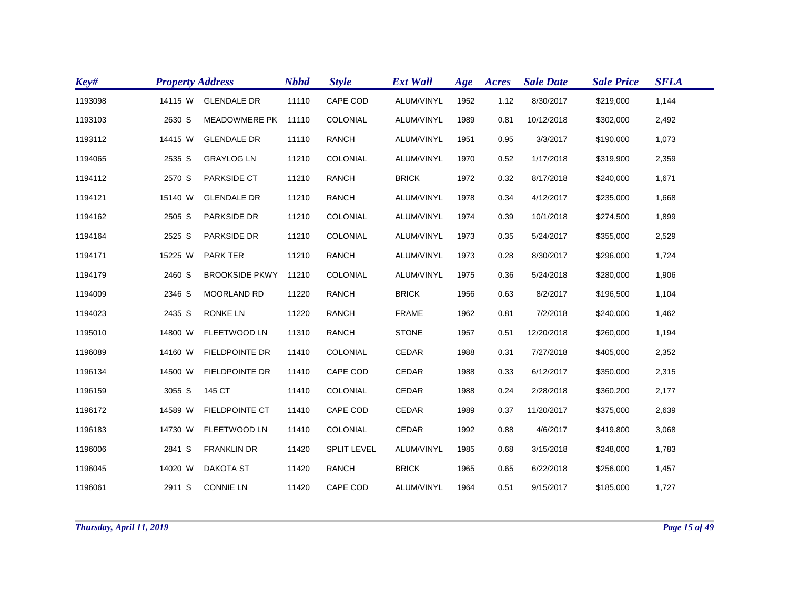| Key#    | <b>Property Address</b> |                       | <b>Nbhd</b> | <b>Style</b>       | <b>Ext Wall</b> | Age  | Acres | <b>Sale Date</b> | <b>Sale Price</b> | <b>SFLA</b> |
|---------|-------------------------|-----------------------|-------------|--------------------|-----------------|------|-------|------------------|-------------------|-------------|
| 1193098 | 14115 W                 | <b>GLENDALE DR</b>    | 11110       | CAPE COD           | ALUM/VINYL      | 1952 | 1.12  | 8/30/2017        | \$219,000         | 1,144       |
| 1193103 | 2630 S                  | <b>MEADOWMERE PK</b>  | 11110       | COLONIAL           | ALUM/VINYL      | 1989 | 0.81  | 10/12/2018       | \$302,000         | 2,492       |
| 1193112 | 14415 W                 | <b>GLENDALE DR</b>    | 11110       | <b>RANCH</b>       | ALUM/VINYL      | 1951 | 0.95  | 3/3/2017         | \$190,000         | 1,073       |
| 1194065 | 2535 S                  | <b>GRAYLOG LN</b>     | 11210       | COLONIAL           | ALUM/VINYL      | 1970 | 0.52  | 1/17/2018        | \$319,900         | 2,359       |
| 1194112 | 2570 S                  | PARKSIDE CT           | 11210       | <b>RANCH</b>       | <b>BRICK</b>    | 1972 | 0.32  | 8/17/2018        | \$240,000         | 1,671       |
| 1194121 | 15140 W                 | <b>GLENDALE DR</b>    | 11210       | <b>RANCH</b>       | ALUM/VINYL      | 1978 | 0.34  | 4/12/2017        | \$235,000         | 1,668       |
| 1194162 | 2505 S                  | PARKSIDE DR           | 11210       | COLONIAL           | ALUM/VINYL      | 1974 | 0.39  | 10/1/2018        | \$274,500         | 1,899       |
| 1194164 | 2525 S                  | PARKSIDE DR           | 11210       | COLONIAL           | ALUM/VINYL      | 1973 | 0.35  | 5/24/2017        | \$355,000         | 2,529       |
| 1194171 | 15225 W                 | <b>PARK TER</b>       | 11210       | <b>RANCH</b>       | ALUM/VINYL      | 1973 | 0.28  | 8/30/2017        | \$296,000         | 1,724       |
| 1194179 | 2460 S                  | <b>BROOKSIDE PKWY</b> | 11210       | COLONIAL           | ALUM/VINYL      | 1975 | 0.36  | 5/24/2018        | \$280,000         | 1,906       |
| 1194009 | 2346 S                  | <b>MOORLAND RD</b>    | 11220       | <b>RANCH</b>       | <b>BRICK</b>    | 1956 | 0.63  | 8/2/2017         | \$196,500         | 1,104       |
| 1194023 | 2435 S                  | <b>RONKE LN</b>       | 11220       | <b>RANCH</b>       | <b>FRAME</b>    | 1962 | 0.81  | 7/2/2018         | \$240,000         | 1,462       |
| 1195010 | 14800 W                 | FLEETWOOD LN          | 11310       | <b>RANCH</b>       | <b>STONE</b>    | 1957 | 0.51  | 12/20/2018       | \$260,000         | 1,194       |
| 1196089 | 14160 W                 | <b>FIELDPOINTE DR</b> | 11410       | COLONIAL           | CEDAR           | 1988 | 0.31  | 7/27/2018        | \$405,000         | 2,352       |
| 1196134 | 14500 W                 | <b>FIELDPOINTE DR</b> | 11410       | CAPE COD           | CEDAR           | 1988 | 0.33  | 6/12/2017        | \$350,000         | 2,315       |
| 1196159 | 3055 S                  | 145 CT                | 11410       | COLONIAL           | CEDAR           | 1988 | 0.24  | 2/28/2018        | \$360,200         | 2,177       |
| 1196172 | 14589 W                 | <b>FIELDPOINTE CT</b> | 11410       | CAPE COD           | <b>CEDAR</b>    | 1989 | 0.37  | 11/20/2017       | \$375,000         | 2,639       |
| 1196183 | 14730 W                 | <b>FLEETWOOD LN</b>   | 11410       | COLONIAL           | CEDAR           | 1992 | 0.88  | 4/6/2017         | \$419,800         | 3,068       |
| 1196006 | 2841 S                  | <b>FRANKLIN DR</b>    | 11420       | <b>SPLIT LEVEL</b> | ALUM/VINYL      | 1985 | 0.68  | 3/15/2018        | \$248,000         | 1,783       |
| 1196045 | 14020 W                 | <b>DAKOTA ST</b>      | 11420       | <b>RANCH</b>       | <b>BRICK</b>    | 1965 | 0.65  | 6/22/2018        | \$256,000         | 1,457       |
| 1196061 | 2911 S                  | <b>CONNIE LN</b>      | 11420       | CAPE COD           | ALUM/VINYL      | 1964 | 0.51  | 9/15/2017        | \$185,000         | 1,727       |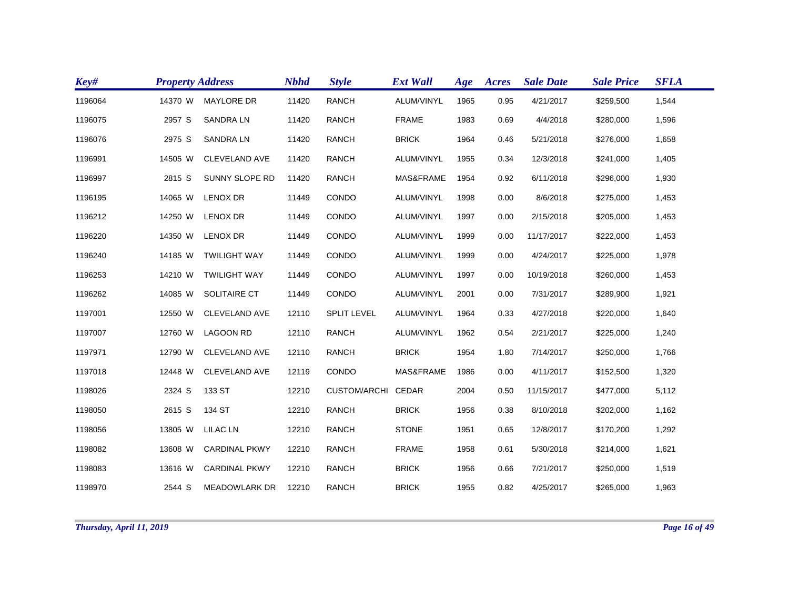| Key#    | <b>Property Address</b> |                       | <b>Nbhd</b> | <b>Style</b>        | <b>Ext Wall</b> | Age  | Acres | <b>Sale Date</b> | <b>Sale Price</b> | <b>SFLA</b> |
|---------|-------------------------|-----------------------|-------------|---------------------|-----------------|------|-------|------------------|-------------------|-------------|
| 1196064 | 14370 W                 | <b>MAYLORE DR</b>     | 11420       | <b>RANCH</b>        | ALUM/VINYL      | 1965 | 0.95  | 4/21/2017        | \$259,500         | 1,544       |
| 1196075 | 2957 S                  | <b>SANDRA LN</b>      | 11420       | <b>RANCH</b>        | <b>FRAME</b>    | 1983 | 0.69  | 4/4/2018         | \$280,000         | 1,596       |
| 1196076 | 2975 S                  | <b>SANDRALN</b>       | 11420       | <b>RANCH</b>        | <b>BRICK</b>    | 1964 | 0.46  | 5/21/2018        | \$276,000         | 1,658       |
| 1196991 | 14505 W                 | <b>CLEVELAND AVE</b>  | 11420       | <b>RANCH</b>        | ALUM/VINYL      | 1955 | 0.34  | 12/3/2018        | \$241,000         | 1,405       |
| 1196997 | 2815 S                  | <b>SUNNY SLOPE RD</b> | 11420       | <b>RANCH</b>        | MAS&FRAME       | 1954 | 0.92  | 6/11/2018        | \$296,000         | 1,930       |
| 1196195 | 14065 W                 | <b>LENOX DR</b>       | 11449       | CONDO               | ALUM/VINYL      | 1998 | 0.00  | 8/6/2018         | \$275,000         | 1,453       |
| 1196212 | 14250 W                 | <b>LENOX DR</b>       | 11449       | CONDO               | ALUM/VINYL      | 1997 | 0.00  | 2/15/2018        | \$205,000         | 1,453       |
| 1196220 | 14350 W                 | <b>LENOX DR</b>       | 11449       | CONDO               | ALUM/VINYL      | 1999 | 0.00  | 11/17/2017       | \$222,000         | 1,453       |
| 1196240 | 14185 W                 | <b>TWILIGHT WAY</b>   | 11449       | CONDO               | ALUM/VINYL      | 1999 | 0.00  | 4/24/2017        | \$225,000         | 1,978       |
| 1196253 | 14210 W                 | <b>TWILIGHT WAY</b>   | 11449       | CONDO               | ALUM/VINYL      | 1997 | 0.00  | 10/19/2018       | \$260,000         | 1,453       |
| 1196262 | 14085 W                 | SOLITAIRE CT          | 11449       | CONDO               | ALUM/VINYL      | 2001 | 0.00  | 7/31/2017        | \$289,900         | 1,921       |
| 1197001 | 12550 W                 | <b>CLEVELAND AVE</b>  | 12110       | <b>SPLIT LEVEL</b>  | ALUM/VINYL      | 1964 | 0.33  | 4/27/2018        | \$220,000         | 1,640       |
| 1197007 | 12760 W                 | <b>LAGOON RD</b>      | 12110       | <b>RANCH</b>        | ALUM/VINYL      | 1962 | 0.54  | 2/21/2017        | \$225,000         | 1,240       |
| 1197971 | 12790 W                 | <b>CLEVELAND AVE</b>  | 12110       | <b>RANCH</b>        | <b>BRICK</b>    | 1954 | 1.80  | 7/14/2017        | \$250,000         | 1,766       |
| 1197018 | 12448 W                 | <b>CLEVELAND AVE</b>  | 12119       | CONDO               | MAS&FRAME       | 1986 | 0.00  | 4/11/2017        | \$152,500         | 1,320       |
| 1198026 | 2324 S                  | 133 ST                | 12210       | <b>CUSTOM/ARCHI</b> | CEDAR           | 2004 | 0.50  | 11/15/2017       | \$477,000         | 5,112       |
| 1198050 | 2615 S                  | 134 ST                | 12210       | <b>RANCH</b>        | <b>BRICK</b>    | 1956 | 0.38  | 8/10/2018        | \$202,000         | 1,162       |
| 1198056 | 13805 W                 | LILAC LN              | 12210       | <b>RANCH</b>        | <b>STONE</b>    | 1951 | 0.65  | 12/8/2017        | \$170,200         | 1,292       |
| 1198082 | 13608 W                 | <b>CARDINAL PKWY</b>  | 12210       | <b>RANCH</b>        | <b>FRAME</b>    | 1958 | 0.61  | 5/30/2018        | \$214,000         | 1,621       |
| 1198083 | 13616 W                 | <b>CARDINAL PKWY</b>  | 12210       | <b>RANCH</b>        | <b>BRICK</b>    | 1956 | 0.66  | 7/21/2017        | \$250,000         | 1,519       |
| 1198970 | 2544 S                  | <b>MEADOWLARK DR</b>  | 12210       | <b>RANCH</b>        | <b>BRICK</b>    | 1955 | 0.82  | 4/25/2017        | \$265,000         | 1,963       |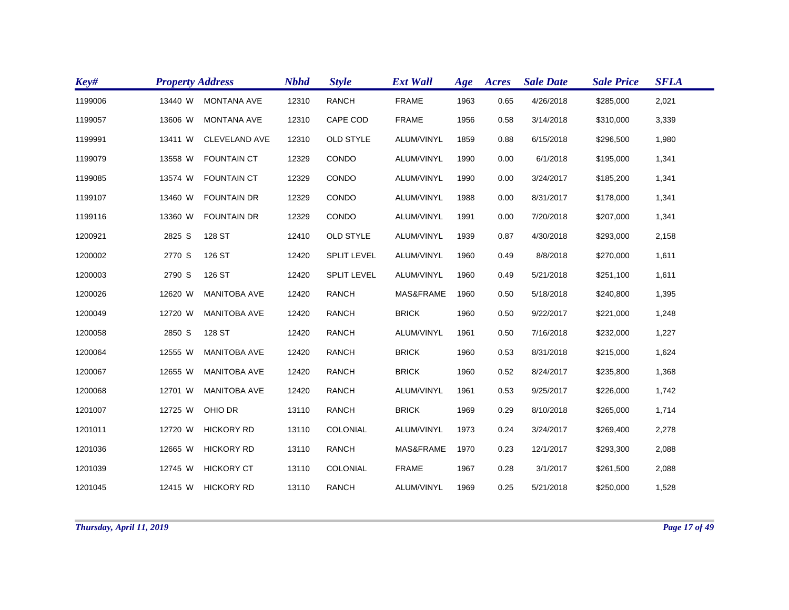| Key#    | <b>Property Address</b> |                      | <b>Nbhd</b> | <b>Style</b>       | <b>Ext Wall</b> | Age  | Acres | <b>Sale Date</b> | <b>Sale Price</b> | <b>SFLA</b> |
|---------|-------------------------|----------------------|-------------|--------------------|-----------------|------|-------|------------------|-------------------|-------------|
| 1199006 | 13440 W                 | <b>MONTANA AVE</b>   | 12310       | <b>RANCH</b>       | <b>FRAME</b>    | 1963 | 0.65  | 4/26/2018        | \$285,000         | 2,021       |
| 1199057 | 13606 W                 | <b>MONTANA AVE</b>   | 12310       | CAPE COD           | <b>FRAME</b>    | 1956 | 0.58  | 3/14/2018        | \$310,000         | 3,339       |
| 1199991 | 13411 W                 | <b>CLEVELAND AVE</b> | 12310       | <b>OLD STYLE</b>   | ALUM/VINYL      | 1859 | 0.88  | 6/15/2018        | \$296,500         | 1,980       |
| 1199079 | 13558 W                 | <b>FOUNTAIN CT</b>   | 12329       | CONDO              | ALUM/VINYL      | 1990 | 0.00  | 6/1/2018         | \$195,000         | 1,341       |
| 1199085 | 13574 W                 | <b>FOUNTAIN CT</b>   | 12329       | CONDO              | ALUM/VINYL      | 1990 | 0.00  | 3/24/2017        | \$185,200         | 1,341       |
| 1199107 | 13460 W                 | <b>FOUNTAIN DR</b>   | 12329       | CONDO              | ALUM/VINYL      | 1988 | 0.00  | 8/31/2017        | \$178,000         | 1,341       |
| 1199116 | 13360 W                 | <b>FOUNTAIN DR</b>   | 12329       | CONDO              | ALUM/VINYL      | 1991 | 0.00  | 7/20/2018        | \$207,000         | 1,341       |
| 1200921 | 2825 S                  | 128 ST               | 12410       | <b>OLD STYLE</b>   | ALUM/VINYL      | 1939 | 0.87  | 4/30/2018        | \$293,000         | 2,158       |
| 1200002 | 2770 S                  | 126 ST               | 12420       | <b>SPLIT LEVEL</b> | ALUM/VINYL      | 1960 | 0.49  | 8/8/2018         | \$270,000         | 1,611       |
| 1200003 | 2790 S                  | 126 ST               | 12420       | <b>SPLIT LEVEL</b> | ALUM/VINYL      | 1960 | 0.49  | 5/21/2018        | \$251,100         | 1,611       |
| 1200026 | 12620 W                 | <b>MANITOBA AVE</b>  | 12420       | <b>RANCH</b>       | MAS&FRAME       | 1960 | 0.50  | 5/18/2018        | \$240,800         | 1,395       |
| 1200049 | 12720 W                 | <b>MANITOBA AVE</b>  | 12420       | <b>RANCH</b>       | <b>BRICK</b>    | 1960 | 0.50  | 9/22/2017        | \$221,000         | 1,248       |
| 1200058 | 2850 S                  | 128 ST               | 12420       | <b>RANCH</b>       | ALUM/VINYL      | 1961 | 0.50  | 7/16/2018        | \$232,000         | 1,227       |
| 1200064 | 12555 W                 | <b>MANITOBA AVE</b>  | 12420       | <b>RANCH</b>       | <b>BRICK</b>    | 1960 | 0.53  | 8/31/2018        | \$215,000         | 1,624       |
| 1200067 | 12655 W                 | <b>MANITOBA AVE</b>  | 12420       | <b>RANCH</b>       | <b>BRICK</b>    | 1960 | 0.52  | 8/24/2017        | \$235,800         | 1,368       |
| 1200068 | 12701 W                 | <b>MANITOBA AVE</b>  | 12420       | <b>RANCH</b>       | ALUM/VINYL      | 1961 | 0.53  | 9/25/2017        | \$226,000         | 1,742       |
| 1201007 | 12725 W                 | OHIO DR              | 13110       | <b>RANCH</b>       | <b>BRICK</b>    | 1969 | 0.29  | 8/10/2018        | \$265,000         | 1,714       |
| 1201011 | 12720 W                 | <b>HICKORY RD</b>    | 13110       | COLONIAL           | ALUM/VINYL      | 1973 | 0.24  | 3/24/2017        | \$269,400         | 2,278       |
| 1201036 | 12665 W                 | <b>HICKORY RD</b>    | 13110       | <b>RANCH</b>       | MAS&FRAME       | 1970 | 0.23  | 12/1/2017        | \$293,300         | 2,088       |
| 1201039 | 12745 W                 | <b>HICKORY CT</b>    | 13110       | COLONIAL           | <b>FRAME</b>    | 1967 | 0.28  | 3/1/2017         | \$261,500         | 2,088       |
| 1201045 | 12415 W                 | <b>HICKORY RD</b>    | 13110       | <b>RANCH</b>       | ALUM/VINYL      | 1969 | 0.25  | 5/21/2018        | \$250,000         | 1,528       |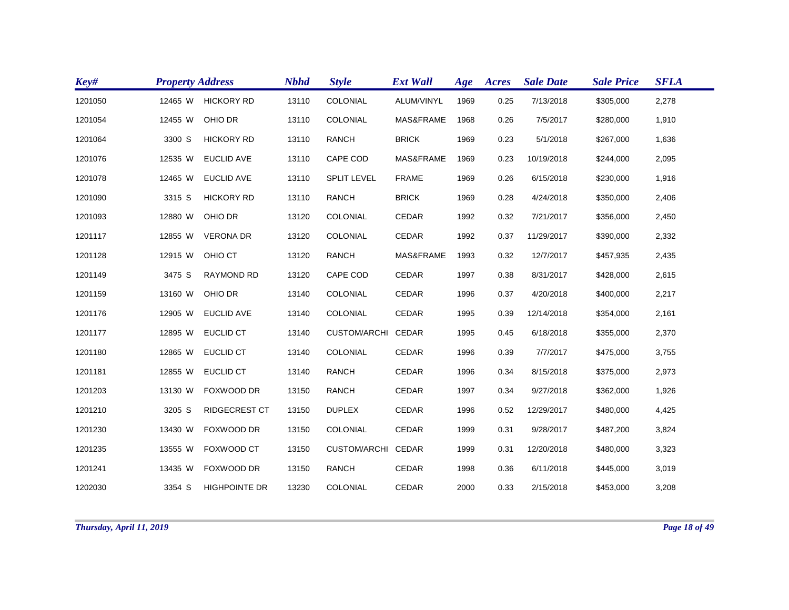| Key#    | <b>Property Address</b> |                      | <b>Nbhd</b> | <b>Style</b>       | <b>Ext Wall</b> | Age  | Acres | <b>Sale Date</b> | <b>Sale Price</b> | <b>SFLA</b> |
|---------|-------------------------|----------------------|-------------|--------------------|-----------------|------|-------|------------------|-------------------|-------------|
| 1201050 | 12465 W                 | <b>HICKORY RD</b>    | 13110       | COLONIAL           | ALUM/VINYL      | 1969 | 0.25  | 7/13/2018        | \$305,000         | 2,278       |
| 1201054 | 12455 W                 | OHIO DR              | 13110       | COLONIAL           | MAS&FRAME       | 1968 | 0.26  | 7/5/2017         | \$280,000         | 1,910       |
| 1201064 | 3300 S                  | <b>HICKORY RD</b>    | 13110       | <b>RANCH</b>       | <b>BRICK</b>    | 1969 | 0.23  | 5/1/2018         | \$267,000         | 1,636       |
| 1201076 | 12535 W                 | <b>EUCLID AVE</b>    | 13110       | CAPE COD           | MAS&FRAME       | 1969 | 0.23  | 10/19/2018       | \$244,000         | 2,095       |
| 1201078 | 12465 W                 | <b>EUCLID AVE</b>    | 13110       | <b>SPLIT LEVEL</b> | <b>FRAME</b>    | 1969 | 0.26  | 6/15/2018        | \$230,000         | 1,916       |
| 1201090 | 3315 S                  | <b>HICKORY RD</b>    | 13110       | <b>RANCH</b>       | <b>BRICK</b>    | 1969 | 0.28  | 4/24/2018        | \$350,000         | 2,406       |
| 1201093 | 12880 W                 | OHIO DR              | 13120       | COLONIAL           | <b>CEDAR</b>    | 1992 | 0.32  | 7/21/2017        | \$356,000         | 2,450       |
| 1201117 | 12855 W                 | <b>VERONA DR</b>     | 13120       | COLONIAL           | <b>CEDAR</b>    | 1992 | 0.37  | 11/29/2017       | \$390,000         | 2,332       |
| 1201128 | 12915 W                 | OHIO CT              | 13120       | <b>RANCH</b>       | MAS&FRAME       | 1993 | 0.32  | 12/7/2017        | \$457,935         | 2,435       |
| 1201149 | 3475 S                  | RAYMOND RD           | 13120       | CAPE COD           | CEDAR           | 1997 | 0.38  | 8/31/2017        | \$428,000         | 2,615       |
| 1201159 | 13160 W                 | OHIO DR              | 13140       | COLONIAL           | CEDAR           | 1996 | 0.37  | 4/20/2018        | \$400,000         | 2,217       |
| 1201176 | 12905 W                 | <b>EUCLID AVE</b>    | 13140       | <b>COLONIAL</b>    | <b>CEDAR</b>    | 1995 | 0.39  | 12/14/2018       | \$354,000         | 2,161       |
| 1201177 | 12895 W                 | <b>EUCLID CT</b>     | 13140       | CUSTOM/ARCHI CEDAR |                 | 1995 | 0.45  | 6/18/2018        | \$355,000         | 2,370       |
| 1201180 | 12865 W                 | <b>EUCLID CT</b>     | 13140       | COLONIAL           | <b>CEDAR</b>    | 1996 | 0.39  | 7/7/2017         | \$475,000         | 3,755       |
| 1201181 | 12855 W                 | <b>EUCLID CT</b>     | 13140       | <b>RANCH</b>       | <b>CEDAR</b>    | 1996 | 0.34  | 8/15/2018        | \$375,000         | 2,973       |
| 1201203 | 13130 W                 | FOXWOOD DR           | 13150       | <b>RANCH</b>       | CEDAR           | 1997 | 0.34  | 9/27/2018        | \$362,000         | 1,926       |
| 1201210 | 3205 S                  | <b>RIDGECREST CT</b> | 13150       | <b>DUPLEX</b>      | CEDAR           | 1996 | 0.52  | 12/29/2017       | \$480,000         | 4,425       |
| 1201230 | 13430 W                 | FOXWOOD DR           | 13150       | COLONIAL           | CEDAR           | 1999 | 0.31  | 9/28/2017        | \$487,200         | 3,824       |
| 1201235 | 13555 W                 | FOXWOOD CT           | 13150       | CUSTOM/ARCHI CEDAR |                 | 1999 | 0.31  | 12/20/2018       | \$480,000         | 3,323       |
| 1201241 | 13435 W                 | FOXWOOD DR           | 13150       | <b>RANCH</b>       | CEDAR           | 1998 | 0.36  | 6/11/2018        | \$445,000         | 3,019       |
| 1202030 | 3354 S                  | <b>HIGHPOINTE DR</b> | 13230       | <b>COLONIAL</b>    | <b>CEDAR</b>    | 2000 | 0.33  | 2/15/2018        | \$453,000         | 3,208       |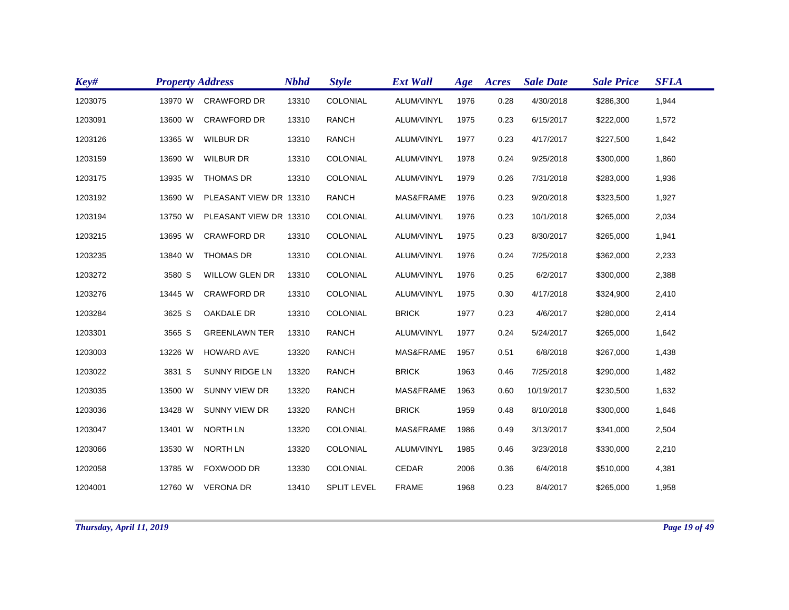| Key#    | <b>Property Address</b> |                        | <b>Nbhd</b> | <b>Style</b>       | <b>Ext Wall</b> | Age  | Acres | <b>Sale Date</b> | <b>Sale Price</b> | <b>SFLA</b> |
|---------|-------------------------|------------------------|-------------|--------------------|-----------------|------|-------|------------------|-------------------|-------------|
| 1203075 | 13970 W                 | <b>CRAWFORD DR</b>     | 13310       | COLONIAL           | ALUM/VINYL      | 1976 | 0.28  | 4/30/2018        | \$286,300         | 1,944       |
| 1203091 | 13600 W                 | <b>CRAWFORD DR</b>     | 13310       | <b>RANCH</b>       | ALUM/VINYL      | 1975 | 0.23  | 6/15/2017        | \$222,000         | 1,572       |
| 1203126 | 13365 W                 | <b>WILBUR DR</b>       | 13310       | <b>RANCH</b>       | ALUM/VINYL      | 1977 | 0.23  | 4/17/2017        | \$227,500         | 1,642       |
| 1203159 | 13690 W                 | <b>WILBUR DR</b>       | 13310       | COLONIAL           | ALUM/VINYL      | 1978 | 0.24  | 9/25/2018        | \$300,000         | 1,860       |
| 1203175 | 13935 W                 | <b>THOMAS DR</b>       | 13310       | COLONIAL           | ALUM/VINYL      | 1979 | 0.26  | 7/31/2018        | \$283,000         | 1,936       |
| 1203192 | 13690 W                 | PLEASANT VIEW DR 13310 |             | <b>RANCH</b>       | MAS&FRAME       | 1976 | 0.23  | 9/20/2018        | \$323,500         | 1,927       |
| 1203194 | 13750 W                 | PLEASANT VIEW DR 13310 |             | COLONIAL           | ALUM/VINYL      | 1976 | 0.23  | 10/1/2018        | \$265,000         | 2,034       |
| 1203215 | 13695 W                 | <b>CRAWFORD DR</b>     | 13310       | COLONIAL           | ALUM/VINYL      | 1975 | 0.23  | 8/30/2017        | \$265,000         | 1,941       |
| 1203235 | 13840 W                 | <b>THOMAS DR</b>       | 13310       | COLONIAL           | ALUM/VINYL      | 1976 | 0.24  | 7/25/2018        | \$362,000         | 2,233       |
| 1203272 | 3580 S                  | <b>WILLOW GLEN DR</b>  | 13310       | COLONIAL           | ALUM/VINYL      | 1976 | 0.25  | 6/2/2017         | \$300,000         | 2,388       |
| 1203276 | 13445 W                 | <b>CRAWFORD DR</b>     | 13310       | COLONIAL           | ALUM/VINYL      | 1975 | 0.30  | 4/17/2018        | \$324,900         | 2,410       |
| 1203284 | 3625 S                  | OAKDALE DR             | 13310       | COLONIAL           | <b>BRICK</b>    | 1977 | 0.23  | 4/6/2017         | \$280,000         | 2,414       |
| 1203301 | 3565 S                  | <b>GREENLAWN TER</b>   | 13310       | <b>RANCH</b>       | ALUM/VINYL      | 1977 | 0.24  | 5/24/2017        | \$265,000         | 1,642       |
| 1203003 | 13226 W                 | <b>HOWARD AVE</b>      | 13320       | <b>RANCH</b>       | MAS&FRAME       | 1957 | 0.51  | 6/8/2018         | \$267,000         | 1,438       |
| 1203022 | 3831 S                  | SUNNY RIDGE LN         | 13320       | <b>RANCH</b>       | <b>BRICK</b>    | 1963 | 0.46  | 7/25/2018        | \$290,000         | 1,482       |
| 1203035 | 13500 W                 | <b>SUNNY VIEW DR</b>   | 13320       | <b>RANCH</b>       | MAS&FRAME       | 1963 | 0.60  | 10/19/2017       | \$230,500         | 1,632       |
| 1203036 | 13428 W                 | <b>SUNNY VIEW DR</b>   | 13320       | <b>RANCH</b>       | <b>BRICK</b>    | 1959 | 0.48  | 8/10/2018        | \$300,000         | 1,646       |
| 1203047 | 13401 W                 | <b>NORTH LN</b>        | 13320       | COLONIAL           | MAS&FRAME       | 1986 | 0.49  | 3/13/2017        | \$341,000         | 2,504       |
| 1203066 | 13530 W                 | <b>NORTH LN</b>        | 13320       | COLONIAL           | ALUM/VINYL      | 1985 | 0.46  | 3/23/2018        | \$330,000         | 2,210       |
| 1202058 | 13785 W                 | FOXWOOD DR             | 13330       | COLONIAL           | CEDAR           | 2006 | 0.36  | 6/4/2018         | \$510,000         | 4,381       |
| 1204001 |                         | 12760 W VERONA DR      | 13410       | <b>SPLIT LEVEL</b> | <b>FRAME</b>    | 1968 | 0.23  | 8/4/2017         | \$265,000         | 1,958       |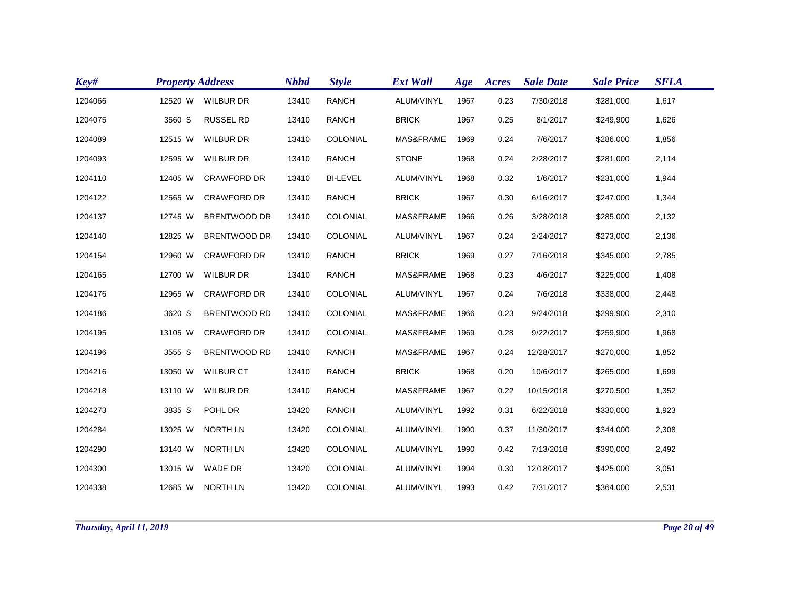| Key#    | <b>Property Address</b> |                     | <b>Nbhd</b> | <b>Style</b>    | <b>Ext Wall</b> | Age  | Acres | <b>Sale Date</b> | <b>Sale Price</b> | <b>SFLA</b> |
|---------|-------------------------|---------------------|-------------|-----------------|-----------------|------|-------|------------------|-------------------|-------------|
| 1204066 | 12520 W                 | <b>WILBUR DR</b>    | 13410       | <b>RANCH</b>    | ALUM/VINYL      | 1967 | 0.23  | 7/30/2018        | \$281,000         | 1,617       |
| 1204075 | 3560 S                  | <b>RUSSEL RD</b>    | 13410       | <b>RANCH</b>    | <b>BRICK</b>    | 1967 | 0.25  | 8/1/2017         | \$249,900         | 1,626       |
| 1204089 | 12515 W                 | <b>WILBUR DR</b>    | 13410       | COLONIAL        | MAS&FRAME       | 1969 | 0.24  | 7/6/2017         | \$286,000         | 1,856       |
| 1204093 | 12595 W                 | <b>WILBUR DR</b>    | 13410       | <b>RANCH</b>    | <b>STONE</b>    | 1968 | 0.24  | 2/28/2017        | \$281,000         | 2,114       |
| 1204110 | 12405 W                 | <b>CRAWFORD DR</b>  | 13410       | <b>BI-LEVEL</b> | ALUM/VINYL      | 1968 | 0.32  | 1/6/2017         | \$231,000         | 1,944       |
| 1204122 | 12565 W                 | <b>CRAWFORD DR</b>  | 13410       | <b>RANCH</b>    | <b>BRICK</b>    | 1967 | 0.30  | 6/16/2017        | \$247,000         | 1,344       |
| 1204137 | 12745 W                 | <b>BRENTWOOD DR</b> | 13410       | COLONIAL        | MAS&FRAME       | 1966 | 0.26  | 3/28/2018        | \$285,000         | 2,132       |
| 1204140 | 12825 W                 | <b>BRENTWOOD DR</b> | 13410       | COLONIAL        | ALUM/VINYL      | 1967 | 0.24  | 2/24/2017        | \$273,000         | 2,136       |
| 1204154 | 12960 W                 | <b>CRAWFORD DR</b>  | 13410       | <b>RANCH</b>    | <b>BRICK</b>    | 1969 | 0.27  | 7/16/2018        | \$345,000         | 2,785       |
| 1204165 | 12700 W                 | <b>WILBUR DR</b>    | 13410       | <b>RANCH</b>    | MAS&FRAME       | 1968 | 0.23  | 4/6/2017         | \$225,000         | 1,408       |
| 1204176 | 12965 W                 | <b>CRAWFORD DR</b>  | 13410       | COLONIAL        | ALUM/VINYL      | 1967 | 0.24  | 7/6/2018         | \$338,000         | 2,448       |
| 1204186 | 3620 S                  | <b>BRENTWOOD RD</b> | 13410       | COLONIAL        | MAS&FRAME       | 1966 | 0.23  | 9/24/2018        | \$299,900         | 2,310       |
| 1204195 | 13105 W                 | <b>CRAWFORD DR</b>  | 13410       | COLONIAL        | MAS&FRAME       | 1969 | 0.28  | 9/22/2017        | \$259,900         | 1,968       |
| 1204196 | 3555 S                  | <b>BRENTWOOD RD</b> | 13410       | <b>RANCH</b>    | MAS&FRAME       | 1967 | 0.24  | 12/28/2017       | \$270,000         | 1,852       |
| 1204216 | 13050 W                 | <b>WILBUR CT</b>    | 13410       | <b>RANCH</b>    | <b>BRICK</b>    | 1968 | 0.20  | 10/6/2017        | \$265,000         | 1,699       |
| 1204218 | 13110 W                 | <b>WILBUR DR</b>    | 13410       | <b>RANCH</b>    | MAS&FRAME       | 1967 | 0.22  | 10/15/2018       | \$270,500         | 1,352       |
| 1204273 | 3835 S                  | POHL DR             | 13420       | <b>RANCH</b>    | ALUM/VINYL      | 1992 | 0.31  | 6/22/2018        | \$330,000         | 1,923       |
| 1204284 | 13025 W                 | <b>NORTH LN</b>     | 13420       | COLONIAL        | ALUM/VINYL      | 1990 | 0.37  | 11/30/2017       | \$344,000         | 2,308       |
| 1204290 | 13140 W                 | <b>NORTH LN</b>     | 13420       | COLONIAL        | ALUM/VINYL      | 1990 | 0.42  | 7/13/2018        | \$390,000         | 2,492       |
| 1204300 | 13015 W                 | <b>WADE DR</b>      | 13420       | COLONIAL        | ALUM/VINYL      | 1994 | 0.30  | 12/18/2017       | \$425,000         | 3,051       |
| 1204338 |                         | 12685 W NORTH LN    | 13420       | COLONIAL        | ALUM/VINYL      | 1993 | 0.42  | 7/31/2017        | \$364,000         | 2,531       |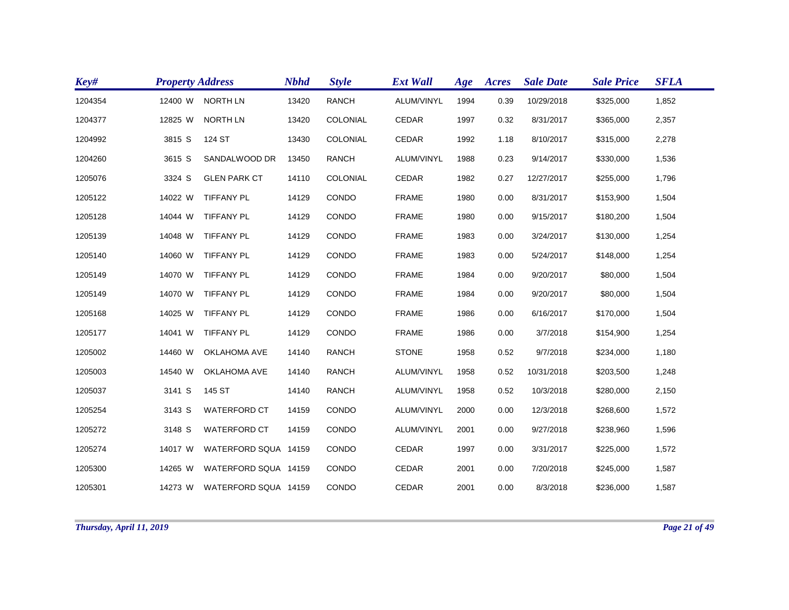| Key#    | <b>Property Address</b> |                              | <b>Nbhd</b> | <b>Style</b>    | <b>Ext Wall</b> | Age  | Acres | <b>Sale Date</b> | <b>Sale Price</b> | <b>SFLA</b> |
|---------|-------------------------|------------------------------|-------------|-----------------|-----------------|------|-------|------------------|-------------------|-------------|
| 1204354 | 12400 W                 | <b>NORTH LN</b>              | 13420       | <b>RANCH</b>    | ALUM/VINYL      | 1994 | 0.39  | 10/29/2018       | \$325,000         | 1,852       |
| 1204377 | 12825 W                 | <b>NORTH LN</b>              | 13420       | COLONIAL        | CEDAR           | 1997 | 0.32  | 8/31/2017        | \$365,000         | 2,357       |
| 1204992 | 3815 S                  | 124 ST                       | 13430       | COLONIAL        | CEDAR           | 1992 | 1.18  | 8/10/2017        | \$315,000         | 2,278       |
| 1204260 | 3615 S                  | SANDALWOOD DR                | 13450       | <b>RANCH</b>    | ALUM/VINYL      | 1988 | 0.23  | 9/14/2017        | \$330,000         | 1,536       |
| 1205076 | 3324 S                  | <b>GLEN PARK CT</b>          | 14110       | <b>COLONIAL</b> | <b>CEDAR</b>    | 1982 | 0.27  | 12/27/2017       | \$255,000         | 1,796       |
| 1205122 | 14022 W                 | <b>TIFFANY PL</b>            | 14129       | CONDO           | <b>FRAME</b>    | 1980 | 0.00  | 8/31/2017        | \$153,900         | 1,504       |
| 1205128 | 14044 W                 | <b>TIFFANY PL</b>            | 14129       | CONDO           | <b>FRAME</b>    | 1980 | 0.00  | 9/15/2017        | \$180,200         | 1,504       |
| 1205139 | 14048 W                 | <b>TIFFANY PL</b>            | 14129       | CONDO           | <b>FRAME</b>    | 1983 | 0.00  | 3/24/2017        | \$130,000         | 1,254       |
| 1205140 | 14060 W                 | <b>TIFFANY PL</b>            | 14129       | CONDO           | <b>FRAME</b>    | 1983 | 0.00  | 5/24/2017        | \$148,000         | 1,254       |
| 1205149 | 14070 W                 | <b>TIFFANY PL</b>            | 14129       | CONDO           | <b>FRAME</b>    | 1984 | 0.00  | 9/20/2017        | \$80,000          | 1,504       |
| 1205149 | 14070 W                 | TIFFANY PL                   | 14129       | CONDO           | <b>FRAME</b>    | 1984 | 0.00  | 9/20/2017        | \$80,000          | 1,504       |
| 1205168 | 14025 W                 | TIFFANY PL                   | 14129       | CONDO           | <b>FRAME</b>    | 1986 | 0.00  | 6/16/2017        | \$170,000         | 1,504       |
| 1205177 | 14041 W                 | TIFFANY PL                   | 14129       | CONDO           | <b>FRAME</b>    | 1986 | 0.00  | 3/7/2018         | \$154,900         | 1,254       |
| 1205002 | 14460 W                 | <b>OKLAHOMA AVE</b>          | 14140       | <b>RANCH</b>    | <b>STONE</b>    | 1958 | 0.52  | 9/7/2018         | \$234,000         | 1,180       |
| 1205003 | 14540 W                 | <b>OKLAHOMA AVE</b>          | 14140       | <b>RANCH</b>    | ALUM/VINYL      | 1958 | 0.52  | 10/31/2018       | \$203,500         | 1,248       |
| 1205037 | 3141 S                  | 145 ST                       | 14140       | <b>RANCH</b>    | ALUM/VINYL      | 1958 | 0.52  | 10/3/2018        | \$280,000         | 2,150       |
| 1205254 | 3143 S                  | <b>WATERFORD CT</b>          | 14159       | CONDO           | ALUM/VINYL      | 2000 | 0.00  | 12/3/2018        | \$268,600         | 1,572       |
| 1205272 | 3148 S                  | <b>WATERFORD CT</b>          | 14159       | CONDO           | ALUM/VINYL      | 2001 | 0.00  | 9/27/2018        | \$238,960         | 1,596       |
| 1205274 | 14017 W                 | WATERFORD SQUA 14159         |             | CONDO           | <b>CEDAR</b>    | 1997 | 0.00  | 3/31/2017        | \$225,000         | 1,572       |
| 1205300 | 14265 W                 | WATERFORD SQUA 14159         |             | CONDO           | <b>CEDAR</b>    | 2001 | 0.00  | 7/20/2018        | \$245,000         | 1,587       |
| 1205301 |                         | 14273 W WATERFORD SQUA 14159 |             | CONDO           | CEDAR           | 2001 | 0.00  | 8/3/2018         | \$236,000         | 1,587       |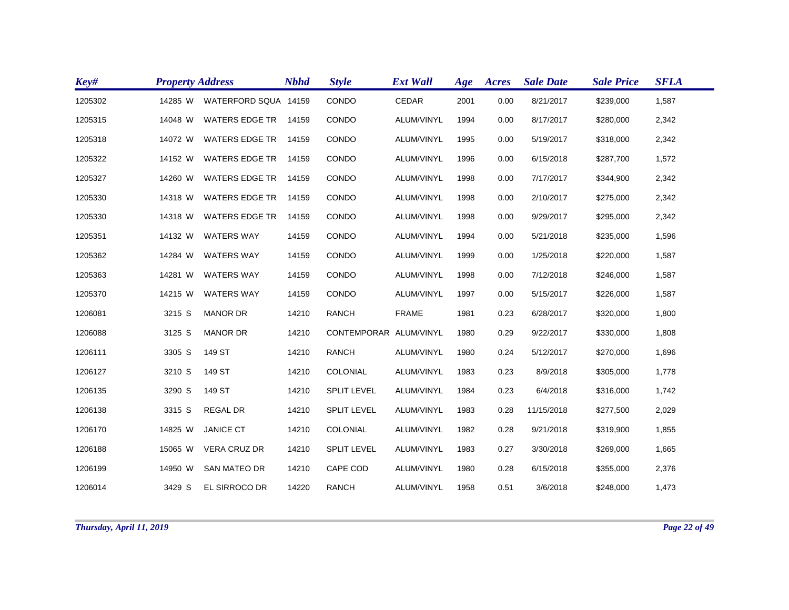| Key#    | <b>Property Address</b> |                       | <b>Nbhd</b> | <b>Style</b>           | <b>Ext Wall</b> | Age  | Acres | <b>Sale Date</b> | <b>Sale Price</b> | <b>SFLA</b> |
|---------|-------------------------|-----------------------|-------------|------------------------|-----------------|------|-------|------------------|-------------------|-------------|
| 1205302 | 14285 W                 | WATERFORD SQUA 14159  |             | CONDO                  | CEDAR           | 2001 | 0.00  | 8/21/2017        | \$239,000         | 1,587       |
| 1205315 | 14048 W                 | <b>WATERS EDGE TR</b> | 14159       | CONDO                  | ALUM/VINYL      | 1994 | 0.00  | 8/17/2017        | \$280,000         | 2,342       |
| 1205318 | 14072 W                 | <b>WATERS EDGE TR</b> | 14159       | CONDO                  | ALUM/VINYL      | 1995 | 0.00  | 5/19/2017        | \$318,000         | 2,342       |
| 1205322 | 14152 W                 | <b>WATERS EDGE TR</b> | 14159       | CONDO                  | ALUM/VINYL      | 1996 | 0.00  | 6/15/2018        | \$287,700         | 1,572       |
| 1205327 | 14260 W                 | <b>WATERS EDGE TR</b> | 14159       | CONDO                  | ALUM/VINYL      | 1998 | 0.00  | 7/17/2017        | \$344,900         | 2,342       |
| 1205330 | 14318 W                 | <b>WATERS EDGE TR</b> | 14159       | CONDO                  | ALUM/VINYL      | 1998 | 0.00  | 2/10/2017        | \$275,000         | 2,342       |
| 1205330 | 14318 W                 | <b>WATERS EDGE TR</b> | 14159       | CONDO                  | ALUM/VINYL      | 1998 | 0.00  | 9/29/2017        | \$295,000         | 2,342       |
| 1205351 | 14132 W                 | <b>WATERS WAY</b>     | 14159       | CONDO                  | ALUM/VINYL      | 1994 | 0.00  | 5/21/2018        | \$235,000         | 1,596       |
| 1205362 | 14284 W                 | <b>WATERS WAY</b>     | 14159       | CONDO                  | ALUM/VINYL      | 1999 | 0.00  | 1/25/2018        | \$220,000         | 1,587       |
| 1205363 | 14281 W                 | <b>WATERS WAY</b>     | 14159       | CONDO                  | ALUM/VINYL      | 1998 | 0.00  | 7/12/2018        | \$246,000         | 1,587       |
| 1205370 | 14215 W                 | <b>WATERS WAY</b>     | 14159       | CONDO                  | ALUM/VINYL      | 1997 | 0.00  | 5/15/2017        | \$226,000         | 1,587       |
| 1206081 | 3215 S                  | <b>MANOR DR</b>       | 14210       | <b>RANCH</b>           | <b>FRAME</b>    | 1981 | 0.23  | 6/28/2017        | \$320,000         | 1,800       |
| 1206088 | 3125 S                  | <b>MANOR DR</b>       | 14210       | CONTEMPORAR ALUM/VINYL |                 | 1980 | 0.29  | 9/22/2017        | \$330,000         | 1,808       |
| 1206111 | 3305 S                  | 149 ST                | 14210       | <b>RANCH</b>           | ALUM/VINYL      | 1980 | 0.24  | 5/12/2017        | \$270,000         | 1,696       |
| 1206127 | 3210 S                  | 149 ST                | 14210       | COLONIAL               | ALUM/VINYL      | 1983 | 0.23  | 8/9/2018         | \$305,000         | 1,778       |
| 1206135 | 3290 S                  | 149 ST                | 14210       | <b>SPLIT LEVEL</b>     | ALUM/VINYL      | 1984 | 0.23  | 6/4/2018         | \$316,000         | 1,742       |
| 1206138 | 3315 S                  | <b>REGAL DR</b>       | 14210       | <b>SPLIT LEVEL</b>     | ALUM/VINYL      | 1983 | 0.28  | 11/15/2018       | \$277,500         | 2,029       |
| 1206170 | 14825 W                 | <b>JANICE CT</b>      | 14210       | COLONIAL               | ALUM/VINYL      | 1982 | 0.28  | 9/21/2018        | \$319,900         | 1,855       |
| 1206188 | 15065 W                 | <b>VERA CRUZ DR</b>   | 14210       | <b>SPLIT LEVEL</b>     | ALUM/VINYL      | 1983 | 0.27  | 3/30/2018        | \$269,000         | 1,665       |
| 1206199 | 14950 W                 | <b>SAN MATEO DR</b>   | 14210       | CAPE COD               | ALUM/VINYL      | 1980 | 0.28  | 6/15/2018        | \$355,000         | 2,376       |
| 1206014 | 3429 S                  | EL SIRROCO DR         | 14220       | <b>RANCH</b>           | ALUM/VINYL      | 1958 | 0.51  | 3/6/2018         | \$248,000         | 1,473       |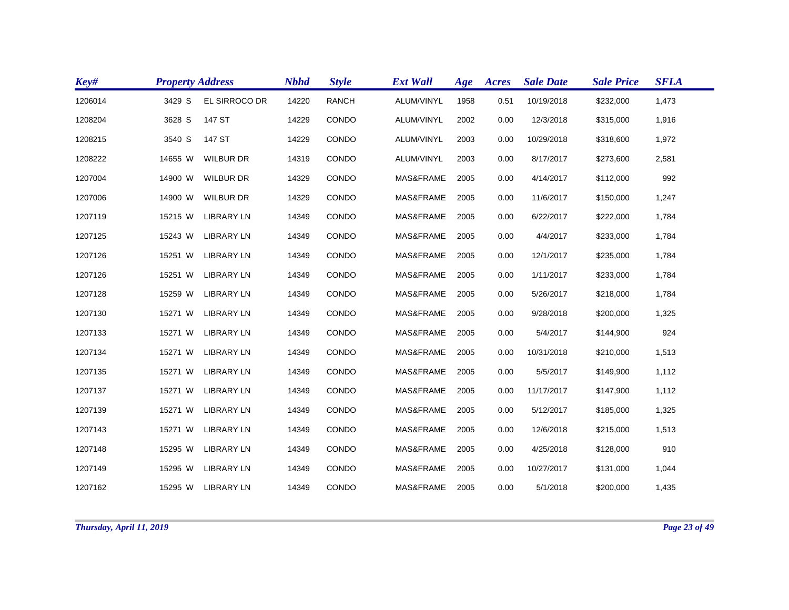| Key#    | <b>Property Address</b> |                   | <b>Nbhd</b> | <b>Style</b> | <b>Ext Wall</b> | Age  | <b>Acres</b> | <b>Sale Date</b> | <b>Sale Price</b> | <b>SFLA</b> |  |
|---------|-------------------------|-------------------|-------------|--------------|-----------------|------|--------------|------------------|-------------------|-------------|--|
| 1206014 | 3429 S                  | EL SIRROCO DR     | 14220       | <b>RANCH</b> | ALUM/VINYL      | 1958 | 0.51         | 10/19/2018       | \$232,000         | 1,473       |  |
| 1208204 | 3628 S                  | 147 ST            | 14229       | CONDO        | ALUM/VINYL      | 2002 | 0.00         | 12/3/2018        | \$315,000         | 1,916       |  |
| 1208215 | 3540 S                  | 147 ST            | 14229       | CONDO        | ALUM/VINYL      | 2003 | 0.00         | 10/29/2018       | \$318,600         | 1,972       |  |
| 1208222 | 14655 W                 | <b>WILBUR DR</b>  | 14319       | CONDO        | ALUM/VINYL      | 2003 | 0.00         | 8/17/2017        | \$273,600         | 2,581       |  |
| 1207004 | 14900 W                 | <b>WILBUR DR</b>  | 14329       | CONDO        | MAS&FRAME       | 2005 | 0.00         | 4/14/2017        | \$112,000         | 992         |  |
| 1207006 | 14900 W                 | <b>WILBUR DR</b>  | 14329       | CONDO        | MAS&FRAME       | 2005 | 0.00         | 11/6/2017        | \$150,000         | 1,247       |  |
| 1207119 | 15215 W                 | <b>LIBRARY LN</b> | 14349       | CONDO        | MAS&FRAME       | 2005 | 0.00         | 6/22/2017        | \$222,000         | 1,784       |  |
| 1207125 | 15243 W                 | <b>LIBRARY LN</b> | 14349       | CONDO        | MAS&FRAME       | 2005 | 0.00         | 4/4/2017         | \$233,000         | 1,784       |  |
| 1207126 | 15251 W                 | <b>LIBRARY LN</b> | 14349       | CONDO        | MAS&FRAME       | 2005 | 0.00         | 12/1/2017        | \$235,000         | 1,784       |  |
| 1207126 | 15251 W                 | <b>LIBRARY LN</b> | 14349       | CONDO        | MAS&FRAME       | 2005 | 0.00         | 1/11/2017        | \$233,000         | 1,784       |  |
| 1207128 | 15259 W                 | <b>LIBRARY LN</b> | 14349       | CONDO        | MAS&FRAME       | 2005 | 0.00         | 5/26/2017        | \$218,000         | 1,784       |  |
| 1207130 | 15271 W                 | <b>LIBRARY LN</b> | 14349       | CONDO        | MAS&FRAME       | 2005 | 0.00         | 9/28/2018        | \$200,000         | 1,325       |  |
| 1207133 | 15271 W                 | <b>LIBRARY LN</b> | 14349       | CONDO        | MAS&FRAME       | 2005 | 0.00         | 5/4/2017         | \$144,900         | 924         |  |
| 1207134 | 15271 W                 | <b>LIBRARY LN</b> | 14349       | CONDO        | MAS&FRAME       | 2005 | 0.00         | 10/31/2018       | \$210,000         | 1,513       |  |
| 1207135 | 15271 W                 | <b>LIBRARY LN</b> | 14349       | CONDO        | MAS&FRAME       | 2005 | 0.00         | 5/5/2017         | \$149,900         | 1,112       |  |
| 1207137 | 15271 W                 | <b>LIBRARY LN</b> | 14349       | CONDO        | MAS&FRAME       | 2005 | 0.00         | 11/17/2017       | \$147,900         | 1,112       |  |
| 1207139 | 15271 W                 | <b>LIBRARY LN</b> | 14349       | CONDO        | MAS&FRAME       | 2005 | 0.00         | 5/12/2017        | \$185,000         | 1,325       |  |
| 1207143 | 15271 W                 | <b>LIBRARY LN</b> | 14349       | CONDO        | MAS&FRAME       | 2005 | 0.00         | 12/6/2018        | \$215,000         | 1,513       |  |
| 1207148 | 15295 W                 | <b>LIBRARY LN</b> | 14349       | CONDO        | MAS&FRAME       | 2005 | 0.00         | 4/25/2018        | \$128,000         | 910         |  |
| 1207149 | 15295 W                 | <b>LIBRARY LN</b> | 14349       | CONDO        | MAS&FRAME       | 2005 | 0.00         | 10/27/2017       | \$131,000         | 1,044       |  |
| 1207162 | 15295 W                 | <b>LIBRARY LN</b> | 14349       | CONDO        | MAS&FRAME       | 2005 | 0.00         | 5/1/2018         | \$200,000         | 1,435       |  |
|         |                         |                   |             |              |                 |      |              |                  |                   |             |  |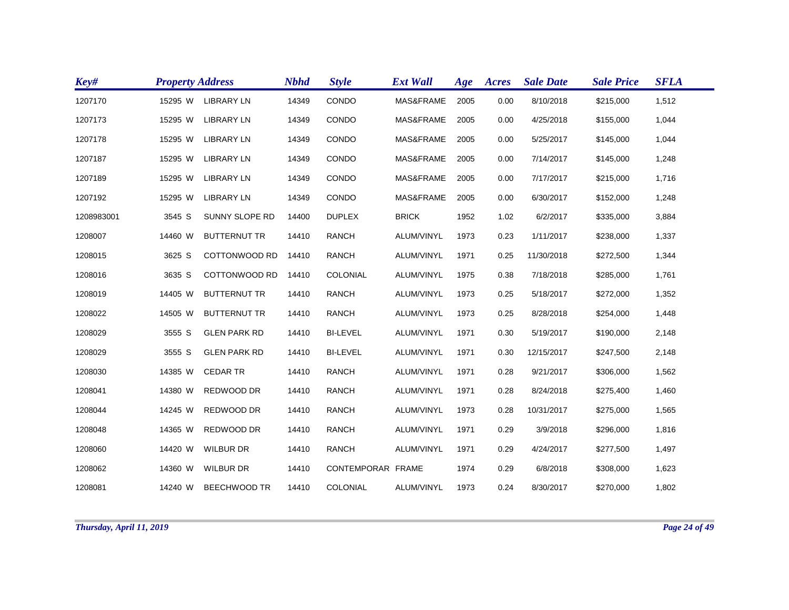| Key#       | <b>Property Address</b> |                       | <b>Nbhd</b> | <b>Style</b>      | <b>Ext Wall</b> | Age  | Acres | <b>Sale Date</b> | <b>Sale Price</b> | <b>SFLA</b> |
|------------|-------------------------|-----------------------|-------------|-------------------|-----------------|------|-------|------------------|-------------------|-------------|
| 1207170    | 15295 W                 | <b>LIBRARY LN</b>     | 14349       | CONDO             | MAS&FRAME       | 2005 | 0.00  | 8/10/2018        | \$215,000         | 1,512       |
| 1207173    | 15295 W                 | <b>LIBRARY LN</b>     | 14349       | CONDO             | MAS&FRAME       | 2005 | 0.00  | 4/25/2018        | \$155,000         | 1,044       |
| 1207178    | 15295 W                 | <b>LIBRARY LN</b>     | 14349       | CONDO             | MAS&FRAME       | 2005 | 0.00  | 5/25/2017        | \$145,000         | 1,044       |
| 1207187    | 15295 W                 | <b>LIBRARY LN</b>     | 14349       | CONDO             | MAS&FRAME       | 2005 | 0.00  | 7/14/2017        | \$145,000         | 1,248       |
| 1207189    | 15295 W                 | <b>LIBRARY LN</b>     | 14349       | CONDO             | MAS&FRAME       | 2005 | 0.00  | 7/17/2017        | \$215,000         | 1,716       |
| 1207192    | 15295 W                 | <b>LIBRARY LN</b>     | 14349       | CONDO             | MAS&FRAME       | 2005 | 0.00  | 6/30/2017        | \$152,000         | 1,248       |
| 1208983001 | 3545 S                  | <b>SUNNY SLOPE RD</b> | 14400       | <b>DUPLEX</b>     | <b>BRICK</b>    | 1952 | 1.02  | 6/2/2017         | \$335,000         | 3,884       |
| 1208007    | 14460 W                 | <b>BUTTERNUT TR</b>   | 14410       | <b>RANCH</b>      | ALUM/VINYL      | 1973 | 0.23  | 1/11/2017        | \$238,000         | 1,337       |
| 1208015    | 3625 S                  | COTTONWOOD RD         | 14410       | <b>RANCH</b>      | ALUM/VINYL      | 1971 | 0.25  | 11/30/2018       | \$272,500         | 1,344       |
| 1208016    | 3635 S                  | COTTONWOOD RD         | 14410       | COLONIAL          | ALUM/VINYL      | 1975 | 0.38  | 7/18/2018        | \$285,000         | 1,761       |
| 1208019    | 14405 W                 | <b>BUTTERNUT TR</b>   | 14410       | <b>RANCH</b>      | ALUM/VINYL      | 1973 | 0.25  | 5/18/2017        | \$272,000         | 1,352       |
| 1208022    | 14505 W                 | <b>BUTTERNUT TR</b>   | 14410       | <b>RANCH</b>      | ALUM/VINYL      | 1973 | 0.25  | 8/28/2018        | \$254,000         | 1,448       |
| 1208029    | 3555 S                  | <b>GLEN PARK RD</b>   | 14410       | <b>BI-LEVEL</b>   | ALUM/VINYL      | 1971 | 0.30  | 5/19/2017        | \$190,000         | 2,148       |
| 1208029    | 3555 S                  | <b>GLEN PARK RD</b>   | 14410       | <b>BI-LEVEL</b>   | ALUM/VINYL      | 1971 | 0.30  | 12/15/2017       | \$247,500         | 2,148       |
| 1208030    | 14385 W                 | <b>CEDAR TR</b>       | 14410       | <b>RANCH</b>      | ALUM/VINYL      | 1971 | 0.28  | 9/21/2017        | \$306,000         | 1,562       |
| 1208041    | 14380 W                 | REDWOOD DR            | 14410       | <b>RANCH</b>      | ALUM/VINYL      | 1971 | 0.28  | 8/24/2018        | \$275,400         | 1,460       |
| 1208044    | 14245 W                 | REDWOOD DR            | 14410       | <b>RANCH</b>      | ALUM/VINYL      | 1973 | 0.28  | 10/31/2017       | \$275,000         | 1,565       |
| 1208048    | 14365 W                 | REDWOOD DR            | 14410       | <b>RANCH</b>      | ALUM/VINYL      | 1971 | 0.29  | 3/9/2018         | \$296,000         | 1,816       |
| 1208060    | 14420 W                 | <b>WILBUR DR</b>      | 14410       | <b>RANCH</b>      | ALUM/VINYL      | 1971 | 0.29  | 4/24/2017        | \$277,500         | 1,497       |
| 1208062    | 14360 W                 | <b>WILBUR DR</b>      | 14410       | CONTEMPORAR FRAME |                 | 1974 | 0.29  | 6/8/2018         | \$308,000         | 1,623       |
| 1208081    | 14240 W                 | <b>BEECHWOOD TR</b>   | 14410       | <b>COLONIAL</b>   | ALUM/VINYL      | 1973 | 0.24  | 8/30/2017        | \$270,000         | 1,802       |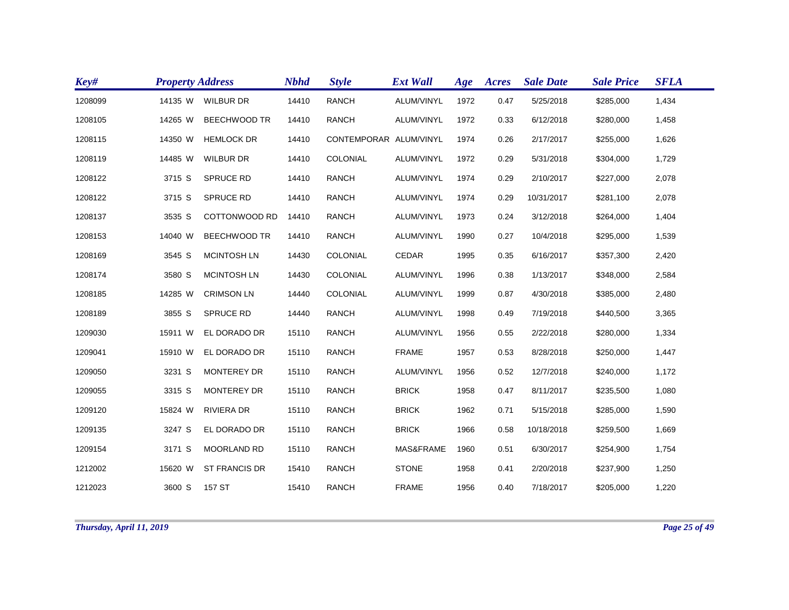| Key#    | <b>Property Address</b> |                      | <b>Nbhd</b> | <b>Style</b>           | <b>Ext Wall</b> | Age  | Acres | <b>Sale Date</b> | <b>Sale Price</b> | <b>SFLA</b> |
|---------|-------------------------|----------------------|-------------|------------------------|-----------------|------|-------|------------------|-------------------|-------------|
| 1208099 | 14135 W                 | <b>WILBUR DR</b>     | 14410       | <b>RANCH</b>           | ALUM/VINYL      | 1972 | 0.47  | 5/25/2018        | \$285,000         | 1,434       |
| 1208105 | 14265 W                 | <b>BEECHWOOD TR</b>  | 14410       | <b>RANCH</b>           | ALUM/VINYL      | 1972 | 0.33  | 6/12/2018        | \$280,000         | 1,458       |
| 1208115 | 14350 W                 | <b>HEMLOCK DR</b>    | 14410       | CONTEMPORAR ALUM/VINYL |                 | 1974 | 0.26  | 2/17/2017        | \$255,000         | 1,626       |
| 1208119 | 14485 W                 | <b>WILBUR DR</b>     | 14410       | COLONIAL               | ALUM/VINYL      | 1972 | 0.29  | 5/31/2018        | \$304,000         | 1,729       |
| 1208122 | 3715 S                  | <b>SPRUCE RD</b>     | 14410       | <b>RANCH</b>           | ALUM/VINYL      | 1974 | 0.29  | 2/10/2017        | \$227,000         | 2,078       |
| 1208122 | 3715 S                  | <b>SPRUCE RD</b>     | 14410       | <b>RANCH</b>           | ALUM/VINYL      | 1974 | 0.29  | 10/31/2017       | \$281,100         | 2,078       |
| 1208137 | 3535 S                  | COTTONWOOD RD        | 14410       | <b>RANCH</b>           | ALUM/VINYL      | 1973 | 0.24  | 3/12/2018        | \$264,000         | 1,404       |
| 1208153 | 14040 W                 | <b>BEECHWOOD TR</b>  | 14410       | <b>RANCH</b>           | ALUM/VINYL      | 1990 | 0.27  | 10/4/2018        | \$295,000         | 1,539       |
| 1208169 | 3545 S                  | <b>MCINTOSH LN</b>   | 14430       | COLONIAL               | <b>CEDAR</b>    | 1995 | 0.35  | 6/16/2017        | \$357,300         | 2,420       |
| 1208174 | 3580 S                  | <b>MCINTOSH LN</b>   | 14430       | COLONIAL               | ALUM/VINYL      | 1996 | 0.38  | 1/13/2017        | \$348,000         | 2,584       |
| 1208185 | 14285 W                 | <b>CRIMSON LN</b>    | 14440       | COLONIAL               | ALUM/VINYL      | 1999 | 0.87  | 4/30/2018        | \$385,000         | 2,480       |
| 1208189 | 3855 S                  | <b>SPRUCE RD</b>     | 14440       | <b>RANCH</b>           | ALUM/VINYL      | 1998 | 0.49  | 7/19/2018        | \$440,500         | 3,365       |
| 1209030 | 15911 W                 | EL DORADO DR         | 15110       | <b>RANCH</b>           | ALUM/VINYL      | 1956 | 0.55  | 2/22/2018        | \$280,000         | 1,334       |
| 1209041 | 15910 W                 | EL DORADO DR         | 15110       | <b>RANCH</b>           | <b>FRAME</b>    | 1957 | 0.53  | 8/28/2018        | \$250,000         | 1,447       |
| 1209050 | 3231 S                  | <b>MONTEREY DR</b>   | 15110       | <b>RANCH</b>           | ALUM/VINYL      | 1956 | 0.52  | 12/7/2018        | \$240,000         | 1,172       |
| 1209055 | 3315 S                  | <b>MONTEREY DR</b>   | 15110       | <b>RANCH</b>           | <b>BRICK</b>    | 1958 | 0.47  | 8/11/2017        | \$235,500         | 1,080       |
| 1209120 | 15824 W                 | <b>RIVIERA DR</b>    | 15110       | <b>RANCH</b>           | <b>BRICK</b>    | 1962 | 0.71  | 5/15/2018        | \$285,000         | 1,590       |
| 1209135 | 3247 S                  | EL DORADO DR         | 15110       | <b>RANCH</b>           | <b>BRICK</b>    | 1966 | 0.58  | 10/18/2018       | \$259,500         | 1,669       |
| 1209154 | 3171 S                  | <b>MOORLAND RD</b>   | 15110       | <b>RANCH</b>           | MAS&FRAME       | 1960 | 0.51  | 6/30/2017        | \$254,900         | 1,754       |
| 1212002 | 15620 W                 | <b>ST FRANCIS DR</b> | 15410       | <b>RANCH</b>           | <b>STONE</b>    | 1958 | 0.41  | 2/20/2018        | \$237,900         | 1,250       |
| 1212023 | 3600 S                  | 157 ST               | 15410       | <b>RANCH</b>           | <b>FRAME</b>    | 1956 | 0.40  | 7/18/2017        | \$205,000         | 1,220       |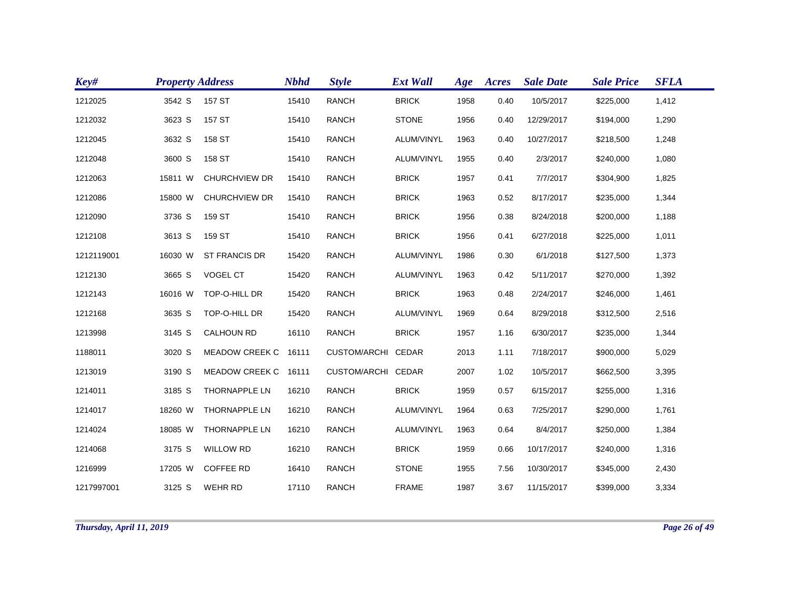| Key#       | <b>Property Address</b> |                      | <b>Nbhd</b> | <b>Style</b>       | <b>Ext Wall</b> | Age  | Acres | <b>Sale Date</b> | <b>Sale Price</b> | <b>SFLA</b> |
|------------|-------------------------|----------------------|-------------|--------------------|-----------------|------|-------|------------------|-------------------|-------------|
| 1212025    | 3542 S                  | 157 ST               | 15410       | <b>RANCH</b>       | <b>BRICK</b>    | 1958 | 0.40  | 10/5/2017        | \$225,000         | 1,412       |
| 1212032    | 3623 S                  | 157 ST               | 15410       | <b>RANCH</b>       | <b>STONE</b>    | 1956 | 0.40  | 12/29/2017       | \$194,000         | 1,290       |
| 1212045    | 3632 S                  | 158 ST               | 15410       | <b>RANCH</b>       | ALUM/VINYL      | 1963 | 0.40  | 10/27/2017       | \$218,500         | 1,248       |
| 1212048    | 3600 S                  | 158 ST               | 15410       | <b>RANCH</b>       | ALUM/VINYL      | 1955 | 0.40  | 2/3/2017         | \$240,000         | 1,080       |
| 1212063    | 15811 W                 | <b>CHURCHVIEW DR</b> | 15410       | <b>RANCH</b>       | <b>BRICK</b>    | 1957 | 0.41  | 7/7/2017         | \$304,900         | 1,825       |
| 1212086    | 15800 W                 | <b>CHURCHVIEW DR</b> | 15410       | <b>RANCH</b>       | <b>BRICK</b>    | 1963 | 0.52  | 8/17/2017        | \$235,000         | 1,344       |
| 1212090    | 3736 S                  | 159 ST               | 15410       | <b>RANCH</b>       | <b>BRICK</b>    | 1956 | 0.38  | 8/24/2018        | \$200,000         | 1,188       |
| 1212108    | 3613 S                  | 159 ST               | 15410       | <b>RANCH</b>       | <b>BRICK</b>    | 1956 | 0.41  | 6/27/2018        | \$225,000         | 1,011       |
| 1212119001 | 16030 W                 | <b>ST FRANCIS DR</b> | 15420       | <b>RANCH</b>       | ALUM/VINYL      | 1986 | 0.30  | 6/1/2018         | \$127,500         | 1,373       |
| 1212130    | 3665 S                  | VOGEL CT             | 15420       | <b>RANCH</b>       | ALUM/VINYL      | 1963 | 0.42  | 5/11/2017        | \$270,000         | 1,392       |
| 1212143    | 16016 W                 | TOP-O-HILL DR        | 15420       | <b>RANCH</b>       | <b>BRICK</b>    | 1963 | 0.48  | 2/24/2017        | \$246,000         | 1,461       |
| 1212168    | 3635 S                  | TOP-O-HILL DR        | 15420       | <b>RANCH</b>       | ALUM/VINYL      | 1969 | 0.64  | 8/29/2018        | \$312,500         | 2,516       |
| 1213998    | 3145 S                  | <b>CALHOUN RD</b>    | 16110       | <b>RANCH</b>       | <b>BRICK</b>    | 1957 | 1.16  | 6/30/2017        | \$235,000         | 1,344       |
| 1188011    | 3020 S                  | MEADOW CREEK C 16111 |             | CUSTOM/ARCHI CEDAR |                 | 2013 | 1.11  | 7/18/2017        | \$900,000         | 5,029       |
| 1213019    | 3190 S                  | MEADOW CREEK C 16111 |             | CUSTOM/ARCHI CEDAR |                 | 2007 | 1.02  | 10/5/2017        | \$662,500         | 3,395       |
| 1214011    | 3185 S                  | <b>THORNAPPLE LN</b> | 16210       | <b>RANCH</b>       | <b>BRICK</b>    | 1959 | 0.57  | 6/15/2017        | \$255,000         | 1,316       |
| 1214017    | 18260 W                 | <b>THORNAPPLE LN</b> | 16210       | <b>RANCH</b>       | ALUM/VINYL      | 1964 | 0.63  | 7/25/2017        | \$290,000         | 1,761       |
| 1214024    | 18085 W                 | <b>THORNAPPLE LN</b> | 16210       | <b>RANCH</b>       | ALUM/VINYL      | 1963 | 0.64  | 8/4/2017         | \$250,000         | 1,384       |
| 1214068    | 3175 S                  | <b>WILLOW RD</b>     | 16210       | <b>RANCH</b>       | <b>BRICK</b>    | 1959 | 0.66  | 10/17/2017       | \$240,000         | 1,316       |
| 1216999    | 17205 W                 | <b>COFFEE RD</b>     | 16410       | <b>RANCH</b>       | <b>STONE</b>    | 1955 | 7.56  | 10/30/2017       | \$345,000         | 2,430       |
| 1217997001 | 3125 S                  | <b>WEHR RD</b>       | 17110       | <b>RANCH</b>       | <b>FRAME</b>    | 1987 | 3.67  | 11/15/2017       | \$399,000         | 3,334       |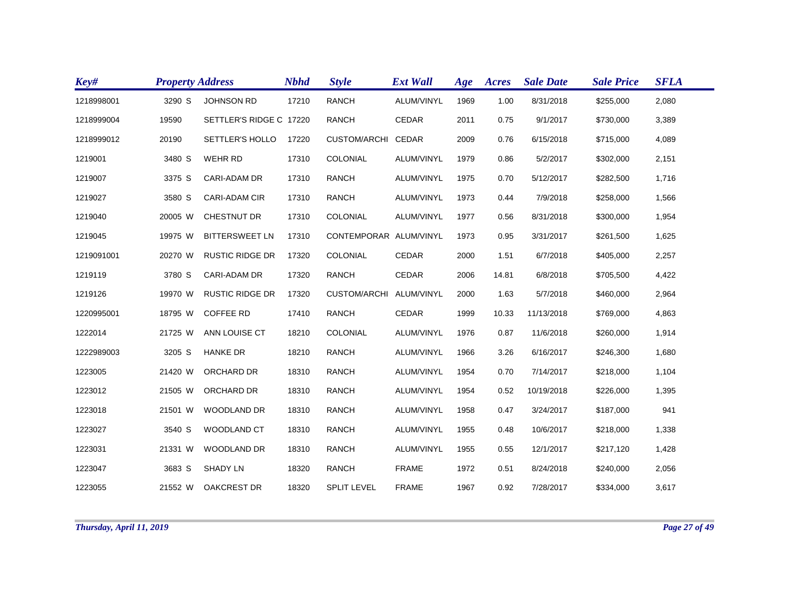| Key#       | <b>Property Address</b> |                         | <b>Nbhd</b> | <b>Style</b>           | <b>Ext Wall</b> | Age  | Acres | <b>Sale Date</b> | <b>Sale Price</b> | <b>SFLA</b> |
|------------|-------------------------|-------------------------|-------------|------------------------|-----------------|------|-------|------------------|-------------------|-------------|
| 1218998001 | 3290 S                  | <b>JOHNSON RD</b>       | 17210       | <b>RANCH</b>           | ALUM/VINYL      | 1969 | 1.00  | 8/31/2018        | \$255,000         | 2,080       |
| 1218999004 | 19590                   | SETTLER'S RIDGE C 17220 |             | <b>RANCH</b>           | <b>CEDAR</b>    | 2011 | 0.75  | 9/1/2017         | \$730,000         | 3,389       |
| 1218999012 | 20190                   | SETTLER'S HOLLO         | 17220       | CUSTOM/ARCHI CEDAR     |                 | 2009 | 0.76  | 6/15/2018        | \$715,000         | 4,089       |
| 1219001    | 3480 S                  | WEHR RD                 | 17310       | <b>COLONIAL</b>        | ALUM/VINYL      | 1979 | 0.86  | 5/2/2017         | \$302,000         | 2,151       |
| 1219007    | 3375 S                  | CARI-ADAM DR            | 17310       | <b>RANCH</b>           | ALUM/VINYL      | 1975 | 0.70  | 5/12/2017        | \$282,500         | 1,716       |
| 1219027    | 3580 S                  | <b>CARI-ADAM CIR</b>    | 17310       | <b>RANCH</b>           | ALUM/VINYL      | 1973 | 0.44  | 7/9/2018         | \$258,000         | 1,566       |
| 1219040    | 20005 W                 | <b>CHESTNUT DR</b>      | 17310       | COLONIAL               | ALUM/VINYL      | 1977 | 0.56  | 8/31/2018        | \$300,000         | 1,954       |
| 1219045    | 19975 W                 | <b>BITTERSWEET LN</b>   | 17310       | CONTEMPORAR ALUM/VINYL |                 | 1973 | 0.95  | 3/31/2017        | \$261,500         | 1,625       |
| 1219091001 | 20270 W                 | <b>RUSTIC RIDGE DR</b>  | 17320       | <b>COLONIAL</b>        | CEDAR           | 2000 | 1.51  | 6/7/2018         | \$405,000         | 2,257       |
| 1219119    | 3780 S                  | <b>CARI-ADAM DR</b>     | 17320       | <b>RANCH</b>           | CEDAR           | 2006 | 14.81 | 6/8/2018         | \$705,500         | 4,422       |
| 1219126    | 19970 W                 | <b>RUSTIC RIDGE DR</b>  | 17320       | <b>CUSTOM/ARCHI</b>    | ALUM/VINYL      | 2000 | 1.63  | 5/7/2018         | \$460,000         | 2,964       |
| 1220995001 | 18795 W                 | <b>COFFEE RD</b>        | 17410       | <b>RANCH</b>           | <b>CEDAR</b>    | 1999 | 10.33 | 11/13/2018       | \$769,000         | 4,863       |
| 1222014    | 21725 W                 | ANN LOUISE CT           | 18210       | COLONIAL               | ALUM/VINYL      | 1976 | 0.87  | 11/6/2018        | \$260,000         | 1,914       |
| 1222989003 | 3205 S                  | <b>HANKE DR</b>         | 18210       | <b>RANCH</b>           | ALUM/VINYL      | 1966 | 3.26  | 6/16/2017        | \$246,300         | 1,680       |
| 1223005    | 21420 W                 | ORCHARD DR              | 18310       | <b>RANCH</b>           | ALUM/VINYL      | 1954 | 0.70  | 7/14/2017        | \$218,000         | 1,104       |
| 1223012    | 21505 W                 | <b>ORCHARD DR</b>       | 18310       | <b>RANCH</b>           | ALUM/VINYL      | 1954 | 0.52  | 10/19/2018       | \$226,000         | 1,395       |
| 1223018    | 21501 W                 | <b>WOODLAND DR</b>      | 18310       | <b>RANCH</b>           | ALUM/VINYL      | 1958 | 0.47  | 3/24/2017        | \$187,000         | 941         |
| 1223027    | 3540 S                  | WOODLAND CT             | 18310       | <b>RANCH</b>           | ALUM/VINYL      | 1955 | 0.48  | 10/6/2017        | \$218,000         | 1,338       |
| 1223031    | 21331 W                 | <b>WOODLAND DR</b>      | 18310       | <b>RANCH</b>           | ALUM/VINYL      | 1955 | 0.55  | 12/1/2017        | \$217,120         | 1,428       |
| 1223047    | 3683 S                  | <b>SHADY LN</b>         | 18320       | <b>RANCH</b>           | <b>FRAME</b>    | 1972 | 0.51  | 8/24/2018        | \$240,000         | 2,056       |
| 1223055    | 21552 W                 | <b>OAKCREST DR</b>      | 18320       | <b>SPLIT LEVEL</b>     | <b>FRAME</b>    | 1967 | 0.92  | 7/28/2017        | \$334,000         | 3,617       |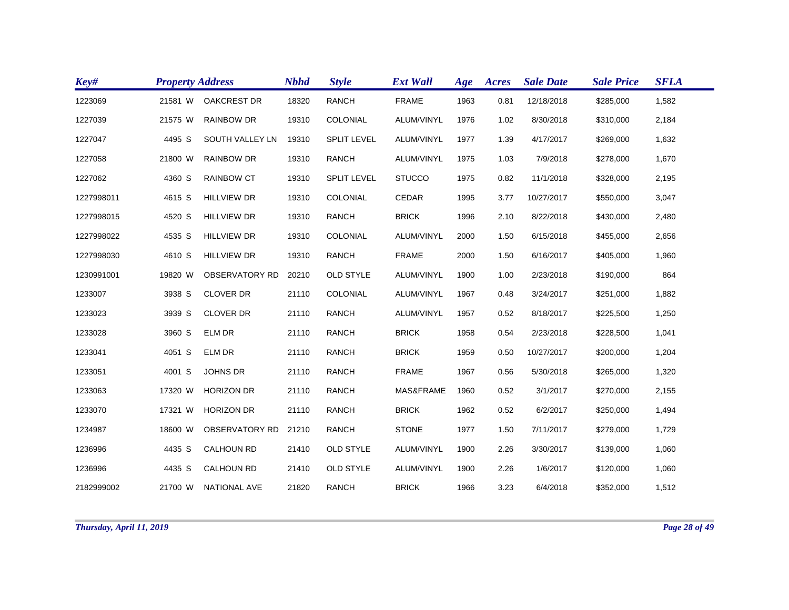| Key#       | <b>Property Address</b> |                       | <b>Nbhd</b> | <b>Style</b>       | <b>Ext Wall</b> | Age  | Acres | <b>Sale Date</b> | <b>Sale Price</b> | <b>SFLA</b> |
|------------|-------------------------|-----------------------|-------------|--------------------|-----------------|------|-------|------------------|-------------------|-------------|
| 1223069    | 21581 W                 | <b>OAKCREST DR</b>    | 18320       | <b>RANCH</b>       | <b>FRAME</b>    | 1963 | 0.81  | 12/18/2018       | \$285,000         | 1,582       |
| 1227039    | 21575 W                 | <b>RAINBOW DR</b>     | 19310       | COLONIAL           | ALUM/VINYL      | 1976 | 1.02  | 8/30/2018        | \$310,000         | 2,184       |
| 1227047    | 4495 S                  | SOUTH VALLEY LN       | 19310       | <b>SPLIT LEVEL</b> | ALUM/VINYL      | 1977 | 1.39  | 4/17/2017        | \$269,000         | 1,632       |
| 1227058    | 21800 W                 | <b>RAINBOW DR</b>     | 19310       | <b>RANCH</b>       | ALUM/VINYL      | 1975 | 1.03  | 7/9/2018         | \$278,000         | 1,670       |
| 1227062    | 4360 S                  | <b>RAINBOW CT</b>     | 19310       | <b>SPLIT LEVEL</b> | <b>STUCCO</b>   | 1975 | 0.82  | 11/1/2018        | \$328,000         | 2,195       |
| 1227998011 | 4615 S                  | <b>HILLVIEW DR</b>    | 19310       | COLONIAL           | CEDAR           | 1995 | 3.77  | 10/27/2017       | \$550,000         | 3,047       |
| 1227998015 | 4520 S                  | <b>HILLVIEW DR</b>    | 19310       | <b>RANCH</b>       | <b>BRICK</b>    | 1996 | 2.10  | 8/22/2018        | \$430,000         | 2,480       |
| 1227998022 | 4535 S                  | <b>HILLVIEW DR</b>    | 19310       | COLONIAL           | ALUM/VINYL      | 2000 | 1.50  | 6/15/2018        | \$455,000         | 2,656       |
| 1227998030 | 4610 S                  | <b>HILLVIEW DR</b>    | 19310       | <b>RANCH</b>       | <b>FRAME</b>    | 2000 | 1.50  | 6/16/2017        | \$405,000         | 1,960       |
| 1230991001 | 19820 W                 | <b>OBSERVATORY RD</b> | 20210       | <b>OLD STYLE</b>   | ALUM/VINYL      | 1900 | 1.00  | 2/23/2018        | \$190,000         | 864         |
| 1233007    | 3938 S                  | <b>CLOVER DR</b>      | 21110       | COLONIAL           | ALUM/VINYL      | 1967 | 0.48  | 3/24/2017        | \$251,000         | 1,882       |
| 1233023    | 3939 S                  | <b>CLOVER DR</b>      | 21110       | <b>RANCH</b>       | ALUM/VINYL      | 1957 | 0.52  | 8/18/2017        | \$225,500         | 1,250       |
| 1233028    | 3960 S                  | <b>ELM DR</b>         | 21110       | <b>RANCH</b>       | <b>BRICK</b>    | 1958 | 0.54  | 2/23/2018        | \$228,500         | 1,041       |
| 1233041    | 4051 S                  | <b>ELM DR</b>         | 21110       | <b>RANCH</b>       | <b>BRICK</b>    | 1959 | 0.50  | 10/27/2017       | \$200,000         | 1,204       |
| 1233051    | 4001 S                  | <b>JOHNS DR</b>       | 21110       | <b>RANCH</b>       | <b>FRAME</b>    | 1967 | 0.56  | 5/30/2018        | \$265,000         | 1,320       |
| 1233063    | 17320 W                 | <b>HORIZON DR</b>     | 21110       | <b>RANCH</b>       | MAS&FRAME       | 1960 | 0.52  | 3/1/2017         | \$270,000         | 2,155       |
| 1233070    | 17321 W                 | <b>HORIZON DR</b>     | 21110       | <b>RANCH</b>       | <b>BRICK</b>    | 1962 | 0.52  | 6/2/2017         | \$250,000         | 1,494       |
| 1234987    | 18600 W                 | <b>OBSERVATORY RD</b> | 21210       | <b>RANCH</b>       | <b>STONE</b>    | 1977 | 1.50  | 7/11/2017        | \$279,000         | 1,729       |
| 1236996    | 4435 S                  | <b>CALHOUN RD</b>     | 21410       | <b>OLD STYLE</b>   | ALUM/VINYL      | 1900 | 2.26  | 3/30/2017        | \$139,000         | 1,060       |
| 1236996    | 4435 S                  | <b>CALHOUN RD</b>     | 21410       | OLD STYLE          | ALUM/VINYL      | 1900 | 2.26  | 1/6/2017         | \$120,000         | 1,060       |
| 2182999002 | 21700 W                 | <b>NATIONAL AVE</b>   | 21820       | <b>RANCH</b>       | <b>BRICK</b>    | 1966 | 3.23  | 6/4/2018         | \$352,000         | 1,512       |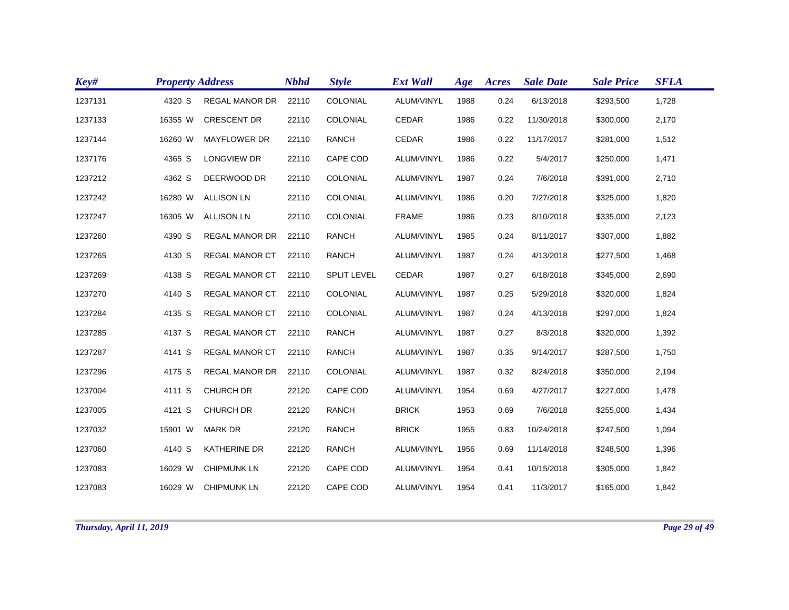| Key#    | <b>Property Address</b> |                       | <b>Nbhd</b> | <b>Style</b>       | <b>Ext Wall</b> | Age  | Acres | <b>Sale Date</b> | <b>Sale Price</b> | <b>SFLA</b> |
|---------|-------------------------|-----------------------|-------------|--------------------|-----------------|------|-------|------------------|-------------------|-------------|
| 1237131 | 4320 S                  | <b>REGAL MANOR DR</b> | 22110       | COLONIAL           | ALUM/VINYL      | 1988 | 0.24  | 6/13/2018        | \$293,500         | 1,728       |
| 1237133 | 16355 W                 | <b>CRESCENT DR</b>    | 22110       | COLONIAL           | CEDAR           | 1986 | 0.22  | 11/30/2018       | \$300,000         | 2,170       |
| 1237144 | 16260 W                 | <b>MAYFLOWER DR</b>   | 22110       | <b>RANCH</b>       | CEDAR           | 1986 | 0.22  | 11/17/2017       | \$281,000         | 1,512       |
| 1237176 | 4365 S                  | LONGVIEW DR           | 22110       | CAPE COD           | ALUM/VINYL      | 1986 | 0.22  | 5/4/2017         | \$250,000         | 1,471       |
| 1237212 | 4362 S                  | DEERWOOD DR           | 22110       | COLONIAL           | ALUM/VINYL      | 1987 | 0.24  | 7/6/2018         | \$391,000         | 2,710       |
| 1237242 | 16280 W                 | <b>ALLISON LN</b>     | 22110       | COLONIAL           | ALUM/VINYL      | 1986 | 0.20  | 7/27/2018        | \$325,000         | 1,820       |
| 1237247 | 16305 W                 | <b>ALLISON LN</b>     | 22110       | COLONIAL           | <b>FRAME</b>    | 1986 | 0.23  | 8/10/2018        | \$335,000         | 2,123       |
| 1237260 | 4390 S                  | <b>REGAL MANOR DR</b> | 22110       | <b>RANCH</b>       | ALUM/VINYL      | 1985 | 0.24  | 8/11/2017        | \$307,000         | 1,882       |
| 1237265 | 4130 S                  | <b>REGAL MANOR CT</b> | 22110       | <b>RANCH</b>       | ALUM/VINYL      | 1987 | 0.24  | 4/13/2018        | \$277,500         | 1,468       |
| 1237269 | 4138 S                  | <b>REGAL MANOR CT</b> | 22110       | <b>SPLIT LEVEL</b> | CEDAR           | 1987 | 0.27  | 6/18/2018        | \$345,000         | 2,690       |
| 1237270 | 4140 S                  | <b>REGAL MANOR CT</b> | 22110       | COLONIAL           | ALUM/VINYL      | 1987 | 0.25  | 5/29/2018        | \$320,000         | 1,824       |
| 1237284 | 4135 S                  | <b>REGAL MANOR CT</b> | 22110       | COLONIAL           | ALUM/VINYL      | 1987 | 0.24  | 4/13/2018        | \$297,000         | 1,824       |
| 1237285 | 4137 S                  | <b>REGAL MANOR CT</b> | 22110       | <b>RANCH</b>       | ALUM/VINYL      | 1987 | 0.27  | 8/3/2018         | \$320,000         | 1,392       |
| 1237287 | 4141 S                  | <b>REGAL MANOR CT</b> | 22110       | <b>RANCH</b>       | ALUM/VINYL      | 1987 | 0.35  | 9/14/2017        | \$287,500         | 1,750       |
| 1237296 | 4175 S                  | <b>REGAL MANOR DR</b> | 22110       | COLONIAL           | ALUM/VINYL      | 1987 | 0.32  | 8/24/2018        | \$350,000         | 2,194       |
| 1237004 | 4111 S                  | <b>CHURCH DR</b>      | 22120       | CAPE COD           | ALUM/VINYL      | 1954 | 0.69  | 4/27/2017        | \$227,000         | 1,478       |
| 1237005 | 4121 S                  | <b>CHURCH DR</b>      | 22120       | <b>RANCH</b>       | <b>BRICK</b>    | 1953 | 0.69  | 7/6/2018         | \$255,000         | 1,434       |
| 1237032 | 15901 W                 | <b>MARK DR</b>        | 22120       | <b>RANCH</b>       | <b>BRICK</b>    | 1955 | 0.83  | 10/24/2018       | \$247,500         | 1,094       |
| 1237060 | 4140 S                  | <b>KATHERINE DR</b>   | 22120       | <b>RANCH</b>       | ALUM/VINYL      | 1956 | 0.69  | 11/14/2018       | \$248,500         | 1,396       |
| 1237083 | 16029 W                 | <b>CHIPMUNK LN</b>    | 22120       | CAPE COD           | ALUM/VINYL      | 1954 | 0.41  | 10/15/2018       | \$305,000         | 1,842       |
| 1237083 | 16029 W                 | <b>CHIPMUNK LN</b>    | 22120       | <b>CAPE COD</b>    | ALUM/VINYL      | 1954 | 0.41  | 11/3/2017        | \$165,000         | 1,842       |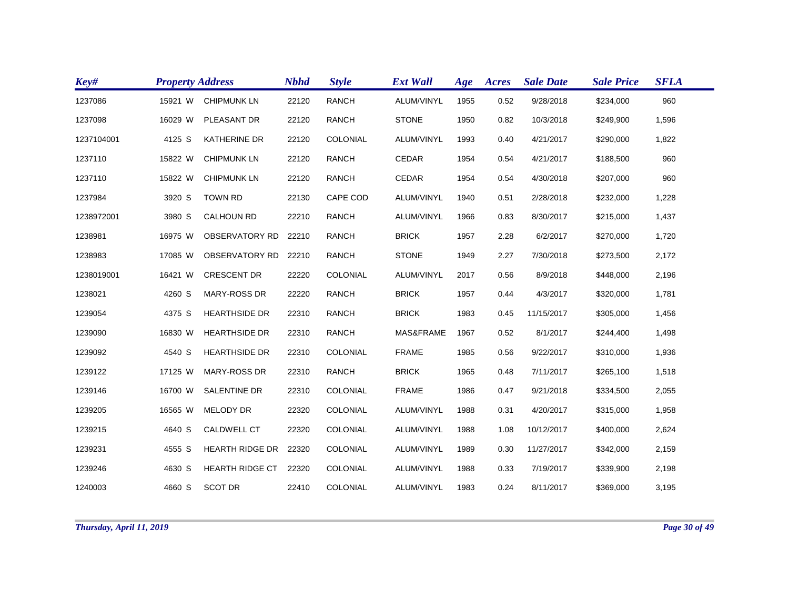| Key#       | <b>Property Address</b> |                        | <b>Nbhd</b> | <b>Style</b>    | <b>Ext Wall</b> | Age  | Acres | <b>Sale Date</b> | <b>Sale Price</b> | <b>SFLA</b> |
|------------|-------------------------|------------------------|-------------|-----------------|-----------------|------|-------|------------------|-------------------|-------------|
| 1237086    | 15921 W                 | <b>CHIPMUNK LN</b>     | 22120       | <b>RANCH</b>    | ALUM/VINYL      | 1955 | 0.52  | 9/28/2018        | \$234,000         | 960         |
| 1237098    | 16029 W                 | PLEASANT DR            | 22120       | <b>RANCH</b>    | <b>STONE</b>    | 1950 | 0.82  | 10/3/2018        | \$249,900         | 1,596       |
| 1237104001 | 4125 S                  | <b>KATHERINE DR</b>    | 22120       | <b>COLONIAL</b> | ALUM/VINYL      | 1993 | 0.40  | 4/21/2017        | \$290,000         | 1,822       |
| 1237110    | 15822 W                 | <b>CHIPMUNK LN</b>     | 22120       | <b>RANCH</b>    | <b>CEDAR</b>    | 1954 | 0.54  | 4/21/2017        | \$188,500         | 960         |
| 1237110    | 15822 W                 | <b>CHIPMUNK LN</b>     | 22120       | <b>RANCH</b>    | <b>CEDAR</b>    | 1954 | 0.54  | 4/30/2018        | \$207,000         | 960         |
| 1237984    | 3920 S                  | <b>TOWN RD</b>         | 22130       | CAPE COD        | ALUM/VINYL      | 1940 | 0.51  | 2/28/2018        | \$232,000         | 1,228       |
| 1238972001 | 3980 S                  | <b>CALHOUN RD</b>      | 22210       | <b>RANCH</b>    | ALUM/VINYL      | 1966 | 0.83  | 8/30/2017        | \$215,000         | 1,437       |
| 1238981    | 16975 W                 | <b>OBSERVATORY RD</b>  | 22210       | <b>RANCH</b>    | <b>BRICK</b>    | 1957 | 2.28  | 6/2/2017         | \$270,000         | 1,720       |
| 1238983    | 17085 W                 | <b>OBSERVATORY RD</b>  | 22210       | <b>RANCH</b>    | <b>STONE</b>    | 1949 | 2.27  | 7/30/2018        | \$273,500         | 2,172       |
| 1238019001 | 16421 W                 | <b>CRESCENT DR</b>     | 22220       | COLONIAL        | ALUM/VINYL      | 2017 | 0.56  | 8/9/2018         | \$448,000         | 2,196       |
| 1238021    | 4260 S                  | <b>MARY-ROSS DR</b>    | 22220       | <b>RANCH</b>    | <b>BRICK</b>    | 1957 | 0.44  | 4/3/2017         | \$320,000         | 1,781       |
| 1239054    | 4375 S                  | <b>HEARTHSIDE DR</b>   | 22310       | <b>RANCH</b>    | <b>BRICK</b>    | 1983 | 0.45  | 11/15/2017       | \$305,000         | 1,456       |
| 1239090    | 16830 W                 | <b>HEARTHSIDE DR</b>   | 22310       | <b>RANCH</b>    | MAS&FRAME       | 1967 | 0.52  | 8/1/2017         | \$244,400         | 1,498       |
| 1239092    | 4540 S                  | <b>HEARTHSIDE DR</b>   | 22310       | COLONIAL        | <b>FRAME</b>    | 1985 | 0.56  | 9/22/2017        | \$310,000         | 1,936       |
| 1239122    | 17125 W                 | <b>MARY-ROSS DR</b>    | 22310       | <b>RANCH</b>    | <b>BRICK</b>    | 1965 | 0.48  | 7/11/2017        | \$265,100         | 1,518       |
| 1239146    | 16700 W                 | SALENTINE DR           | 22310       | COLONIAL        | <b>FRAME</b>    | 1986 | 0.47  | 9/21/2018        | \$334,500         | 2,055       |
| 1239205    | 16565 W                 | <b>MELODY DR</b>       | 22320       | COLONIAL        | ALUM/VINYL      | 1988 | 0.31  | 4/20/2017        | \$315,000         | 1,958       |
| 1239215    | 4640 S                  | CALDWELL CT            | 22320       | COLONIAL        | ALUM/VINYL      | 1988 | 1.08  | 10/12/2017       | \$400,000         | 2,624       |
| 1239231    | 4555 S                  | <b>HEARTH RIDGE DR</b> | 22320       | COLONIAL        | ALUM/VINYL      | 1989 | 0.30  | 11/27/2017       | \$342,000         | 2,159       |
| 1239246    | 4630 S                  | <b>HEARTH RIDGE CT</b> | 22320       | COLONIAL        | ALUM/VINYL      | 1988 | 0.33  | 7/19/2017        | \$339,900         | 2,198       |
| 1240003    | 4660 S                  | <b>SCOT DR</b>         | 22410       | COLONIAL        | ALUM/VINYL      | 1983 | 0.24  | 8/11/2017        | \$369,000         | 3,195       |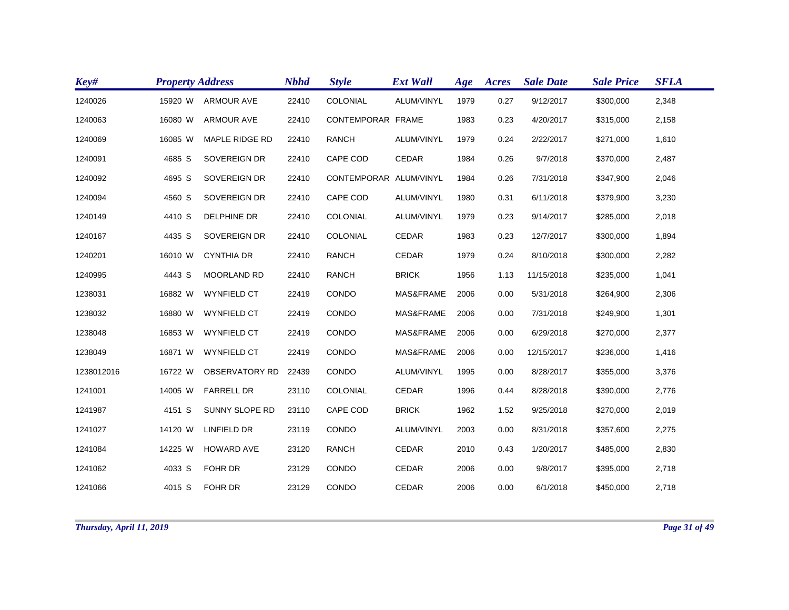| Key#       | <b>Property Address</b> |                       | <b>Nbhd</b> | <b>Style</b>           | <b>Ext Wall</b> | Age  | Acres | <b>Sale Date</b> | <b>Sale Price</b> | <b>SFLA</b> |
|------------|-------------------------|-----------------------|-------------|------------------------|-----------------|------|-------|------------------|-------------------|-------------|
| 1240026    | 15920 W                 | <b>ARMOUR AVE</b>     | 22410       | <b>COLONIAL</b>        | ALUM/VINYL      | 1979 | 0.27  | 9/12/2017        | \$300,000         | 2,348       |
| 1240063    | 16080 W                 | <b>ARMOUR AVE</b>     | 22410       | CONTEMPORAR FRAME      |                 | 1983 | 0.23  | 4/20/2017        | \$315,000         | 2,158       |
| 1240069    | 16085 W                 | MAPLE RIDGE RD        | 22410       | <b>RANCH</b>           | ALUM/VINYL      | 1979 | 0.24  | 2/22/2017        | \$271,000         | 1,610       |
| 1240091    | 4685 S                  | SOVEREIGN DR          | 22410       | CAPE COD               | <b>CEDAR</b>    | 1984 | 0.26  | 9/7/2018         | \$370,000         | 2,487       |
| 1240092    | 4695 S                  | SOVEREIGN DR          | 22410       | CONTEMPORAR ALUM/VINYL |                 | 1984 | 0.26  | 7/31/2018        | \$347,900         | 2,046       |
| 1240094    | 4560 S                  | SOVEREIGN DR          | 22410       | CAPE COD               | ALUM/VINYL      | 1980 | 0.31  | 6/11/2018        | \$379,900         | 3,230       |
| 1240149    | 4410 S                  | DELPHINE DR           | 22410       | COLONIAL               | ALUM/VINYL      | 1979 | 0.23  | 9/14/2017        | \$285,000         | 2,018       |
| 1240167    | 4435 S                  | SOVEREIGN DR          | 22410       | COLONIAL               | CEDAR           | 1983 | 0.23  | 12/7/2017        | \$300,000         | 1,894       |
| 1240201    | 16010 W                 | <b>CYNTHIA DR</b>     | 22410       | <b>RANCH</b>           | <b>CEDAR</b>    | 1979 | 0.24  | 8/10/2018        | \$300,000         | 2,282       |
| 1240995    | 4443 S                  | MOORLAND RD           | 22410       | <b>RANCH</b>           | <b>BRICK</b>    | 1956 | 1.13  | 11/15/2018       | \$235,000         | 1,041       |
| 1238031    | 16882 W                 | <b>WYNFIELD CT</b>    | 22419       | CONDO                  | MAS&FRAME       | 2006 | 0.00  | 5/31/2018        | \$264,900         | 2,306       |
| 1238032    | 16880 W                 | <b>WYNFIELD CT</b>    | 22419       | CONDO                  | MAS&FRAME       | 2006 | 0.00  | 7/31/2018        | \$249,900         | 1,301       |
| 1238048    | 16853 W                 | <b>WYNFIELD CT</b>    | 22419       | CONDO                  | MAS&FRAME       | 2006 | 0.00  | 6/29/2018        | \$270,000         | 2,377       |
| 1238049    | 16871 W                 | <b>WYNFIELD CT</b>    | 22419       | CONDO                  | MAS&FRAME       | 2006 | 0.00  | 12/15/2017       | \$236,000         | 1,416       |
| 1238012016 | 16722 W                 | <b>OBSERVATORY RD</b> | 22439       | CONDO                  | ALUM/VINYL      | 1995 | 0.00  | 8/28/2017        | \$355,000         | 3,376       |
| 1241001    | 14005 W                 | <b>FARRELL DR</b>     | 23110       | COLONIAL               | <b>CEDAR</b>    | 1996 | 0.44  | 8/28/2018        | \$390,000         | 2,776       |
| 1241987    | 4151 S                  | SUNNY SLOPE RD        | 23110       | CAPE COD               | <b>BRICK</b>    | 1962 | 1.52  | 9/25/2018        | \$270,000         | 2,019       |
| 1241027    | 14120 W                 | <b>LINFIELD DR</b>    | 23119       | CONDO                  | ALUM/VINYL      | 2003 | 0.00  | 8/31/2018        | \$357,600         | 2,275       |
| 1241084    | 14225 W                 | <b>HOWARD AVE</b>     | 23120       | <b>RANCH</b>           | <b>CEDAR</b>    | 2010 | 0.43  | 1/20/2017        | \$485,000         | 2,830       |
| 1241062    | 4033 S                  | FOHR DR               | 23129       | <b>CONDO</b>           | CEDAR           | 2006 | 0.00  | 9/8/2017         | \$395,000         | 2,718       |
| 1241066    | 4015 S                  | <b>FOHR DR</b>        | 23129       | CONDO                  | <b>CEDAR</b>    | 2006 | 0.00  | 6/1/2018         | \$450,000         | 2,718       |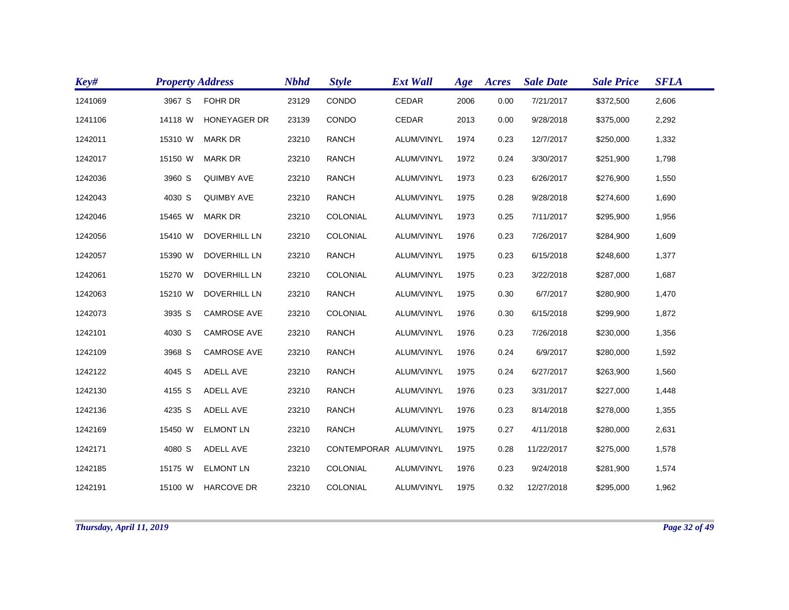| Key#    | <b>Property Address</b> |                     | <b>Nbhd</b> | <b>Style</b>           | <b>Ext Wall</b> | Age  | Acres | <b>Sale Date</b> | <b>Sale Price</b> | <b>SFLA</b> |
|---------|-------------------------|---------------------|-------------|------------------------|-----------------|------|-------|------------------|-------------------|-------------|
| 1241069 | 3967 S                  | <b>FOHR DR</b>      | 23129       | CONDO                  | <b>CEDAR</b>    | 2006 | 0.00  | 7/21/2017        | \$372,500         | 2,606       |
| 1241106 | 14118 W                 | <b>HONEYAGER DR</b> | 23139       | CONDO                  | <b>CEDAR</b>    | 2013 | 0.00  | 9/28/2018        | \$375,000         | 2,292       |
| 1242011 | 15310 W                 | <b>MARK DR</b>      | 23210       | <b>RANCH</b>           | ALUM/VINYL      | 1974 | 0.23  | 12/7/2017        | \$250,000         | 1,332       |
| 1242017 | 15150 W                 | <b>MARK DR</b>      | 23210       | <b>RANCH</b>           | ALUM/VINYL      | 1972 | 0.24  | 3/30/2017        | \$251,900         | 1,798       |
| 1242036 | 3960 S                  | <b>QUIMBY AVE</b>   | 23210       | <b>RANCH</b>           | ALUM/VINYL      | 1973 | 0.23  | 6/26/2017        | \$276,900         | 1,550       |
| 1242043 | 4030 S                  | <b>QUIMBY AVE</b>   | 23210       | <b>RANCH</b>           | ALUM/VINYL      | 1975 | 0.28  | 9/28/2018        | \$274,600         | 1,690       |
| 1242046 | 15465 W                 | <b>MARK DR</b>      | 23210       | COLONIAL               | ALUM/VINYL      | 1973 | 0.25  | 7/11/2017        | \$295,900         | 1,956       |
| 1242056 | 15410 W                 | <b>DOVERHILL LN</b> | 23210       | COLONIAL               | ALUM/VINYL      | 1976 | 0.23  | 7/26/2017        | \$284,900         | 1,609       |
| 1242057 | 15390 W                 | <b>DOVERHILL LN</b> | 23210       | <b>RANCH</b>           | ALUM/VINYL      | 1975 | 0.23  | 6/15/2018        | \$248,600         | 1,377       |
| 1242061 | 15270 W                 | <b>DOVERHILL LN</b> | 23210       | COLONIAL               | ALUM/VINYL      | 1975 | 0.23  | 3/22/2018        | \$287,000         | 1,687       |
| 1242063 | 15210 W                 | DOVERHILL LN        | 23210       | <b>RANCH</b>           | ALUM/VINYL      | 1975 | 0.30  | 6/7/2017         | \$280,900         | 1,470       |
| 1242073 | 3935 S                  | <b>CAMROSE AVE</b>  | 23210       | COLONIAL               | ALUM/VINYL      | 1976 | 0.30  | 6/15/2018        | \$299,900         | 1,872       |
| 1242101 | 4030 S                  | <b>CAMROSE AVE</b>  | 23210       | <b>RANCH</b>           | ALUM/VINYL      | 1976 | 0.23  | 7/26/2018        | \$230,000         | 1,356       |
| 1242109 | 3968 S                  | <b>CAMROSE AVE</b>  | 23210       | <b>RANCH</b>           | ALUM/VINYL      | 1976 | 0.24  | 6/9/2017         | \$280,000         | 1,592       |
| 1242122 | 4045 S                  | ADELL AVE           | 23210       | <b>RANCH</b>           | ALUM/VINYL      | 1975 | 0.24  | 6/27/2017        | \$263,900         | 1,560       |
| 1242130 | 4155 S                  | ADELL AVE           | 23210       | <b>RANCH</b>           | ALUM/VINYL      | 1976 | 0.23  | 3/31/2017        | \$227,000         | 1,448       |
| 1242136 | 4235 S                  | ADELL AVE           | 23210       | <b>RANCH</b>           | ALUM/VINYL      | 1976 | 0.23  | 8/14/2018        | \$278,000         | 1,355       |
| 1242169 | 15450 W                 | <b>ELMONT LN</b>    | 23210       | <b>RANCH</b>           | ALUM/VINYL      | 1975 | 0.27  | 4/11/2018        | \$280,000         | 2,631       |
| 1242171 | 4080 S                  | ADELL AVE           | 23210       | CONTEMPORAR ALUM/VINYL |                 | 1975 | 0.28  | 11/22/2017       | \$275,000         | 1,578       |
| 1242185 | 15175 W                 | <b>ELMONT LN</b>    | 23210       | COLONIAL               | ALUM/VINYL      | 1976 | 0.23  | 9/24/2018        | \$281,900         | 1,574       |
| 1242191 |                         | 15100 W HARCOVE DR  | 23210       | COLONIAL               | ALUM/VINYL      | 1975 | 0.32  | 12/27/2018       | \$295,000         | 1,962       |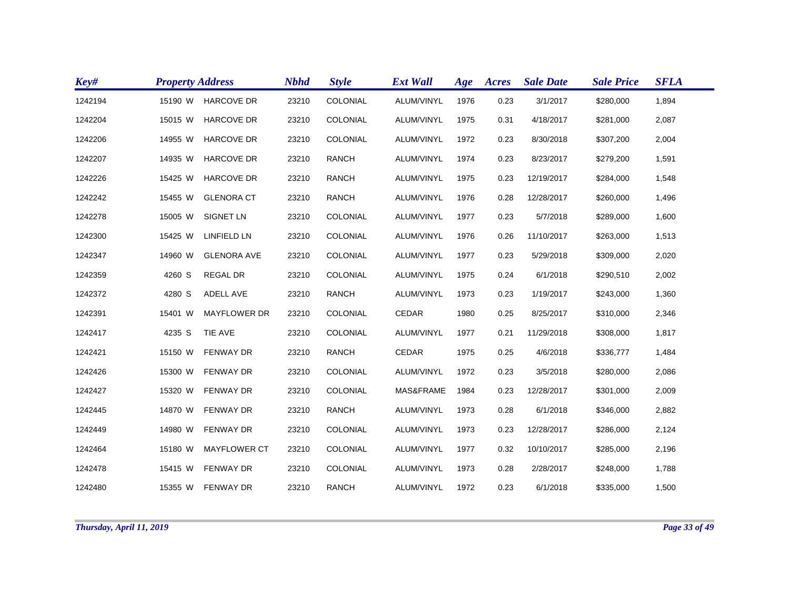| Key#    | <b>Property Address</b> |                     | <b>Nbhd</b> | <b>Style</b>    | <b>Ext Wall</b> | Age  | Acres | <b>Sale Date</b> | <b>Sale Price</b> | <b>SFLA</b> |
|---------|-------------------------|---------------------|-------------|-----------------|-----------------|------|-------|------------------|-------------------|-------------|
| 1242194 | 15190 W                 | <b>HARCOVE DR</b>   | 23210       | COLONIAL        | ALUM/VINYL      | 1976 | 0.23  | 3/1/2017         | \$280,000         | 1,894       |
| 1242204 | 15015 W                 | <b>HARCOVE DR</b>   | 23210       | COLONIAL        | ALUM/VINYL      | 1975 | 0.31  | 4/18/2017        | \$281,000         | 2,087       |
| 1242206 | 14955 W                 | <b>HARCOVE DR</b>   | 23210       | COLONIAL        | ALUM/VINYL      | 1972 | 0.23  | 8/30/2018        | \$307,200         | 2,004       |
| 1242207 | 14935 W                 | <b>HARCOVE DR</b>   | 23210       | <b>RANCH</b>    | ALUM/VINYL      | 1974 | 0.23  | 8/23/2017        | \$279,200         | 1,591       |
| 1242226 | 15425 W                 | <b>HARCOVE DR</b>   | 23210       | <b>RANCH</b>    | ALUM/VINYL      | 1975 | 0.23  | 12/19/2017       | \$284,000         | 1,548       |
| 1242242 | 15455 W                 | <b>GLENORA CT</b>   | 23210       | <b>RANCH</b>    | ALUM/VINYL      | 1976 | 0.28  | 12/28/2017       | \$260,000         | 1,496       |
| 1242278 | 15005 W                 | SIGNET LN           | 23210       | COLONIAL        | ALUM/VINYL      | 1977 | 0.23  | 5/7/2018         | \$289,000         | 1,600       |
| 1242300 | 15425 W                 | <b>LINFIELD LN</b>  | 23210       | COLONIAL        | ALUM/VINYL      | 1976 | 0.26  | 11/10/2017       | \$263,000         | 1,513       |
| 1242347 | 14960 W                 | <b>GLENORA AVE</b>  | 23210       | COLONIAL        | ALUM/VINYL      | 1977 | 0.23  | 5/29/2018        | \$309,000         | 2,020       |
| 1242359 | 4260 S                  | <b>REGAL DR</b>     | 23210       | <b>COLONIAL</b> | ALUM/VINYL      | 1975 | 0.24  | 6/1/2018         | \$290,510         | 2,002       |
| 1242372 | 4280 S                  | ADELL AVE           | 23210       | <b>RANCH</b>    | ALUM/VINYL      | 1973 | 0.23  | 1/19/2017        | \$243,000         | 1,360       |
| 1242391 | 15401 W                 | <b>MAYFLOWER DR</b> | 23210       | COLONIAL        | <b>CEDAR</b>    | 1980 | 0.25  | 8/25/2017        | \$310,000         | 2,346       |
| 1242417 | 4235 S                  | TIE AVE             | 23210       | COLONIAL        | ALUM/VINYL      | 1977 | 0.21  | 11/29/2018       | \$308,000         | 1,817       |
| 1242421 | 15150 W                 | <b>FENWAY DR</b>    | 23210       | <b>RANCH</b>    | <b>CEDAR</b>    | 1975 | 0.25  | 4/6/2018         | \$336,777         | 1,484       |
| 1242426 | 15300 W                 | <b>FENWAY DR</b>    | 23210       | COLONIAL        | ALUM/VINYL      | 1972 | 0.23  | 3/5/2018         | \$280,000         | 2,086       |
| 1242427 | 15320 W                 | <b>FENWAY DR</b>    | 23210       | COLONIAL        | MAS&FRAME       | 1984 | 0.23  | 12/28/2017       | \$301,000         | 2,009       |
| 1242445 | 14870 W                 | <b>FENWAY DR</b>    | 23210       | <b>RANCH</b>    | ALUM/VINYL      | 1973 | 0.28  | 6/1/2018         | \$346,000         | 2,882       |
| 1242449 | 14980 W                 | <b>FENWAY DR</b>    | 23210       | COLONIAL        | ALUM/VINYL      | 1973 | 0.23  | 12/28/2017       | \$286,000         | 2,124       |
| 1242464 | 15180 W                 | <b>MAYFLOWER CT</b> | 23210       | COLONIAL        | ALUM/VINYL      | 1977 | 0.32  | 10/10/2017       | \$285,000         | 2,196       |
| 1242478 | 15415 W                 | <b>FENWAY DR</b>    | 23210       | COLONIAL        | ALUM/VINYL      | 1973 | 0.28  | 2/28/2017        | \$248,000         | 1,788       |
| 1242480 |                         | 15355 W FENWAY DR   | 23210       | <b>RANCH</b>    | ALUM/VINYL      | 1972 | 0.23  | 6/1/2018         | \$335,000         | 1,500       |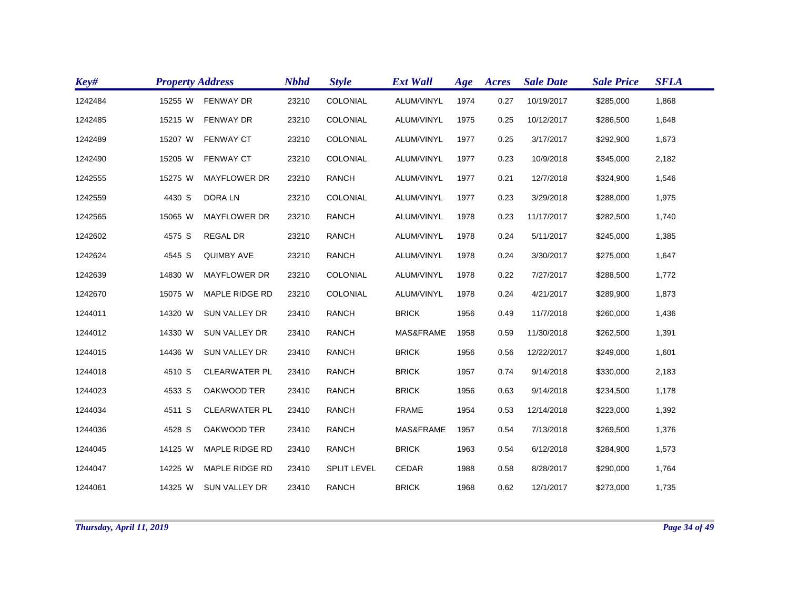| Key#    | <b>Property Address</b> |                      | <b>Nbhd</b> | <b>Style</b>       | <b>Ext Wall</b> | Age  | Acres | <b>Sale Date</b> | <b>Sale Price</b> | <b>SFLA</b> |
|---------|-------------------------|----------------------|-------------|--------------------|-----------------|------|-------|------------------|-------------------|-------------|
| 1242484 | 15255 W                 | <b>FENWAY DR</b>     | 23210       | COLONIAL           | ALUM/VINYL      | 1974 | 0.27  | 10/19/2017       | \$285,000         | 1,868       |
| 1242485 | 15215 W                 | <b>FENWAY DR</b>     | 23210       | COLONIAL           | ALUM/VINYL      | 1975 | 0.25  | 10/12/2017       | \$286,500         | 1,648       |
| 1242489 | 15207 W                 | <b>FENWAY CT</b>     | 23210       | COLONIAL           | ALUM/VINYL      | 1977 | 0.25  | 3/17/2017        | \$292,900         | 1,673       |
| 1242490 | 15205 W                 | <b>FENWAY CT</b>     | 23210       | COLONIAL           | ALUM/VINYL      | 1977 | 0.23  | 10/9/2018        | \$345,000         | 2,182       |
| 1242555 | 15275 W                 | <b>MAYFLOWER DR</b>  | 23210       | <b>RANCH</b>       | ALUM/VINYL      | 1977 | 0.21  | 12/7/2018        | \$324,900         | 1,546       |
| 1242559 | 4430 S                  | DORA LN              | 23210       | COLONIAL           | ALUM/VINYL      | 1977 | 0.23  | 3/29/2018        | \$288,000         | 1,975       |
| 1242565 | 15065 W                 | <b>MAYFLOWER DR</b>  | 23210       | <b>RANCH</b>       | ALUM/VINYL      | 1978 | 0.23  | 11/17/2017       | \$282,500         | 1,740       |
| 1242602 | 4575 S                  | <b>REGAL DR</b>      | 23210       | <b>RANCH</b>       | ALUM/VINYL      | 1978 | 0.24  | 5/11/2017        | \$245,000         | 1,385       |
| 1242624 | 4545 S                  | <b>QUIMBY AVE</b>    | 23210       | <b>RANCH</b>       | ALUM/VINYL      | 1978 | 0.24  | 3/30/2017        | \$275,000         | 1,647       |
| 1242639 | 14830 W                 | <b>MAYFLOWER DR</b>  | 23210       | COLONIAL           | ALUM/VINYL      | 1978 | 0.22  | 7/27/2017        | \$288,500         | 1,772       |
| 1242670 | 15075 W                 | MAPLE RIDGE RD       | 23210       | COLONIAL           | ALUM/VINYL      | 1978 | 0.24  | 4/21/2017        | \$289,900         | 1,873       |
| 1244011 | 14320 W                 | <b>SUN VALLEY DR</b> | 23410       | <b>RANCH</b>       | <b>BRICK</b>    | 1956 | 0.49  | 11/7/2018        | \$260,000         | 1,436       |
| 1244012 | 14330 W                 | SUN VALLEY DR        | 23410       | <b>RANCH</b>       | MAS&FRAME       | 1958 | 0.59  | 11/30/2018       | \$262,500         | 1,391       |
| 1244015 | 14436 W                 | <b>SUN VALLEY DR</b> | 23410       | <b>RANCH</b>       | <b>BRICK</b>    | 1956 | 0.56  | 12/22/2017       | \$249,000         | 1,601       |
| 1244018 | 4510 S                  | <b>CLEARWATER PL</b> | 23410       | <b>RANCH</b>       | <b>BRICK</b>    | 1957 | 0.74  | 9/14/2018        | \$330,000         | 2,183       |
| 1244023 | 4533 S                  | OAKWOOD TER          | 23410       | <b>RANCH</b>       | <b>BRICK</b>    | 1956 | 0.63  | 9/14/2018        | \$234,500         | 1,178       |
| 1244034 | 4511 S                  | <b>CLEARWATER PL</b> | 23410       | <b>RANCH</b>       | <b>FRAME</b>    | 1954 | 0.53  | 12/14/2018       | \$223,000         | 1,392       |
| 1244036 | 4528 S                  | OAKWOOD TER          | 23410       | <b>RANCH</b>       | MAS&FRAME       | 1957 | 0.54  | 7/13/2018        | \$269,500         | 1,376       |
| 1244045 | 14125 W                 | MAPLE RIDGE RD       | 23410       | <b>RANCH</b>       | <b>BRICK</b>    | 1963 | 0.54  | 6/12/2018        | \$284,900         | 1,573       |
| 1244047 | 14225 W                 | MAPLE RIDGE RD       | 23410       | <b>SPLIT LEVEL</b> | CEDAR           | 1988 | 0.58  | 8/28/2017        | \$290,000         | 1,764       |
| 1244061 | 14325 W                 | SUN VALLEY DR        | 23410       | <b>RANCH</b>       | <b>BRICK</b>    | 1968 | 0.62  | 12/1/2017        | \$273,000         | 1,735       |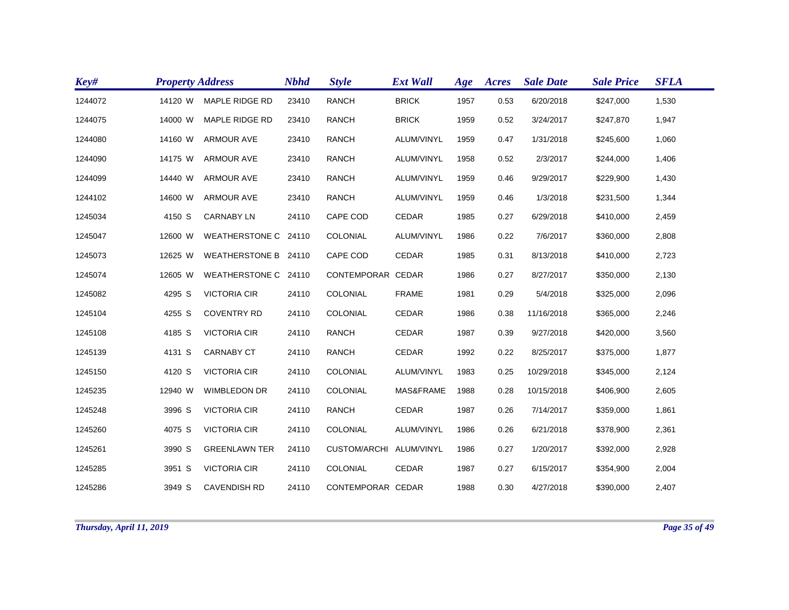| Key#    | <b>Property Address</b> |                       | <b>Nbhd</b> | <b>Style</b>        | <b>Ext Wall</b> | Age  | Acres | <b>Sale Date</b> | <b>Sale Price</b> | <b>SFLA</b> |
|---------|-------------------------|-----------------------|-------------|---------------------|-----------------|------|-------|------------------|-------------------|-------------|
| 1244072 | 14120 W                 | <b>MAPLE RIDGE RD</b> | 23410       | <b>RANCH</b>        | <b>BRICK</b>    | 1957 | 0.53  | 6/20/2018        | \$247,000         | 1,530       |
| 1244075 | 14000 W                 | MAPLE RIDGE RD        | 23410       | <b>RANCH</b>        | <b>BRICK</b>    | 1959 | 0.52  | 3/24/2017        | \$247,870         | 1,947       |
| 1244080 | 14160 W                 | <b>ARMOUR AVE</b>     | 23410       | <b>RANCH</b>        | ALUM/VINYL      | 1959 | 0.47  | 1/31/2018        | \$245,600         | 1,060       |
| 1244090 | 14175 W                 | <b>ARMOUR AVE</b>     | 23410       | <b>RANCH</b>        | ALUM/VINYL      | 1958 | 0.52  | 2/3/2017         | \$244,000         | 1,406       |
| 1244099 | 14440 W                 | <b>ARMOUR AVE</b>     | 23410       | <b>RANCH</b>        | ALUM/VINYL      | 1959 | 0.46  | 9/29/2017        | \$229,900         | 1,430       |
| 1244102 | 14600 W                 | <b>ARMOUR AVE</b>     | 23410       | <b>RANCH</b>        | ALUM/VINYL      | 1959 | 0.46  | 1/3/2018         | \$231,500         | 1,344       |
| 1245034 | 4150 S                  | <b>CARNABY LN</b>     | 24110       | CAPE COD            | <b>CEDAR</b>    | 1985 | 0.27  | 6/29/2018        | \$410,000         | 2,459       |
| 1245047 | 12600 W                 | WEATHERSTONE C 24110  |             | COLONIAL            | ALUM/VINYL      | 1986 | 0.22  | 7/6/2017         | \$360,000         | 2,808       |
| 1245073 | 12625 W                 | WEATHERSTONE B 24110  |             | CAPE COD            | <b>CEDAR</b>    | 1985 | 0.31  | 8/13/2018        | \$410,000         | 2,723       |
| 1245074 | 12605 W                 | WEATHERSTONE C 24110  |             | CONTEMPORAR CEDAR   |                 | 1986 | 0.27  | 8/27/2017        | \$350,000         | 2,130       |
| 1245082 | 4295 S                  | <b>VICTORIA CIR</b>   | 24110       | COLONIAL            | <b>FRAME</b>    | 1981 | 0.29  | 5/4/2018         | \$325,000         | 2,096       |
| 1245104 | 4255 S                  | <b>COVENTRY RD</b>    | 24110       | COLONIAL            | CEDAR           | 1986 | 0.38  | 11/16/2018       | \$365,000         | 2,246       |
| 1245108 | 4185 S                  | <b>VICTORIA CIR</b>   | 24110       | <b>RANCH</b>        | <b>CEDAR</b>    | 1987 | 0.39  | 9/27/2018        | \$420,000         | 3,560       |
| 1245139 | 4131 S                  | <b>CARNABY CT</b>     | 24110       | <b>RANCH</b>        | <b>CEDAR</b>    | 1992 | 0.22  | 8/25/2017        | \$375,000         | 1,877       |
| 1245150 | 4120 S                  | <b>VICTORIA CIR</b>   | 24110       | COLONIAL            | ALUM/VINYL      | 1983 | 0.25  | 10/29/2018       | \$345,000         | 2,124       |
| 1245235 | 12940 W                 | <b>WIMBLEDON DR</b>   | 24110       | COLONIAL            | MAS&FRAME       | 1988 | 0.28  | 10/15/2018       | \$406,900         | 2,605       |
| 1245248 | 3996 S                  | <b>VICTORIA CIR</b>   | 24110       | <b>RANCH</b>        | <b>CEDAR</b>    | 1987 | 0.26  | 7/14/2017        | \$359,000         | 1,861       |
| 1245260 | 4075 S                  | <b>VICTORIA CIR</b>   | 24110       | COLONIAL            | ALUM/VINYL      | 1986 | 0.26  | 6/21/2018        | \$378,900         | 2,361       |
| 1245261 | 3990 S                  | <b>GREENLAWN TER</b>  | 24110       | <b>CUSTOM/ARCHI</b> | ALUM/VINYL      | 1986 | 0.27  | 1/20/2017        | \$392,000         | 2,928       |
| 1245285 | 3951 S                  | <b>VICTORIA CIR</b>   | 24110       | COLONIAL            | CEDAR           | 1987 | 0.27  | 6/15/2017        | \$354,900         | 2,004       |
| 1245286 | 3949 S                  | <b>CAVENDISH RD</b>   | 24110       | CONTEMPORAR CEDAR   |                 | 1988 | 0.30  | 4/27/2018        | \$390,000         | 2,407       |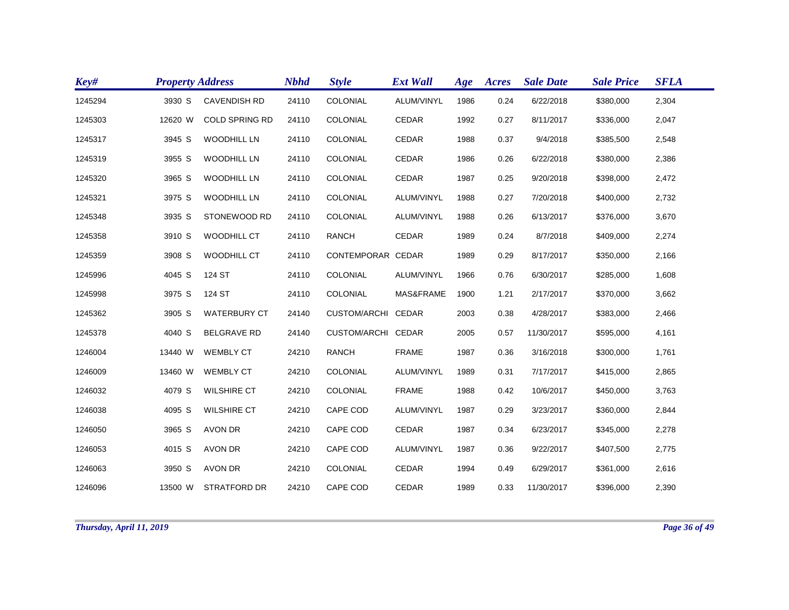| Key#    | <b>Property Address</b> |                       | <b>Nbhd</b> | <b>Style</b>       | <b>Ext Wall</b> | Age  | Acres | <b>Sale Date</b> | <b>Sale Price</b> | <b>SFLA</b> |
|---------|-------------------------|-----------------------|-------------|--------------------|-----------------|------|-------|------------------|-------------------|-------------|
| 1245294 | 3930 S                  | <b>CAVENDISH RD</b>   | 24110       | COLONIAL           | ALUM/VINYL      | 1986 | 0.24  | 6/22/2018        | \$380,000         | 2,304       |
| 1245303 | 12620 W                 | <b>COLD SPRING RD</b> | 24110       | COLONIAL           | CEDAR           | 1992 | 0.27  | 8/11/2017        | \$336,000         | 2,047       |
| 1245317 | 3945 S                  | <b>WOODHILL LN</b>    | 24110       | COLONIAL           | <b>CEDAR</b>    | 1988 | 0.37  | 9/4/2018         | \$385,500         | 2,548       |
| 1245319 | 3955 S                  | <b>WOODHILL LN</b>    | 24110       | COLONIAL           | <b>CEDAR</b>    | 1986 | 0.26  | 6/22/2018        | \$380,000         | 2,386       |
| 1245320 | 3965 S                  | <b>WOODHILL LN</b>    | 24110       | COLONIAL           | CEDAR           | 1987 | 0.25  | 9/20/2018        | \$398,000         | 2,472       |
| 1245321 | 3975 S                  | <b>WOODHILL LN</b>    | 24110       | COLONIAL           | ALUM/VINYL      | 1988 | 0.27  | 7/20/2018        | \$400,000         | 2,732       |
| 1245348 | 3935 S                  | STONEWOOD RD          | 24110       | COLONIAL           | ALUM/VINYL      | 1988 | 0.26  | 6/13/2017        | \$376,000         | 3,670       |
| 1245358 | 3910 S                  | WOODHILL CT           | 24110       | <b>RANCH</b>       | <b>CEDAR</b>    | 1989 | 0.24  | 8/7/2018         | \$409,000         | 2,274       |
| 1245359 | 3908 S                  | <b>WOODHILL CT</b>    | 24110       | CONTEMPORAR CEDAR  |                 | 1989 | 0.29  | 8/17/2017        | \$350,000         | 2,166       |
| 1245996 | 4045 S                  | 124 ST                | 24110       | COLONIAL           | ALUM/VINYL      | 1966 | 0.76  | 6/30/2017        | \$285,000         | 1,608       |
| 1245998 | 3975 S                  | 124 ST                | 24110       | COLONIAL           | MAS&FRAME       | 1900 | 1.21  | 2/17/2017        | \$370,000         | 3,662       |
| 1245362 | 3905 S                  | <b>WATERBURY CT</b>   | 24140       | CUSTOM/ARCHI CEDAR |                 | 2003 | 0.38  | 4/28/2017        | \$383,000         | 2,466       |
| 1245378 | 4040 S                  | <b>BELGRAVE RD</b>    | 24140       | CUSTOM/ARCHI CEDAR |                 | 2005 | 0.57  | 11/30/2017       | \$595,000         | 4,161       |
| 1246004 | 13440 W                 | <b>WEMBLY CT</b>      | 24210       | <b>RANCH</b>       | <b>FRAME</b>    | 1987 | 0.36  | 3/16/2018        | \$300,000         | 1,761       |
| 1246009 | 13460 W                 | <b>WEMBLY CT</b>      | 24210       | COLONIAL           | ALUM/VINYL      | 1989 | 0.31  | 7/17/2017        | \$415,000         | 2,865       |
| 1246032 | 4079 S                  | <b>WILSHIRE CT</b>    | 24210       | COLONIAL           | <b>FRAME</b>    | 1988 | 0.42  | 10/6/2017        | \$450,000         | 3,763       |
| 1246038 | 4095 S                  | <b>WILSHIRE CT</b>    | 24210       | CAPE COD           | ALUM/VINYL      | 1987 | 0.29  | 3/23/2017        | \$360,000         | 2,844       |
| 1246050 | 3965 S                  | <b>AVON DR</b>        | 24210       | CAPE COD           | <b>CEDAR</b>    | 1987 | 0.34  | 6/23/2017        | \$345,000         | 2,278       |
| 1246053 | 4015 S                  | <b>AVON DR</b>        | 24210       | CAPE COD           | ALUM/VINYL      | 1987 | 0.36  | 9/22/2017        | \$407,500         | 2,775       |
| 1246063 | 3950 S                  | AVON DR               | 24210       | COLONIAL           | CEDAR           | 1994 | 0.49  | 6/29/2017        | \$361,000         | 2,616       |
| 1246096 | 13500 W                 | <b>STRATFORD DR</b>   | 24210       | CAPE COD           | <b>CEDAR</b>    | 1989 | 0.33  | 11/30/2017       | \$396,000         | 2,390       |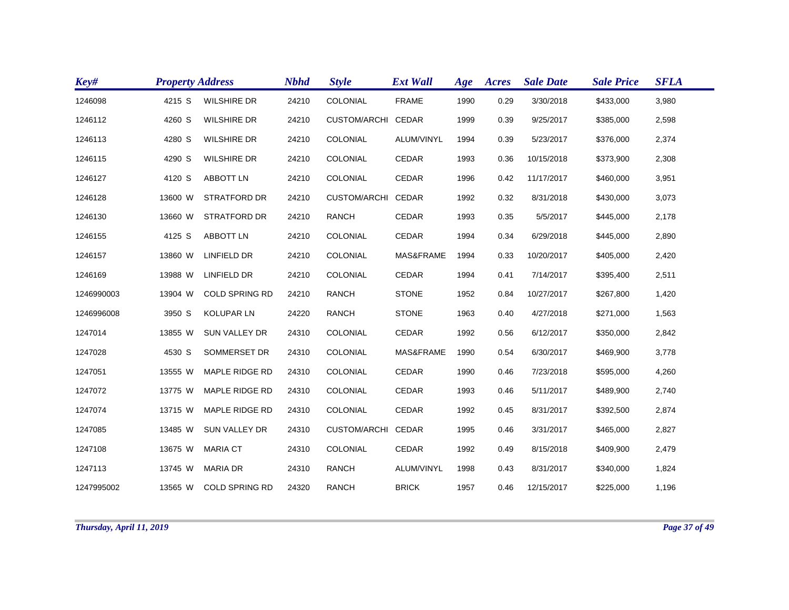| Key#       | <b>Property Address</b> |                       | <b>Nbhd</b> | <b>Style</b>        | <b>Ext Wall</b> | Age  | Acres | <b>Sale Date</b> | <b>Sale Price</b> | <b>SFLA</b> |
|------------|-------------------------|-----------------------|-------------|---------------------|-----------------|------|-------|------------------|-------------------|-------------|
| 1246098    | 4215 S                  | <b>WILSHIRE DR</b>    | 24210       | COLONIAL            | <b>FRAME</b>    | 1990 | 0.29  | 3/30/2018        | \$433,000         | 3,980       |
| 1246112    | 4260 S                  | <b>WILSHIRE DR</b>    | 24210       | <b>CUSTOM/ARCHI</b> | CEDAR           | 1999 | 0.39  | 9/25/2017        | \$385,000         | 2,598       |
| 1246113    | 4280 S                  | <b>WILSHIRE DR</b>    | 24210       | COLONIAL            | ALUM/VINYL      | 1994 | 0.39  | 5/23/2017        | \$376,000         | 2,374       |
| 1246115    | 4290 S                  | <b>WILSHIRE DR</b>    | 24210       | COLONIAL            | <b>CEDAR</b>    | 1993 | 0.36  | 10/15/2018       | \$373,900         | 2,308       |
| 1246127    | 4120 S                  | <b>ABBOTT LN</b>      | 24210       | COLONIAL            | <b>CEDAR</b>    | 1996 | 0.42  | 11/17/2017       | \$460,000         | 3,951       |
| 1246128    | 13600 W                 | <b>STRATFORD DR</b>   | 24210       | CUSTOM/ARCHI CEDAR  |                 | 1992 | 0.32  | 8/31/2018        | \$430,000         | 3,073       |
| 1246130    | 13660 W                 | <b>STRATFORD DR</b>   | 24210       | <b>RANCH</b>        | <b>CEDAR</b>    | 1993 | 0.35  | 5/5/2017         | \$445,000         | 2,178       |
| 1246155    | 4125 S                  | <b>ABBOTT LN</b>      | 24210       | COLONIAL            | <b>CEDAR</b>    | 1994 | 0.34  | 6/29/2018        | \$445,000         | 2,890       |
| 1246157    | 13860 W                 | <b>LINFIELD DR</b>    | 24210       | COLONIAL            | MAS&FRAME       | 1994 | 0.33  | 10/20/2017       | \$405,000         | 2,420       |
| 1246169    | 13988 W                 | <b>LINFIELD DR</b>    | 24210       | COLONIAL            | <b>CEDAR</b>    | 1994 | 0.41  | 7/14/2017        | \$395,400         | 2,511       |
| 1246990003 | 13904 W                 | <b>COLD SPRING RD</b> | 24210       | <b>RANCH</b>        | <b>STONE</b>    | 1952 | 0.84  | 10/27/2017       | \$267,800         | 1,420       |
| 1246996008 | 3950 S                  | <b>KOLUPAR LN</b>     | 24220       | <b>RANCH</b>        | <b>STONE</b>    | 1963 | 0.40  | 4/27/2018        | \$271,000         | 1,563       |
| 1247014    | 13855 W                 | <b>SUN VALLEY DR</b>  | 24310       | COLONIAL            | <b>CEDAR</b>    | 1992 | 0.56  | 6/12/2017        | \$350,000         | 2,842       |
| 1247028    | 4530 S                  | SOMMERSET DR          | 24310       | COLONIAL            | MAS&FRAME       | 1990 | 0.54  | 6/30/2017        | \$469,900         | 3,778       |
| 1247051    | 13555 W                 | MAPLE RIDGE RD        | 24310       | COLONIAL            | <b>CEDAR</b>    | 1990 | 0.46  | 7/23/2018        | \$595,000         | 4,260       |
| 1247072    | 13775 W                 | MAPLE RIDGE RD        | 24310       | COLONIAL            | CEDAR           | 1993 | 0.46  | 5/11/2017        | \$489,900         | 2,740       |
| 1247074    | 13715 W                 | MAPLE RIDGE RD        | 24310       | COLONIAL            | <b>CEDAR</b>    | 1992 | 0.45  | 8/31/2017        | \$392,500         | 2,874       |
| 1247085    | 13485 W                 | <b>SUN VALLEY DR</b>  | 24310       | CUSTOM/ARCHI CEDAR  |                 | 1995 | 0.46  | 3/31/2017        | \$465,000         | 2,827       |
| 1247108    | 13675 W                 | <b>MARIA CT</b>       | 24310       | COLONIAL            | <b>CEDAR</b>    | 1992 | 0.49  | 8/15/2018        | \$409,900         | 2,479       |
| 1247113    | 13745 W                 | <b>MARIA DR</b>       | 24310       | <b>RANCH</b>        | ALUM/VINYL      | 1998 | 0.43  | 8/31/2017        | \$340,000         | 1,824       |
| 1247995002 | 13565 W                 | <b>COLD SPRING RD</b> | 24320       | <b>RANCH</b>        | <b>BRICK</b>    | 1957 | 0.46  | 12/15/2017       | \$225,000         | 1,196       |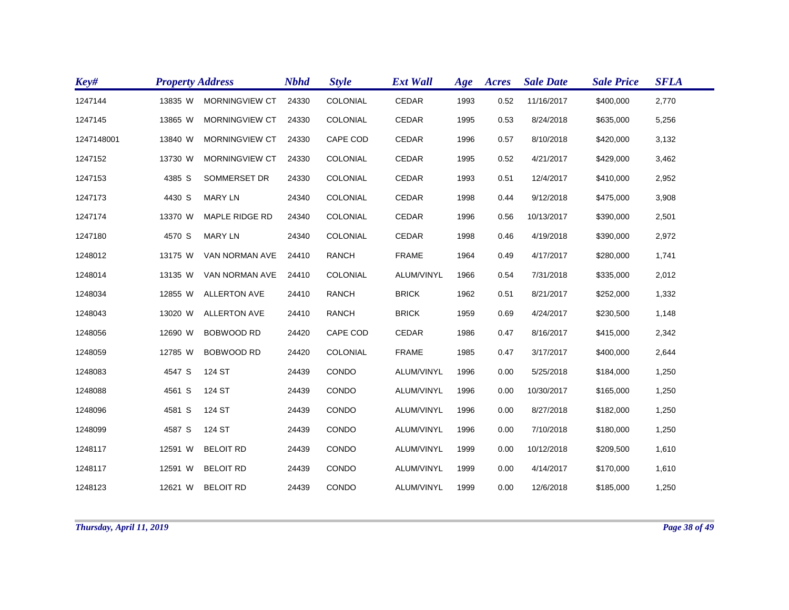| Key#       | <b>Property Address</b> |                       | <b>Nbhd</b> | <b>Style</b>    | <b>Ext Wall</b> | Age  | Acres | <b>Sale Date</b> | <b>Sale Price</b> | <b>SFLA</b> |
|------------|-------------------------|-----------------------|-------------|-----------------|-----------------|------|-------|------------------|-------------------|-------------|
| 1247144    | 13835 W                 | <b>MORNINGVIEW CT</b> | 24330       | COLONIAL        | <b>CEDAR</b>    | 1993 | 0.52  | 11/16/2017       | \$400,000         | 2,770       |
| 1247145    | 13865 W                 | MORNINGVIEW CT        | 24330       | COLONIAL        | CEDAR           | 1995 | 0.53  | 8/24/2018        | \$635,000         | 5,256       |
| 1247148001 | 13840 W                 | MORNINGVIEW CT        | 24330       | CAPE COD        | <b>CEDAR</b>    | 1996 | 0.57  | 8/10/2018        | \$420,000         | 3,132       |
| 1247152    | 13730 W                 | <b>MORNINGVIEW CT</b> | 24330       | COLONIAL        | CEDAR           | 1995 | 0.52  | 4/21/2017        | \$429,000         | 3,462       |
| 1247153    | 4385 S                  | SOMMERSET DR          | 24330       | COLONIAL        | <b>CEDAR</b>    | 1993 | 0.51  | 12/4/2017        | \$410,000         | 2,952       |
| 1247173    | 4430 S                  | <b>MARY LN</b>        | 24340       | COLONIAL        | CEDAR           | 1998 | 0.44  | 9/12/2018        | \$475,000         | 3,908       |
| 1247174    | 13370 W                 | MAPLE RIDGE RD        | 24340       | COLONIAL        | CEDAR           | 1996 | 0.56  | 10/13/2017       | \$390,000         | 2,501       |
| 1247180    | 4570 S                  | <b>MARY LN</b>        | 24340       | COLONIAL        | <b>CEDAR</b>    | 1998 | 0.46  | 4/19/2018        | \$390,000         | 2,972       |
| 1248012    | 13175 W                 | VAN NORMAN AVE        | 24410       | <b>RANCH</b>    | <b>FRAME</b>    | 1964 | 0.49  | 4/17/2017        | \$280,000         | 1,741       |
| 1248014    | 13135 W                 | VAN NORMAN AVE        | 24410       | <b>COLONIAL</b> | ALUM/VINYL      | 1966 | 0.54  | 7/31/2018        | \$335,000         | 2,012       |
| 1248034    | 12855 W                 | <b>ALLERTON AVE</b>   | 24410       | <b>RANCH</b>    | <b>BRICK</b>    | 1962 | 0.51  | 8/21/2017        | \$252,000         | 1,332       |
| 1248043    | 13020 W                 | <b>ALLERTON AVE</b>   | 24410       | <b>RANCH</b>    | <b>BRICK</b>    | 1959 | 0.69  | 4/24/2017        | \$230,500         | 1,148       |
| 1248056    | 12690 W                 | <b>BOBWOOD RD</b>     | 24420       | CAPE COD        | <b>CEDAR</b>    | 1986 | 0.47  | 8/16/2017        | \$415,000         | 2,342       |
| 1248059    | 12785 W                 | <b>BOBWOOD RD</b>     | 24420       | COLONIAL        | <b>FRAME</b>    | 1985 | 0.47  | 3/17/2017        | \$400,000         | 2,644       |
| 1248083    | 4547 S                  | 124 ST                | 24439       | CONDO           | ALUM/VINYL      | 1996 | 0.00  | 5/25/2018        | \$184,000         | 1,250       |
| 1248088    | 4561 S                  | 124 ST                | 24439       | CONDO           | ALUM/VINYL      | 1996 | 0.00  | 10/30/2017       | \$165,000         | 1,250       |
| 1248096    | 4581 S                  | 124 ST                | 24439       | CONDO           | ALUM/VINYL      | 1996 | 0.00  | 8/27/2018        | \$182,000         | 1,250       |
| 1248099    | 4587 S                  | 124 ST                | 24439       | CONDO           | ALUM/VINYL      | 1996 | 0.00  | 7/10/2018        | \$180,000         | 1,250       |
| 1248117    | 12591 W                 | <b>BELOIT RD</b>      | 24439       | CONDO           | ALUM/VINYL      | 1999 | 0.00  | 10/12/2018       | \$209,500         | 1,610       |
| 1248117    | 12591 W                 | <b>BELOIT RD</b>      | 24439       | CONDO           | ALUM/VINYL      | 1999 | 0.00  | 4/14/2017        | \$170,000         | 1,610       |
| 1248123    |                         | 12621 W BELOIT RD     | 24439       | CONDO           | ALUM/VINYL      | 1999 | 0.00  | 12/6/2018        | \$185,000         | 1,250       |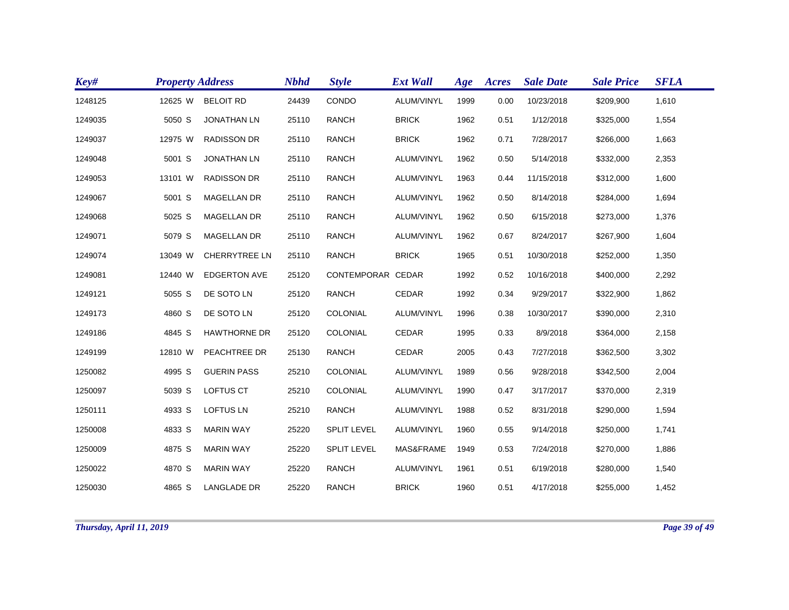| Key#    | <b>Property Address</b> |                      | <b>Nbhd</b> | <b>Style</b>       | <b>Ext Wall</b> | Age  | Acres | <b>Sale Date</b> | <b>Sale Price</b> | <b>SFLA</b> |
|---------|-------------------------|----------------------|-------------|--------------------|-----------------|------|-------|------------------|-------------------|-------------|
| 1248125 | 12625 W                 | <b>BELOIT RD</b>     | 24439       | CONDO              | ALUM/VINYL      | 1999 | 0.00  | 10/23/2018       | \$209,900         | 1,610       |
| 1249035 | 5050 S                  | <b>JONATHAN LN</b>   | 25110       | <b>RANCH</b>       | <b>BRICK</b>    | 1962 | 0.51  | 1/12/2018        | \$325,000         | 1,554       |
| 1249037 | 12975 W                 | <b>RADISSON DR</b>   | 25110       | <b>RANCH</b>       | <b>BRICK</b>    | 1962 | 0.71  | 7/28/2017        | \$266,000         | 1,663       |
| 1249048 | 5001 S                  | <b>JONATHAN LN</b>   | 25110       | <b>RANCH</b>       | ALUM/VINYL      | 1962 | 0.50  | 5/14/2018        | \$332,000         | 2,353       |
| 1249053 | 13101 W                 | <b>RADISSON DR</b>   | 25110       | <b>RANCH</b>       | ALUM/VINYL      | 1963 | 0.44  | 11/15/2018       | \$312,000         | 1,600       |
| 1249067 | 5001 S                  | <b>MAGELLAN DR</b>   | 25110       | <b>RANCH</b>       | ALUM/VINYL      | 1962 | 0.50  | 8/14/2018        | \$284,000         | 1,694       |
| 1249068 | 5025 S                  | <b>MAGELLAN DR</b>   | 25110       | <b>RANCH</b>       | ALUM/VINYL      | 1962 | 0.50  | 6/15/2018        | \$273,000         | 1,376       |
| 1249071 | 5079 S                  | <b>MAGELLAN DR</b>   | 25110       | <b>RANCH</b>       | ALUM/VINYL      | 1962 | 0.67  | 8/24/2017        | \$267,900         | 1,604       |
| 1249074 | 13049 W                 | <b>CHERRYTREE LN</b> | 25110       | <b>RANCH</b>       | <b>BRICK</b>    | 1965 | 0.51  | 10/30/2018       | \$252,000         | 1,350       |
| 1249081 | 12440 W                 | <b>EDGERTON AVE</b>  | 25120       | CONTEMPORAR CEDAR  |                 | 1992 | 0.52  | 10/16/2018       | \$400,000         | 2,292       |
| 1249121 | 5055 S                  | DE SOTO LN           | 25120       | <b>RANCH</b>       | <b>CEDAR</b>    | 1992 | 0.34  | 9/29/2017        | \$322,900         | 1,862       |
| 1249173 | 4860 S                  | DE SOTO LN           | 25120       | COLONIAL           | ALUM/VINYL      | 1996 | 0.38  | 10/30/2017       | \$390,000         | 2,310       |
| 1249186 | 4845 S                  | <b>HAWTHORNE DR</b>  | 25120       | COLONIAL           | CEDAR           | 1995 | 0.33  | 8/9/2018         | \$364,000         | 2,158       |
| 1249199 | 12810 W                 | PEACHTREE DR         | 25130       | <b>RANCH</b>       | CEDAR           | 2005 | 0.43  | 7/27/2018        | \$362,500         | 3,302       |
| 1250082 | 4995 S                  | <b>GUERIN PASS</b>   | 25210       | COLONIAL           | ALUM/VINYL      | 1989 | 0.56  | 9/28/2018        | \$342,500         | 2,004       |
| 1250097 | 5039 S                  | <b>LOFTUS CT</b>     | 25210       | COLONIAL           | ALUM/VINYL      | 1990 | 0.47  | 3/17/2017        | \$370,000         | 2,319       |
| 1250111 | 4933 S                  | <b>LOFTUS LN</b>     | 25210       | <b>RANCH</b>       | ALUM/VINYL      | 1988 | 0.52  | 8/31/2018        | \$290,000         | 1,594       |
| 1250008 | 4833 S                  | <b>MARIN WAY</b>     | 25220       | <b>SPLIT LEVEL</b> | ALUM/VINYL      | 1960 | 0.55  | 9/14/2018        | \$250,000         | 1,741       |
| 1250009 | 4875 S                  | <b>MARIN WAY</b>     | 25220       | <b>SPLIT LEVEL</b> | MAS&FRAME       | 1949 | 0.53  | 7/24/2018        | \$270,000         | 1,886       |
| 1250022 | 4870 S                  | <b>MARIN WAY</b>     | 25220       | <b>RANCH</b>       | ALUM/VINYL      | 1961 | 0.51  | 6/19/2018        | \$280,000         | 1,540       |
| 1250030 | 4865 S                  | <b>LANGLADE DR</b>   | 25220       | <b>RANCH</b>       | <b>BRICK</b>    | 1960 | 0.51  | 4/17/2018        | \$255,000         | 1,452       |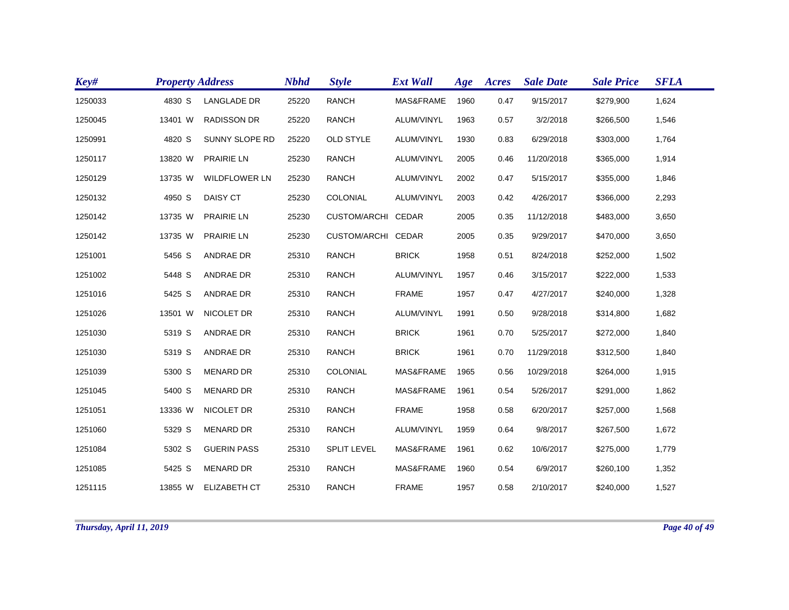| Key#    | <b>Property Address</b> |                      | <b>Nbhd</b> | <b>Style</b>        | <b>Ext Wall</b> | Age  | Acres | <b>Sale Date</b> | <b>Sale Price</b> | <b>SFLA</b> |
|---------|-------------------------|----------------------|-------------|---------------------|-----------------|------|-------|------------------|-------------------|-------------|
| 1250033 | 4830 S                  | <b>LANGLADE DR</b>   | 25220       | <b>RANCH</b>        | MAS&FRAME       | 1960 | 0.47  | 9/15/2017        | \$279,900         | 1,624       |
| 1250045 | 13401 W                 | <b>RADISSON DR</b>   | 25220       | <b>RANCH</b>        | ALUM/VINYL      | 1963 | 0.57  | 3/2/2018         | \$266,500         | 1,546       |
| 1250991 | 4820 S                  | SUNNY SLOPE RD       | 25220       | <b>OLD STYLE</b>    | ALUM/VINYL      | 1930 | 0.83  | 6/29/2018        | \$303,000         | 1,764       |
| 1250117 | 13820 W                 | <b>PRAIRIE LN</b>    | 25230       | <b>RANCH</b>        | ALUM/VINYL      | 2005 | 0.46  | 11/20/2018       | \$365,000         | 1,914       |
| 1250129 | 13735 W                 | <b>WILDFLOWER LN</b> | 25230       | <b>RANCH</b>        | ALUM/VINYL      | 2002 | 0.47  | 5/15/2017        | \$355,000         | 1,846       |
| 1250132 | 4950 S                  | DAISY CT             | 25230       | <b>COLONIAL</b>     | ALUM/VINYL      | 2003 | 0.42  | 4/26/2017        | \$366,000         | 2,293       |
| 1250142 | 13735 W                 | <b>PRAIRIE LN</b>    | 25230       | CUSTOM/ARCHI CEDAR  |                 | 2005 | 0.35  | 11/12/2018       | \$483,000         | 3,650       |
| 1250142 | 13735 W                 | <b>PRAIRIE LN</b>    | 25230       | <b>CUSTOM/ARCHI</b> | CEDAR           | 2005 | 0.35  | 9/29/2017        | \$470,000         | 3,650       |
| 1251001 | 5456 S                  | <b>ANDRAE DR</b>     | 25310       | <b>RANCH</b>        | <b>BRICK</b>    | 1958 | 0.51  | 8/24/2018        | \$252,000         | 1,502       |
| 1251002 | 5448 S                  | <b>ANDRAE DR</b>     | 25310       | <b>RANCH</b>        | ALUM/VINYL      | 1957 | 0.46  | 3/15/2017        | \$222,000         | 1,533       |
| 1251016 | 5425 S                  | <b>ANDRAE DR</b>     | 25310       | <b>RANCH</b>        | <b>FRAME</b>    | 1957 | 0.47  | 4/27/2017        | \$240,000         | 1,328       |
| 1251026 | 13501 W                 | NICOLET DR           | 25310       | <b>RANCH</b>        | ALUM/VINYL      | 1991 | 0.50  | 9/28/2018        | \$314,800         | 1,682       |
| 1251030 | 5319 S                  | <b>ANDRAE DR</b>     | 25310       | <b>RANCH</b>        | <b>BRICK</b>    | 1961 | 0.70  | 5/25/2017        | \$272,000         | 1,840       |
| 1251030 | 5319 S                  | ANDRAE DR            | 25310       | RANCH               | <b>BRICK</b>    | 1961 | 0.70  | 11/29/2018       | \$312,500         | 1,840       |
| 1251039 | 5300 S                  | <b>MENARD DR</b>     | 25310       | COLONIAL            | MAS&FRAME       | 1965 | 0.56  | 10/29/2018       | \$264,000         | 1,915       |
| 1251045 | 5400 S                  | <b>MENARD DR</b>     | 25310       | <b>RANCH</b>        | MAS&FRAME       | 1961 | 0.54  | 5/26/2017        | \$291,000         | 1,862       |
| 1251051 | 13336 W                 | NICOLET DR           | 25310       | <b>RANCH</b>        | <b>FRAME</b>    | 1958 | 0.58  | 6/20/2017        | \$257,000         | 1,568       |
| 1251060 | 5329 S                  | <b>MENARD DR</b>     | 25310       | RANCH               | ALUM/VINYL      | 1959 | 0.64  | 9/8/2017         | \$267,500         | 1,672       |
| 1251084 | 5302 S                  | <b>GUERIN PASS</b>   | 25310       | <b>SPLIT LEVEL</b>  | MAS&FRAME       | 1961 | 0.62  | 10/6/2017        | \$275,000         | 1,779       |
| 1251085 | 5425 S                  | <b>MENARD DR</b>     | 25310       | <b>RANCH</b>        | MAS&FRAME       | 1960 | 0.54  | 6/9/2017         | \$260,100         | 1,352       |
| 1251115 | 13855 W                 | <b>ELIZABETH CT</b>  | 25310       | <b>RANCH</b>        | <b>FRAME</b>    | 1957 | 0.58  | 2/10/2017        | \$240,000         | 1,527       |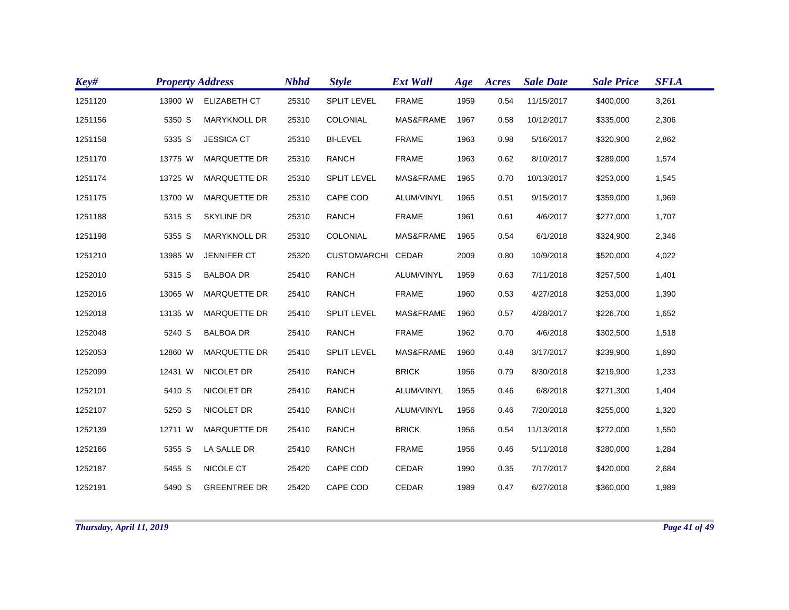| Key#    | <b>Property Address</b> |                     | <b>Nbhd</b> | <b>Style</b>       | <b>Ext Wall</b> | Age  | Acres | <b>Sale Date</b> | <b>Sale Price</b> | <b>SFLA</b> |
|---------|-------------------------|---------------------|-------------|--------------------|-----------------|------|-------|------------------|-------------------|-------------|
| 1251120 | 13900 W                 | <b>ELIZABETH CT</b> | 25310       | SPLIT LEVEL        | <b>FRAME</b>    | 1959 | 0.54  | 11/15/2017       | \$400,000         | 3,261       |
| 1251156 | 5350 S                  | MARYKNOLL DR        | 25310       | COLONIAL           | MAS&FRAME       | 1967 | 0.58  | 10/12/2017       | \$335,000         | 2,306       |
| 1251158 | 5335 S                  | <b>JESSICA CT</b>   | 25310       | <b>BI-LEVEL</b>    | <b>FRAME</b>    | 1963 | 0.98  | 5/16/2017        | \$320,900         | 2,862       |
| 1251170 | 13775 W                 | <b>MARQUETTE DR</b> | 25310       | <b>RANCH</b>       | <b>FRAME</b>    | 1963 | 0.62  | 8/10/2017        | \$289,000         | 1,574       |
| 1251174 | 13725 W                 | <b>MARQUETTE DR</b> | 25310       | <b>SPLIT LEVEL</b> | MAS&FRAME       | 1965 | 0.70  | 10/13/2017       | \$253,000         | 1,545       |
| 1251175 | 13700 W                 | <b>MARQUETTE DR</b> | 25310       | CAPE COD           | ALUM/VINYL      | 1965 | 0.51  | 9/15/2017        | \$359,000         | 1,969       |
| 1251188 | 5315 S                  | <b>SKYLINE DR</b>   | 25310       | <b>RANCH</b>       | <b>FRAME</b>    | 1961 | 0.61  | 4/6/2017         | \$277,000         | 1,707       |
| 1251198 | 5355 S                  | <b>MARYKNOLL DR</b> | 25310       | COLONIAL           | MAS&FRAME       | 1965 | 0.54  | 6/1/2018         | \$324,900         | 2,346       |
| 1251210 | 13985 W                 | JENNIFER CT         | 25320       | CUSTOM/ARCHI CEDAR |                 | 2009 | 0.80  | 10/9/2018        | \$520,000         | 4,022       |
| 1252010 | 5315 S                  | <b>BALBOA DR</b>    | 25410       | <b>RANCH</b>       | ALUM/VINYL      | 1959 | 0.63  | 7/11/2018        | \$257,500         | 1,401       |
| 1252016 | 13065 W                 | <b>MARQUETTE DR</b> | 25410       | <b>RANCH</b>       | <b>FRAME</b>    | 1960 | 0.53  | 4/27/2018        | \$253,000         | 1,390       |
| 1252018 | 13135 W                 | <b>MARQUETTE DR</b> | 25410       | <b>SPLIT LEVEL</b> | MAS&FRAME       | 1960 | 0.57  | 4/28/2017        | \$226,700         | 1,652       |
| 1252048 | 5240 S                  | <b>BALBOA DR</b>    | 25410       | <b>RANCH</b>       | <b>FRAME</b>    | 1962 | 0.70  | 4/6/2018         | \$302,500         | 1,518       |
| 1252053 | 12860 W                 | <b>MARQUETTE DR</b> | 25410       | <b>SPLIT LEVEL</b> | MAS&FRAME       | 1960 | 0.48  | 3/17/2017        | \$239,900         | 1,690       |
| 1252099 | 12431 W                 | NICOLET DR          | 25410       | <b>RANCH</b>       | <b>BRICK</b>    | 1956 | 0.79  | 8/30/2018        | \$219,900         | 1,233       |
| 1252101 | 5410 S                  | NICOLET DR          | 25410       | <b>RANCH</b>       | ALUM/VINYL      | 1955 | 0.46  | 6/8/2018         | \$271,300         | 1,404       |
| 1252107 | 5250 S                  | NICOLET DR          | 25410       | <b>RANCH</b>       | ALUM/VINYL      | 1956 | 0.46  | 7/20/2018        | \$255,000         | 1,320       |
| 1252139 | 12711 W                 | <b>MARQUETTE DR</b> | 25410       | <b>RANCH</b>       | <b>BRICK</b>    | 1956 | 0.54  | 11/13/2018       | \$272,000         | 1,550       |
| 1252166 | 5355 S                  | LA SALLE DR         | 25410       | <b>RANCH</b>       | <b>FRAME</b>    | 1956 | 0.46  | 5/11/2018        | \$280,000         | 1,284       |
| 1252187 | 5455 S                  | NICOLE CT           | 25420       | CAPE COD           | <b>CEDAR</b>    | 1990 | 0.35  | 7/17/2017        | \$420,000         | 2,684       |
| 1252191 | 5490 S                  | <b>GREENTREE DR</b> | 25420       | CAPE COD           | <b>CEDAR</b>    | 1989 | 0.47  | 6/27/2018        | \$360,000         | 1,989       |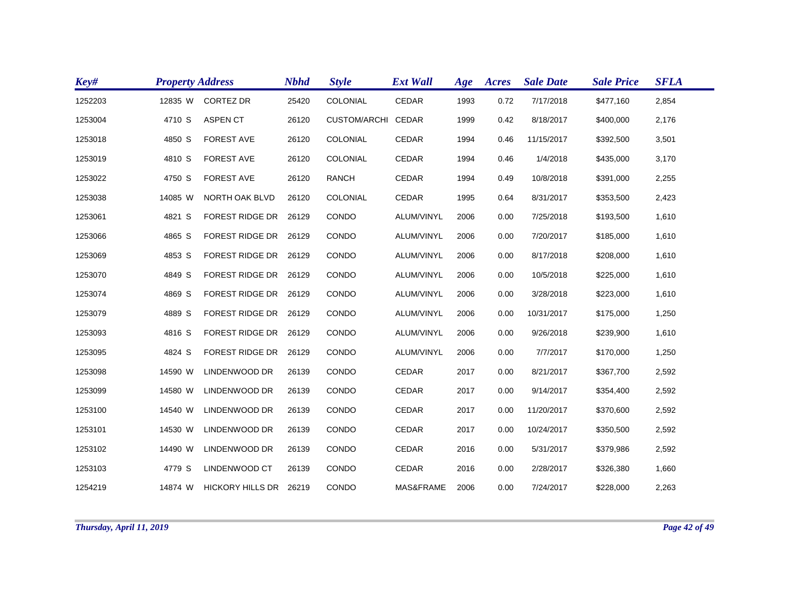| Key#    | <b>Property Address</b> |                        | <b>Nbhd</b> | <b>Style</b>       | <b>Ext Wall</b> | Age  | Acres | <b>Sale Date</b> | <b>Sale Price</b> | <b>SFLA</b> |
|---------|-------------------------|------------------------|-------------|--------------------|-----------------|------|-------|------------------|-------------------|-------------|
| 1252203 | 12835 W                 | CORTEZ DR              | 25420       | COLONIAL           | CEDAR           | 1993 | 0.72  | 7/17/2018        | \$477,160         | 2,854       |
| 1253004 | 4710 S                  | <b>ASPEN CT</b>        | 26120       | CUSTOM/ARCHI CEDAR |                 | 1999 | 0.42  | 8/18/2017        | \$400,000         | 2,176       |
| 1253018 | 4850 S                  | <b>FOREST AVE</b>      | 26120       | COLONIAL           | <b>CEDAR</b>    | 1994 | 0.46  | 11/15/2017       | \$392,500         | 3,501       |
| 1253019 | 4810 S                  | <b>FOREST AVE</b>      | 26120       | COLONIAL           | CEDAR           | 1994 | 0.46  | 1/4/2018         | \$435,000         | 3,170       |
| 1253022 | 4750 S                  | <b>FOREST AVE</b>      | 26120       | <b>RANCH</b>       | CEDAR           | 1994 | 0.49  | 10/8/2018        | \$391,000         | 2,255       |
| 1253038 | 14085 W                 | NORTH OAK BLVD         | 26120       | <b>COLONIAL</b>    | CEDAR           | 1995 | 0.64  | 8/31/2017        | \$353,500         | 2,423       |
| 1253061 | 4821 S                  | <b>FOREST RIDGE DR</b> | 26129       | <b>CONDO</b>       | ALUM/VINYL      | 2006 | 0.00  | 7/25/2018        | \$193,500         | 1,610       |
| 1253066 | 4865 S                  | <b>FOREST RIDGE DR</b> | 26129       | CONDO              | ALUM/VINYL      | 2006 | 0.00  | 7/20/2017        | \$185,000         | 1,610       |
| 1253069 | 4853 S                  | <b>FOREST RIDGE DR</b> | 26129       | CONDO              | ALUM/VINYL      | 2006 | 0.00  | 8/17/2018        | \$208,000         | 1,610       |
| 1253070 | 4849 S                  | FOREST RIDGE DR 26129  |             | CONDO              | ALUM/VINYL      | 2006 | 0.00  | 10/5/2018        | \$225,000         | 1,610       |
| 1253074 | 4869 S                  | <b>FOREST RIDGE DR</b> | 26129       | CONDO              | ALUM/VINYL      | 2006 | 0.00  | 3/28/2018        | \$223,000         | 1,610       |
| 1253079 | 4889 S                  | <b>FOREST RIDGE DR</b> | 26129       | CONDO              | ALUM/VINYL      | 2006 | 0.00  | 10/31/2017       | \$175,000         | 1,250       |
| 1253093 | 4816 S                  | FOREST RIDGE DR 26129  |             | CONDO              | ALUM/VINYL      | 2006 | 0.00  | 9/26/2018        | \$239,900         | 1,610       |
| 1253095 | 4824 S                  | FOREST RIDGE DR        | 26129       | CONDO              | ALUM/VINYL      | 2006 | 0.00  | 7/7/2017         | \$170,000         | 1,250       |
| 1253098 | 14590 W                 | LINDENWOOD DR          | 26139       | CONDO              | CEDAR           | 2017 | 0.00  | 8/21/2017        | \$367,700         | 2,592       |
| 1253099 | 14580 W                 | LINDENWOOD DR          | 26139       | CONDO              | CEDAR           | 2017 | 0.00  | 9/14/2017        | \$354,400         | 2,592       |
| 1253100 | 14540 W                 | LINDENWOOD DR          | 26139       | CONDO              | CEDAR           | 2017 | 0.00  | 11/20/2017       | \$370,600         | 2,592       |
| 1253101 | 14530 W                 | LINDENWOOD DR          | 26139       | CONDO              | <b>CEDAR</b>    | 2017 | 0.00  | 10/24/2017       | \$350,500         | 2,592       |
| 1253102 | 14490 W                 | LINDENWOOD DR          | 26139       | CONDO              | <b>CEDAR</b>    | 2016 | 0.00  | 5/31/2017        | \$379,986         | 2,592       |
| 1253103 | 4779 S                  | LINDENWOOD CT          | 26139       | CONDO              | CEDAR           | 2016 | 0.00  | 2/28/2017        | \$326,380         | 1,660       |
| 1254219 | 14874 W                 | HICKORY HILLS DR 26219 |             | CONDO              | MAS&FRAME       | 2006 | 0.00  | 7/24/2017        | \$228,000         | 2,263       |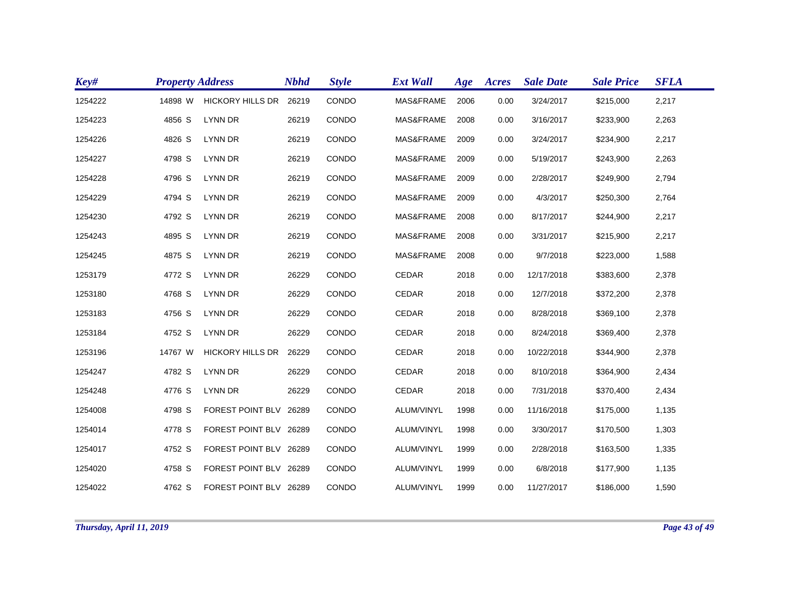| Key#    | <b>Property Address</b> |                         | <b>Nbhd</b> | <b>Style</b> | <b>Ext Wall</b> | Age  | Acres | <b>Sale Date</b> | <b>Sale Price</b> | <b>SFLA</b> |
|---------|-------------------------|-------------------------|-------------|--------------|-----------------|------|-------|------------------|-------------------|-------------|
| 1254222 | 14898 W                 | <b>HICKORY HILLS DR</b> | 26219       | CONDO        | MAS&FRAME       | 2006 | 0.00  | 3/24/2017        | \$215,000         | 2,217       |
| 1254223 | 4856 S                  | LYNN DR                 | 26219       | CONDO        | MAS&FRAME       | 2008 | 0.00  | 3/16/2017        | \$233,900         | 2,263       |
| 1254226 | 4826 S                  | LYNN DR                 | 26219       | CONDO        | MAS&FRAME       | 2009 | 0.00  | 3/24/2017        | \$234,900         | 2,217       |
| 1254227 | 4798 S                  | LYNN DR                 | 26219       | CONDO        | MAS&FRAME       | 2009 | 0.00  | 5/19/2017        | \$243,900         | 2,263       |
| 1254228 | 4796 S                  | LYNN DR                 | 26219       | CONDO        | MAS&FRAME       | 2009 | 0.00  | 2/28/2017        | \$249,900         | 2,794       |
| 1254229 | 4794 S                  | LYNN DR                 | 26219       | CONDO        | MAS&FRAME       | 2009 | 0.00  | 4/3/2017         | \$250,300         | 2,764       |
| 1254230 | 4792 S                  | LYNN DR                 | 26219       | CONDO        | MAS&FRAME       | 2008 | 0.00  | 8/17/2017        | \$244,900         | 2,217       |
| 1254243 | 4895 S                  | LYNN DR                 | 26219       | CONDO        | MAS&FRAME       | 2008 | 0.00  | 3/31/2017        | \$215,900         | 2,217       |
| 1254245 | 4875 S                  | LYNN DR                 | 26219       | CONDO        | MAS&FRAME       | 2008 | 0.00  | 9/7/2018         | \$223,000         | 1,588       |
| 1253179 | 4772 S                  | LYNN DR                 | 26229       | CONDO        | CEDAR           | 2018 | 0.00  | 12/17/2018       | \$383,600         | 2,378       |
| 1253180 | 4768 S                  | LYNN DR                 | 26229       | CONDO        | CEDAR           | 2018 | 0.00  | 12/7/2018        | \$372,200         | 2,378       |
| 1253183 | 4756 S                  | LYNN DR                 | 26229       | CONDO        | CEDAR           | 2018 | 0.00  | 8/28/2018        | \$369,100         | 2,378       |
| 1253184 | 4752 S                  | LYNN DR                 | 26229       | CONDO        | CEDAR           | 2018 | 0.00  | 8/24/2018        | \$369,400         | 2,378       |
| 1253196 | 14767 W                 | <b>HICKORY HILLS DR</b> | 26229       | CONDO        | CEDAR           | 2018 | 0.00  | 10/22/2018       | \$344,900         | 2,378       |
| 1254247 | 4782 S                  | LYNN DR                 | 26229       | CONDO        | CEDAR           | 2018 | 0.00  | 8/10/2018        | \$364,900         | 2,434       |
| 1254248 | 4776 S                  | LYNN DR                 | 26229       | CONDO        | CEDAR           | 2018 | 0.00  | 7/31/2018        | \$370,400         | 2,434       |
| 1254008 | 4798 S                  | FOREST POINT BLV 26289  |             | CONDO        | ALUM/VINYL      | 1998 | 0.00  | 11/16/2018       | \$175,000         | 1,135       |
| 1254014 | 4778 S                  | FOREST POINT BLV 26289  |             | CONDO        | ALUM/VINYL      | 1998 | 0.00  | 3/30/2017        | \$170,500         | 1,303       |
| 1254017 | 4752 S                  | FOREST POINT BLV 26289  |             | CONDO        | ALUM/VINYL      | 1999 | 0.00  | 2/28/2018        | \$163,500         | 1,335       |
| 1254020 | 4758 S                  | FOREST POINT BLV 26289  |             | CONDO        | ALUM/VINYL      | 1999 | 0.00  | 6/8/2018         | \$177,900         | 1,135       |
| 1254022 | 4762 S                  | FOREST POINT BLV 26289  |             | CONDO        | ALUM/VINYL      | 1999 | 0.00  | 11/27/2017       | \$186,000         | 1,590       |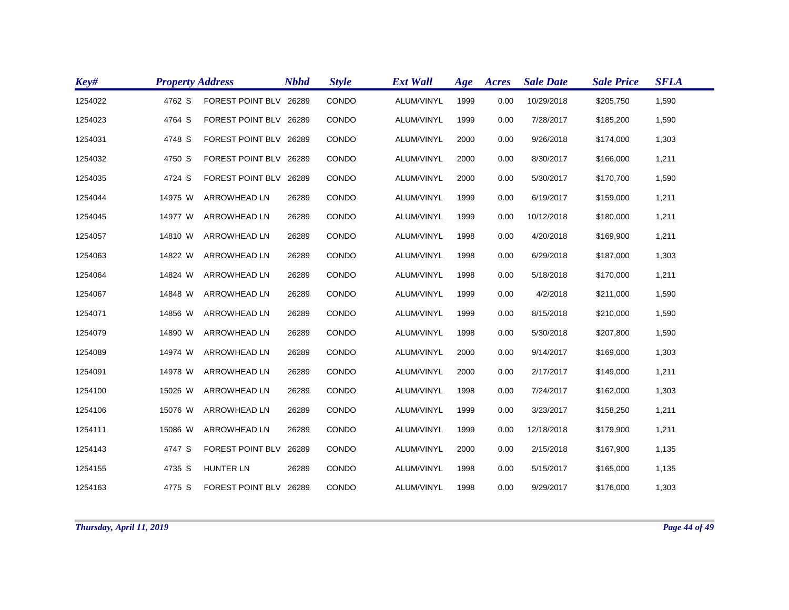| Key#    | <b>Property Address</b> |                        | <b>Nbhd</b> | <b>Style</b> | <b>Ext Wall</b> | Age  | Acres | <b>Sale Date</b> | <b>Sale Price</b> | <b>SFLA</b> |
|---------|-------------------------|------------------------|-------------|--------------|-----------------|------|-------|------------------|-------------------|-------------|
| 1254022 | 4762 S                  | FOREST POINT BLV 26289 |             | CONDO        | ALUM/VINYL      | 1999 | 0.00  | 10/29/2018       | \$205,750         | 1,590       |
| 1254023 | 4764 S                  | FOREST POINT BLV 26289 |             | CONDO        | ALUM/VINYL      | 1999 | 0.00  | 7/28/2017        | \$185,200         | 1,590       |
| 1254031 | 4748 S                  | FOREST POINT BLV 26289 |             | <b>CONDO</b> | ALUM/VINYL      | 2000 | 0.00  | 9/26/2018        | \$174,000         | 1,303       |
| 1254032 | 4750 S                  | FOREST POINT BLV 26289 |             | CONDO        | ALUM/VINYL      | 2000 | 0.00  | 8/30/2017        | \$166,000         | 1,211       |
| 1254035 | 4724 S                  | FOREST POINT BLV 26289 |             | CONDO        | ALUM/VINYL      | 2000 | 0.00  | 5/30/2017        | \$170,700         | 1,590       |
| 1254044 | 14975 W                 | <b>ARROWHEAD LN</b>    | 26289       | CONDO        | ALUM/VINYL      | 1999 | 0.00  | 6/19/2017        | \$159,000         | 1,211       |
| 1254045 | 14977 W                 | <b>ARROWHEAD LN</b>    | 26289       | CONDO        | ALUM/VINYL      | 1999 | 0.00  | 10/12/2018       | \$180,000         | 1,211       |
| 1254057 | 14810 W                 | <b>ARROWHEAD LN</b>    | 26289       | CONDO        | ALUM/VINYL      | 1998 | 0.00  | 4/20/2018        | \$169,900         | 1,211       |
| 1254063 | 14822 W                 | <b>ARROWHEAD LN</b>    | 26289       | CONDO        | ALUM/VINYL      | 1998 | 0.00  | 6/29/2018        | \$187,000         | 1,303       |
| 1254064 | 14824 W                 | ARROWHEAD LN           | 26289       | CONDO        | ALUM/VINYL      | 1998 | 0.00  | 5/18/2018        | \$170,000         | 1,211       |
| 1254067 | 14848 W                 | <b>ARROWHEAD LN</b>    | 26289       | CONDO        | ALUM/VINYL      | 1999 | 0.00  | 4/2/2018         | \$211,000         | 1,590       |
| 1254071 | 14856 W                 | <b>ARROWHEAD LN</b>    | 26289       | CONDO        | ALUM/VINYL      | 1999 | 0.00  | 8/15/2018        | \$210,000         | 1,590       |
| 1254079 | 14890 W                 | <b>ARROWHEAD LN</b>    | 26289       | CONDO        | ALUM/VINYL      | 1998 | 0.00  | 5/30/2018        | \$207,800         | 1,590       |
| 1254089 | 14974 W                 | <b>ARROWHEAD LN</b>    | 26289       | CONDO        | ALUM/VINYL      | 2000 | 0.00  | 9/14/2017        | \$169,000         | 1,303       |
| 1254091 | 14978 W                 | <b>ARROWHEAD LN</b>    | 26289       | CONDO        | ALUM/VINYL      | 2000 | 0.00  | 2/17/2017        | \$149,000         | 1,211       |
| 1254100 | 15026 W                 | <b>ARROWHEAD LN</b>    | 26289       | CONDO        | ALUM/VINYL      | 1998 | 0.00  | 7/24/2017        | \$162,000         | 1,303       |
| 1254106 | 15076 W                 | <b>ARROWHEAD LN</b>    | 26289       | CONDO        | ALUM/VINYL      | 1999 | 0.00  | 3/23/2017        | \$158,250         | 1,211       |
| 1254111 | 15086 W                 | ARROWHEAD LN           | 26289       | CONDO        | ALUM/VINYL      | 1999 | 0.00  | 12/18/2018       | \$179,900         | 1,211       |
| 1254143 | 4747 S                  | FOREST POINT BLV       | 26289       | CONDO        | ALUM/VINYL      | 2000 | 0.00  | 2/15/2018        | \$167,900         | 1,135       |
| 1254155 | 4735 S                  | HUNTER LN              | 26289       | CONDO        | ALUM/VINYL      | 1998 | 0.00  | 5/15/2017        | \$165,000         | 1,135       |
| 1254163 | 4775 S                  | FOREST POINT BLV 26289 |             | CONDO        | ALUM/VINYL      | 1998 | 0.00  | 9/29/2017        | \$176,000         | 1,303       |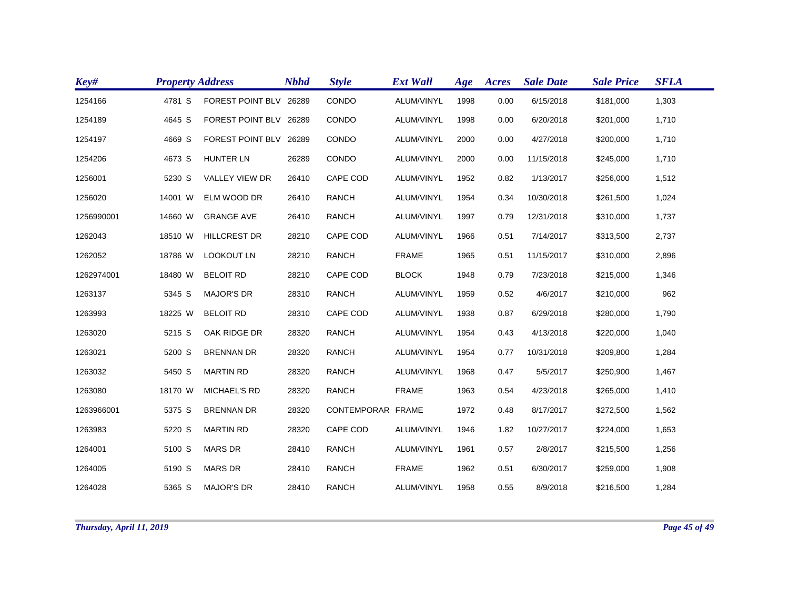| Key#       | <b>Property Address</b> |                        | <b>Nbhd</b> | <b>Style</b>      | <b>Ext Wall</b> | Age  | Acres | <b>Sale Date</b> | <b>Sale Price</b> | <b>SFLA</b> |
|------------|-------------------------|------------------------|-------------|-------------------|-----------------|------|-------|------------------|-------------------|-------------|
| 1254166    | 4781 S                  | FOREST POINT BLV 26289 |             | CONDO             | ALUM/VINYL      | 1998 | 0.00  | 6/15/2018        | \$181,000         | 1,303       |
| 1254189    | 4645 S                  | FOREST POINT BLV 26289 |             | CONDO             | ALUM/VINYL      | 1998 | 0.00  | 6/20/2018        | \$201,000         | 1,710       |
| 1254197    | 4669 S                  | FOREST POINT BLV 26289 |             | CONDO             | ALUM/VINYL      | 2000 | 0.00  | 4/27/2018        | \$200,000         | 1,710       |
| 1254206    | 4673 S                  | <b>HUNTER LN</b>       | 26289       | CONDO             | ALUM/VINYL      | 2000 | 0.00  | 11/15/2018       | \$245,000         | 1,710       |
| 1256001    | 5230 S                  | VALLEY VIEW DR         | 26410       | CAPE COD          | ALUM/VINYL      | 1952 | 0.82  | 1/13/2017        | \$256,000         | 1,512       |
| 1256020    | 14001 W                 | ELM WOOD DR            | 26410       | <b>RANCH</b>      | ALUM/VINYL      | 1954 | 0.34  | 10/30/2018       | \$261,500         | 1,024       |
| 1256990001 | 14660 W                 | <b>GRANGE AVE</b>      | 26410       | <b>RANCH</b>      | ALUM/VINYL      | 1997 | 0.79  | 12/31/2018       | \$310,000         | 1,737       |
| 1262043    | 18510 W                 | <b>HILLCREST DR</b>    | 28210       | CAPE COD          | ALUM/VINYL      | 1966 | 0.51  | 7/14/2017        | \$313,500         | 2,737       |
| 1262052    | 18786 W                 | <b>LOOKOUT LN</b>      | 28210       | <b>RANCH</b>      | <b>FRAME</b>    | 1965 | 0.51  | 11/15/2017       | \$310,000         | 2,896       |
| 1262974001 | 18480 W                 | <b>BELOIT RD</b>       | 28210       | <b>CAPE COD</b>   | <b>BLOCK</b>    | 1948 | 0.79  | 7/23/2018        | \$215,000         | 1,346       |
| 1263137    | 5345 S                  | <b>MAJOR'S DR</b>      | 28310       | <b>RANCH</b>      | ALUM/VINYL      | 1959 | 0.52  | 4/6/2017         | \$210,000         | 962         |
| 1263993    | 18225 W                 | <b>BELOIT RD</b>       | 28310       | CAPE COD          | ALUM/VINYL      | 1938 | 0.87  | 6/29/2018        | \$280,000         | 1,790       |
| 1263020    | 5215 S                  | OAK RIDGE DR           | 28320       | <b>RANCH</b>      | ALUM/VINYL      | 1954 | 0.43  | 4/13/2018        | \$220,000         | 1,040       |
| 1263021    | 5200 S                  | <b>BRENNAN DR</b>      | 28320       | <b>RANCH</b>      | ALUM/VINYL      | 1954 | 0.77  | 10/31/2018       | \$209,800         | 1,284       |
| 1263032    | 5450 S                  | <b>MARTIN RD</b>       | 28320       | <b>RANCH</b>      | ALUM/VINYL      | 1968 | 0.47  | 5/5/2017         | \$250,900         | 1,467       |
| 1263080    | 18170 W                 | MICHAEL'S RD           | 28320       | <b>RANCH</b>      | <b>FRAME</b>    | 1963 | 0.54  | 4/23/2018        | \$265,000         | 1,410       |
| 1263966001 | 5375 S                  | <b>BRENNAN DR</b>      | 28320       | CONTEMPORAR FRAME |                 | 1972 | 0.48  | 8/17/2017        | \$272,500         | 1,562       |
| 1263983    | 5220 S                  | <b>MARTIN RD</b>       | 28320       | CAPE COD          | ALUM/VINYL      | 1946 | 1.82  | 10/27/2017       | \$224,000         | 1,653       |
| 1264001    | 5100 S                  | <b>MARS DR</b>         | 28410       | <b>RANCH</b>      | ALUM/VINYL      | 1961 | 0.57  | 2/8/2017         | \$215,500         | 1,256       |
| 1264005    | 5190 S                  | <b>MARS DR</b>         | 28410       | <b>RANCH</b>      | <b>FRAME</b>    | 1962 | 0.51  | 6/30/2017        | \$259,000         | 1,908       |
| 1264028    | 5365 S                  | <b>MAJOR'S DR</b>      | 28410       | <b>RANCH</b>      | ALUM/VINYL      | 1958 | 0.55  | 8/9/2018         | \$216,500         | 1,284       |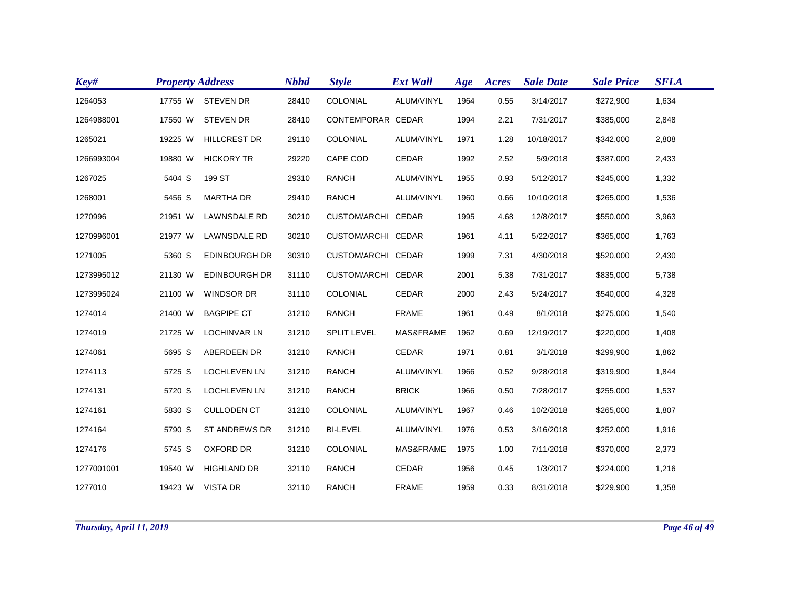| Key#       | <b>Property Address</b> |                      | <b>Nbhd</b> | <b>Style</b>       | <b>Ext Wall</b> | Age  | Acres | <b>Sale Date</b> | <b>Sale Price</b> | <b>SFLA</b> |
|------------|-------------------------|----------------------|-------------|--------------------|-----------------|------|-------|------------------|-------------------|-------------|
| 1264053    | 17755 W                 | <b>STEVEN DR</b>     | 28410       | COLONIAL           | ALUM/VINYL      | 1964 | 0.55  | 3/14/2017        | \$272,900         | 1,634       |
| 1264988001 | 17550 W                 | <b>STEVEN DR</b>     | 28410       | CONTEMPORAR CEDAR  |                 | 1994 | 2.21  | 7/31/2017        | \$385,000         | 2,848       |
| 1265021    | 19225 W                 | <b>HILLCREST DR</b>  | 29110       | COLONIAL           | ALUM/VINYL      | 1971 | 1.28  | 10/18/2017       | \$342,000         | 2,808       |
| 1266993004 | 19880 W                 | <b>HICKORY TR</b>    | 29220       | CAPE COD           | CEDAR           | 1992 | 2.52  | 5/9/2018         | \$387,000         | 2,433       |
| 1267025    | 5404 S                  | 199 ST               | 29310       | <b>RANCH</b>       | ALUM/VINYL      | 1955 | 0.93  | 5/12/2017        | \$245,000         | 1,332       |
| 1268001    | 5456 S                  | <b>MARTHA DR</b>     | 29410       | <b>RANCH</b>       | ALUM/VINYL      | 1960 | 0.66  | 10/10/2018       | \$265,000         | 1,536       |
| 1270996    | 21951 W                 | LAWNSDALE RD         | 30210       | CUSTOM/ARCHI CEDAR |                 | 1995 | 4.68  | 12/8/2017        | \$550,000         | 3,963       |
| 1270996001 | 21977 W                 | LAWNSDALE RD         | 30210       | CUSTOM/ARCHI CEDAR |                 | 1961 | 4.11  | 5/22/2017        | \$365,000         | 1,763       |
| 1271005    | 5360 S                  | <b>EDINBOURGH DR</b> | 30310       | CUSTOM/ARCHI CEDAR |                 | 1999 | 7.31  | 4/30/2018        | \$520,000         | 2,430       |
| 1273995012 | 21130 W                 | <b>EDINBOURGH DR</b> | 31110       | CUSTOM/ARCHI CEDAR |                 | 2001 | 5.38  | 7/31/2017        | \$835,000         | 5,738       |
| 1273995024 | 21100 W                 | <b>WINDSOR DR</b>    | 31110       | COLONIAL           | CEDAR           | 2000 | 2.43  | 5/24/2017        | \$540,000         | 4,328       |
| 1274014    | 21400 W                 | <b>BAGPIPE CT</b>    | 31210       | <b>RANCH</b>       | <b>FRAME</b>    | 1961 | 0.49  | 8/1/2018         | \$275,000         | 1,540       |
| 1274019    | 21725 W                 | <b>LOCHINVAR LN</b>  | 31210       | <b>SPLIT LEVEL</b> | MAS&FRAME       | 1962 | 0.69  | 12/19/2017       | \$220,000         | 1,408       |
| 1274061    | 5695 S                  | ABERDEEN DR          | 31210       | <b>RANCH</b>       | CEDAR           | 1971 | 0.81  | 3/1/2018         | \$299,900         | 1,862       |
| 1274113    | 5725 S                  | <b>LOCHLEVEN LN</b>  | 31210       | <b>RANCH</b>       | ALUM/VINYL      | 1966 | 0.52  | 9/28/2018        | \$319,900         | 1,844       |
| 1274131    | 5720 S                  | <b>LOCHLEVEN LN</b>  | 31210       | <b>RANCH</b>       | <b>BRICK</b>    | 1966 | 0.50  | 7/28/2017        | \$255,000         | 1,537       |
| 1274161    | 5830 S                  | <b>CULLODEN CT</b>   | 31210       | COLONIAL           | ALUM/VINYL      | 1967 | 0.46  | 10/2/2018        | \$265,000         | 1,807       |
| 1274164    | 5790 S                  | <b>ST ANDREWS DR</b> | 31210       | <b>BI-LEVEL</b>    | ALUM/VINYL      | 1976 | 0.53  | 3/16/2018        | \$252,000         | 1,916       |
| 1274176    | 5745 S                  | <b>OXFORD DR</b>     | 31210       | COLONIAL           | MAS&FRAME       | 1975 | 1.00  | 7/11/2018        | \$370,000         | 2,373       |
| 1277001001 | 19540 W                 | <b>HIGHLAND DR</b>   | 32110       | <b>RANCH</b>       | CEDAR           | 1956 | 0.45  | 1/3/2017         | \$224,000         | 1,216       |
| 1277010    |                         | 19423 W VISTA DR     | 32110       | <b>RANCH</b>       | <b>FRAME</b>    | 1959 | 0.33  | 8/31/2018        | \$229,900         | 1,358       |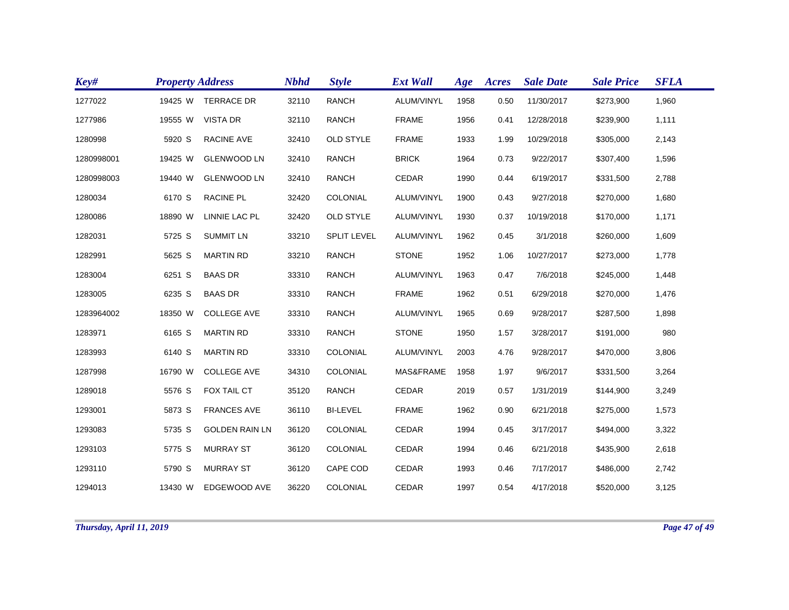| Key#       | <b>Property Address</b> |                       | <b>Nbhd</b> | <b>Style</b>       | <b>Ext Wall</b> | Age  | <b>Acres</b> | <b>Sale Date</b> | <b>Sale Price</b> | <b>SFLA</b> |
|------------|-------------------------|-----------------------|-------------|--------------------|-----------------|------|--------------|------------------|-------------------|-------------|
| 1277022    | 19425 W                 | <b>TERRACE DR</b>     | 32110       | <b>RANCH</b>       | ALUM/VINYL      | 1958 | 0.50         | 11/30/2017       | \$273,900         | 1,960       |
| 1277986    | 19555 W                 | <b>VISTA DR</b>       | 32110       | <b>RANCH</b>       | <b>FRAME</b>    | 1956 | 0.41         | 12/28/2018       | \$239,900         | 1,111       |
| 1280998    | 5920 S                  | RACINE AVE            | 32410       | <b>OLD STYLE</b>   | <b>FRAME</b>    | 1933 | 1.99         | 10/29/2018       | \$305,000         | 2,143       |
| 1280998001 | 19425 W                 | <b>GLENWOOD LN</b>    | 32410       | <b>RANCH</b>       | <b>BRICK</b>    | 1964 | 0.73         | 9/22/2017        | \$307,400         | 1,596       |
| 1280998003 | 19440 W                 | <b>GLENWOOD LN</b>    | 32410       | <b>RANCH</b>       | CEDAR           | 1990 | 0.44         | 6/19/2017        | \$331,500         | 2,788       |
| 1280034    | 6170 S                  | <b>RACINE PL</b>      | 32420       | <b>COLONIAL</b>    | ALUM/VINYL      | 1900 | 0.43         | 9/27/2018        | \$270,000         | 1,680       |
| 1280086    | 18890 W                 | LINNIE LAC PL         | 32420       | <b>OLD STYLE</b>   | ALUM/VINYL      | 1930 | 0.37         | 10/19/2018       | \$170,000         | 1,171       |
| 1282031    | 5725 S                  | <b>SUMMIT LN</b>      | 33210       | <b>SPLIT LEVEL</b> | ALUM/VINYL      | 1962 | 0.45         | 3/1/2018         | \$260,000         | 1,609       |
| 1282991    | 5625 S                  | <b>MARTIN RD</b>      | 33210       | <b>RANCH</b>       | <b>STONE</b>    | 1952 | 1.06         | 10/27/2017       | \$273,000         | 1,778       |
| 1283004    | 6251 S                  | <b>BAAS DR</b>        | 33310       | <b>RANCH</b>       | ALUM/VINYL      | 1963 | 0.47         | 7/6/2018         | \$245,000         | 1,448       |
| 1283005    | 6235 S                  | <b>BAAS DR</b>        | 33310       | <b>RANCH</b>       | <b>FRAME</b>    | 1962 | 0.51         | 6/29/2018        | \$270,000         | 1,476       |
| 1283964002 | 18350 W                 | <b>COLLEGE AVE</b>    | 33310       | <b>RANCH</b>       | ALUM/VINYL      | 1965 | 0.69         | 9/28/2017        | \$287,500         | 1,898       |
| 1283971    | 6165 S                  | <b>MARTIN RD</b>      | 33310       | <b>RANCH</b>       | <b>STONE</b>    | 1950 | 1.57         | 3/28/2017        | \$191,000         | 980         |
| 1283993    | 6140 S                  | <b>MARTIN RD</b>      | 33310       | COLONIAL           | ALUM/VINYL      | 2003 | 4.76         | 9/28/2017        | \$470,000         | 3,806       |
| 1287998    | 16790 W                 | <b>COLLEGE AVE</b>    | 34310       | COLONIAL           | MAS&FRAME       | 1958 | 1.97         | 9/6/2017         | \$331,500         | 3,264       |
| 1289018    | 5576 S                  | FOX TAIL CT           | 35120       | <b>RANCH</b>       | CEDAR           | 2019 | 0.57         | 1/31/2019        | \$144,900         | 3,249       |
| 1293001    | 5873 S                  | <b>FRANCES AVE</b>    | 36110       | <b>BI-LEVEL</b>    | <b>FRAME</b>    | 1962 | 0.90         | 6/21/2018        | \$275,000         | 1,573       |
| 1293083    | 5735 S                  | <b>GOLDEN RAIN LN</b> | 36120       | <b>COLONIAL</b>    | CEDAR           | 1994 | 0.45         | 3/17/2017        | \$494,000         | 3,322       |
| 1293103    | 5775 S                  | <b>MURRAY ST</b>      | 36120       | COLONIAL           | CEDAR           | 1994 | 0.46         | 6/21/2018        | \$435,900         | 2,618       |
| 1293110    | 5790 S                  | <b>MURRAY ST</b>      | 36120       | CAPE COD           | CEDAR           | 1993 | 0.46         | 7/17/2017        | \$486,000         | 2,742       |
| 1294013    | 13430 W                 | EDGEWOOD AVE          | 36220       | <b>COLONIAL</b>    | <b>CEDAR</b>    | 1997 | 0.54         | 4/17/2018        | \$520,000         | 3,125       |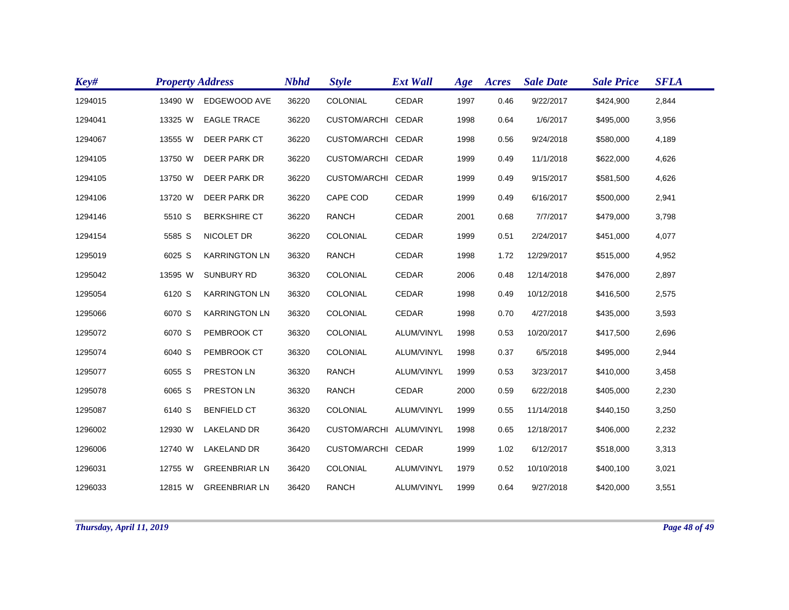| Key#    | <b>Property Address</b> |                       | <b>Nbhd</b> | <b>Style</b>            | <b>Ext Wall</b> | Age  | Acres | <b>Sale Date</b> | <b>Sale Price</b> | <b>SFLA</b> |
|---------|-------------------------|-----------------------|-------------|-------------------------|-----------------|------|-------|------------------|-------------------|-------------|
| 1294015 | 13490 W                 | EDGEWOOD AVE          | 36220       | COLONIAL                | <b>CEDAR</b>    | 1997 | 0.46  | 9/22/2017        | \$424,900         | 2,844       |
| 1294041 | 13325 W                 | <b>EAGLE TRACE</b>    | 36220       | CUSTOM/ARCHI CEDAR      |                 | 1998 | 0.64  | 1/6/2017         | \$495,000         | 3,956       |
| 1294067 | 13555 W                 | <b>DEER PARK CT</b>   | 36220       | CUSTOM/ARCHI CEDAR      |                 | 1998 | 0.56  | 9/24/2018        | \$580,000         | 4,189       |
| 1294105 | 13750 W                 | DEER PARK DR          | 36220       | CUSTOM/ARCHI CEDAR      |                 | 1999 | 0.49  | 11/1/2018        | \$622,000         | 4,626       |
| 1294105 | 13750 W                 | DEER PARK DR          | 36220       | CUSTOM/ARCHI CEDAR      |                 | 1999 | 0.49  | 9/15/2017        | \$581,500         | 4,626       |
| 1294106 | 13720 W                 | DEER PARK DR          | 36220       | CAPE COD                | <b>CEDAR</b>    | 1999 | 0.49  | 6/16/2017        | \$500,000         | 2,941       |
| 1294146 | 5510 S                  | <b>BERKSHIRE CT</b>   | 36220       | <b>RANCH</b>            | <b>CEDAR</b>    | 2001 | 0.68  | 7/7/2017         | \$479,000         | 3,798       |
| 1294154 | 5585 S                  | NICOLET DR            | 36220       | COLONIAL                | <b>CEDAR</b>    | 1999 | 0.51  | 2/24/2017        | \$451,000         | 4,077       |
| 1295019 | 6025 S                  | <b>KARRINGTON LN</b>  | 36320       | <b>RANCH</b>            | CEDAR           | 1998 | 1.72  | 12/29/2017       | \$515,000         | 4,952       |
| 1295042 | 13595 W                 | <b>SUNBURY RD</b>     | 36320       | COLONIAL                | CEDAR           | 2006 | 0.48  | 12/14/2018       | \$476,000         | 2,897       |
| 1295054 | 6120 S                  | <b>KARRINGTON LN</b>  | 36320       | COLONIAL                | <b>CEDAR</b>    | 1998 | 0.49  | 10/12/2018       | \$416,500         | 2,575       |
| 1295066 | 6070 S                  | <b>KARRINGTON LN</b>  | 36320       | COLONIAL                | <b>CEDAR</b>    | 1998 | 0.70  | 4/27/2018        | \$435,000         | 3,593       |
| 1295072 | 6070 S                  | PEMBROOK CT           | 36320       | COLONIAL                | ALUM/VINYL      | 1998 | 0.53  | 10/20/2017       | \$417,500         | 2,696       |
| 1295074 | 6040 S                  | PEMBROOK CT           | 36320       | COLONIAL                | ALUM/VINYL      | 1998 | 0.37  | 6/5/2018         | \$495,000         | 2,944       |
| 1295077 | 6055 S                  | PRESTON LN            | 36320       | <b>RANCH</b>            | ALUM/VINYL      | 1999 | 0.53  | 3/23/2017        | \$410,000         | 3,458       |
| 1295078 | 6065 S                  | PRESTON LN            | 36320       | <b>RANCH</b>            | <b>CEDAR</b>    | 2000 | 0.59  | 6/22/2018        | \$405,000         | 2,230       |
| 1295087 | 6140 S                  | <b>BENFIELD CT</b>    | 36320       | COLONIAL                | ALUM/VINYL      | 1999 | 0.55  | 11/14/2018       | \$440,150         | 3,250       |
| 1296002 | 12930 W                 | <b>LAKELAND DR</b>    | 36420       | CUSTOM/ARCHI ALUM/VINYL |                 | 1998 | 0.65  | 12/18/2017       | \$406,000         | 2,232       |
| 1296006 | 12740 W                 | <b>LAKELAND DR</b>    | 36420       | CUSTOM/ARCHI CEDAR      |                 | 1999 | 1.02  | 6/12/2017        | \$518,000         | 3,313       |
| 1296031 | 12755 W                 | <b>GREENBRIAR LN</b>  | 36420       | COLONIAL                | ALUM/VINYL      | 1979 | 0.52  | 10/10/2018       | \$400,100         | 3,021       |
| 1296033 |                         | 12815 W GREENBRIAR LN | 36420       | <b>RANCH</b>            | ALUM/VINYL      | 1999 | 0.64  | 9/27/2018        | \$420,000         | 3,551       |